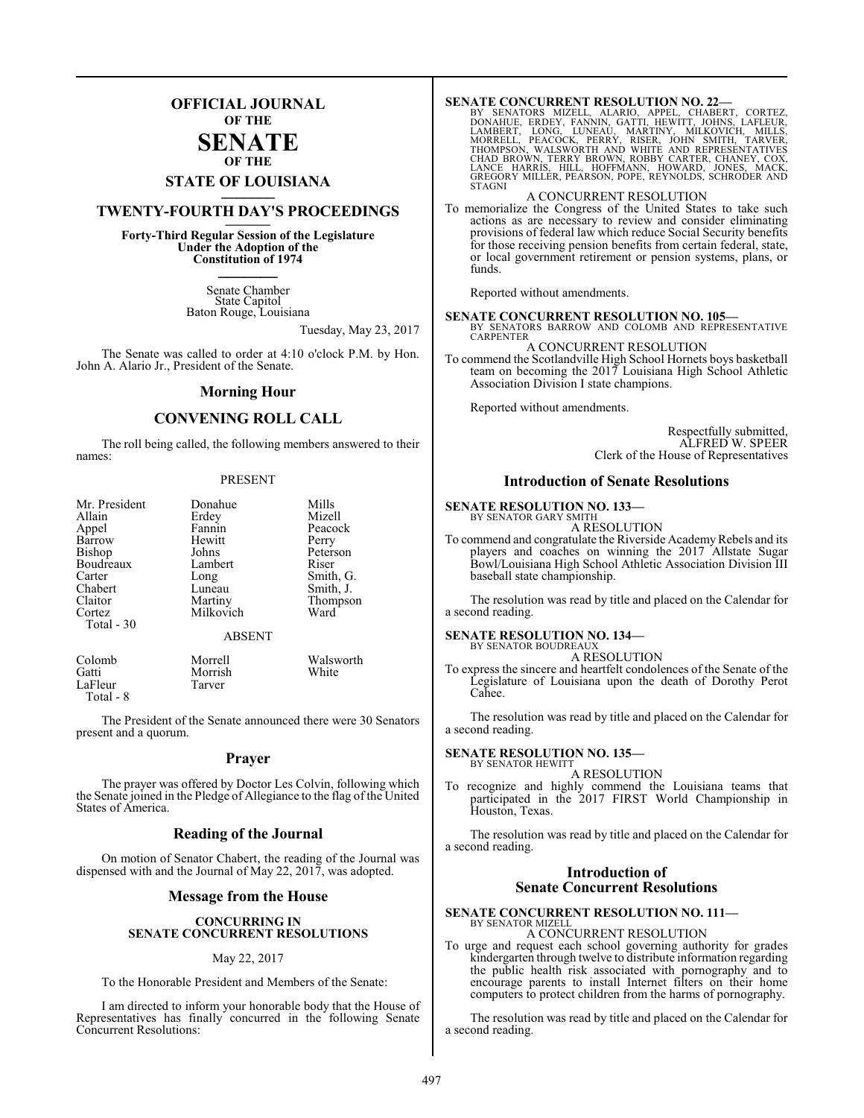## **OFFICIAL JOURNAL OF THE**

#### **SENATE OF THE**

# **STATE OF LOUISIANA \_\_\_\_\_\_\_**

## **TWENTY-FOURTH DAY'S PROCEEDINGS \_\_\_\_\_\_\_**

**Forty-Third Regular Session of the Legislature Under the Adoption of the Constitution of 1974 \_\_\_\_\_\_\_**

> Senate Chamber State Capitol Baton Rouge, Louisiana

> > Tuesday, May 23, 2017

The Senate was called to order at 4:10 o'clock P.M. by Hon. John A. Alario Jr., President of the Senate.

#### **Morning Hour**

### **CONVENING ROLL CALL**

The roll being called, the following members answered to their names:

#### PRESENT

| Mr. President | Donahue       | Mills     |
|---------------|---------------|-----------|
| Allain        | Erdey         | Mizell    |
| Appel         | Fannin        | Peacock   |
| Barrow        | Hewitt        | Perry     |
| Bishop        | Johns         | Peterson  |
| Boudreaux     | Lambert       | Riser     |
| Carter        | Long          | Smith, G. |
| Chabert       | Luneau        | Smith, J. |
| Claitor       | Martiny       | Thompson  |
| Cortez        | Milkovich     | Ward      |
| Total - 30    |               |           |
|               | <b>ABSENT</b> |           |
| Colomb        | Morrell       | Walsworth |
| Gatti         | Morrish       | White     |
| LaFleur       | Tarver        |           |

Total - 8

The President of the Senate announced there were 30 Senators present and a quorum.

#### **Prayer**

The prayer was offered by Doctor Les Colvin, following which the Senate joined in the Pledge of Allegiance to the flag of the United States of America.

#### **Reading of the Journal**

On motion of Senator Chabert, the reading of the Journal was dispensed with and the Journal of May 22, 2017, was adopted.

#### **Message from the House**

#### **CONCURRING IN SENATE CONCURRENT RESOLUTIONS**

#### May 22, 2017

To the Honorable President and Members of the Senate:

I am directed to inform your honorable body that the House of Representatives has finally concurred in the following Senate Concurrent Resolutions:

SENATE CONCURRENT RESOLUTION NO. 22—<br>BY SENATORS MIZELL, ALARIO, APPEL, CHABERT, CORTEZ,<br>DONAHUE, ERDEY, FANNIN, GATTI, HEWITT, JOHNS, LAFLEUR,<br>LAMBERT, LONG, LUNEAU, MARTINY, MILKOVICH, MILLS,<br>MORRELL, PEACOCK, PERRY, RIS STAGNI

#### A CONCURRENT RESOLUTION

To memorialize the Congress of the United States to take such actions as are necessary to review and consider eliminating provisions of federal law which reduce Social Security benefits for those receiving pension benefits from certain federal, state, or local government retirement or pension systems, plans, or funds.

Reported without amendments.

**SENATE CONCURRENT RESOLUTION NO. 105—**<br>BY SENATORS BARROW AND COLOMB AND REPRESENTATIVE<br>CARPENTER A CONCURRENT RESOLUTION

To commend the Scotlandville High School Hornets boys basketball team on becoming the 2017 Louisiana High School Athletic Association Division I state champions.

Reported without amendments.

Respectfully submitted, ALFRED W. SPEER Clerk of the House of Representatives

#### **Introduction of Senate Resolutions**

#### **SENATE RESOLUTION NO. 133—** BY SENATOR GARY SMITH

A RESOLUTION

To commend and congratulate the Riverside Academy Rebels and its players and coaches on winning the 2017 Allstate Sugar Bowl/Louisiana High School Athletic Association Division III baseball state championship.

The resolution was read by title and placed on the Calendar for a second reading.

#### **SENATE RESOLUTION NO. 134—**

BY SENATOR BOUDREAUX A RESOLUTION

To express the sincere and heartfelt condolences of the Senate of the Legislature of Louisiana upon the death of Dorothy Perot Cahee.

The resolution was read by title and placed on the Calendar for a second reading.

#### **SENATE RESOLUTION NO. 135—** BY SENATOR HEWITT

A RESOLUTION

To recognize and highly commend the Louisiana teams that participated in the 2017 FIRST World Championship in Houston, Texas.

The resolution was read by title and placed on the Calendar for a second reading.

#### **Introduction of Senate Concurrent Resolutions**

#### **SENATE CONCURRENT RESOLUTION NO. 111—** BY SENATOR MIZELL

A CONCURRENT RESOLUTION

To urge and request each school governing authority for grades kindergarten through twelve to distribute information regarding the public health risk associated with pornography and to encourage parents to install Internet filters on their home computers to protect children from the harms of pornography.

The resolution was read by title and placed on the Calendar for a second reading.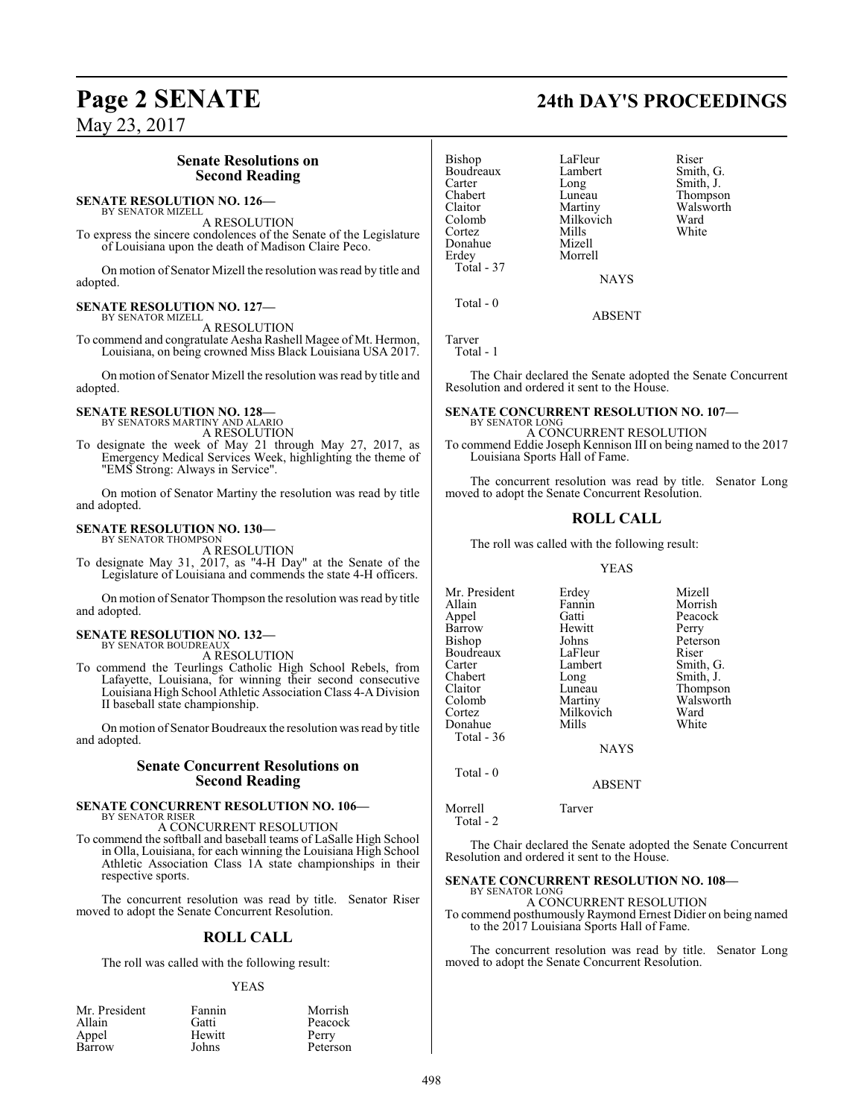### **Senate Resolutions on Second Reading**

#### **SENATE RESOLUTION NO. 126—** BY SENATOR MIZELL

A RESOLUTION

To express the sincere condolences of the Senate of the Legislature of Louisiana upon the death of Madison Claire Peco.

On motion of Senator Mizell the resolution was read by title and adopted.

#### **SENATE RESOLUTION NO. 127—** BY SENATOR MIZELL

A RESOLUTION

To commend and congratulate Aesha Rashell Magee of Mt. Hermon, Louisiana, on being crowned Miss Black Louisiana USA 2017.

On motion of Senator Mizell the resolution was read by title and adopted.

## **SENATE RESOLUTION NO. 128—** BY SENATORS MARTINY AND ALARIO

A RESOLUTION

To designate the week of May 21 through May 27, 2017, as Emergency Medical Services Week, highlighting the theme of "EMS Strong: Always in Service".

On motion of Senator Martiny the resolution was read by title and adopted.

#### **SENATE RESOLUTION NO. 130—** BY SENATOR THOMPSON

A RESOLUTION

To designate May 31, 2017, as "4-H Day" at the Senate of the Legislature of Louisiana and commends the state 4-H officers.

On motion of Senator Thompson the resolution was read by title and adopted.

#### **SENATE RESOLUTION NO. 132—** BY SENATOR BOUDREAUX

A RESOLUTION

To commend the Teurlings Catholic High School Rebels, from Lafayette, Louisiana, for winning their second consecutive Louisiana High School Athletic Association Class 4-A Division II baseball state championship.

On motion of Senator Boudreaux the resolution was read by title and adopted.

#### **Senate Concurrent Resolutions on Second Reading**

#### **SENATE CONCURRENT RESOLUTION NO. 106—** BY SENATOR RISER

A CONCURRENT RESOLUTION

To commend the softball and baseball teams of LaSalle High School in Olla, Louisiana, for each winning the Louisiana High School Athletic Association Class 1A state championships in their respective sports.

The concurrent resolution was read by title. Senator Riser moved to adopt the Senate Concurrent Resolution.

#### **ROLL CALL**

The roll was called with the following result:

#### YEAS

| Mr. President | Fannin | Morrish  |
|---------------|--------|----------|
| Allain        | Gatti  | Peacock  |
| Appel         | Hewitt | Perry    |
| Barrow        | Johns  | Peterson |

Bishop LaFleur Riser<br>Boudreaux Lambert Smith, G. Boudreaux Lamb<br>Carter Long Carter Long Smith, J.<br>Chabert Luneau Thompso Chabert Luneau Thompson<br>Claitor Martiny Walsworth Claitor Martiny Walsworth Colomb Milkovich Ward<br>Cortez Mills White Cortez Mills White Donahue Mizell<br>Erdey Morre Total - 37

Morrell

ABSENT

Tarver Total - 1

Total - 0

The Chair declared the Senate adopted the Senate Concurrent Resolution and ordered it sent to the House.

NAYS

#### **SENATE CONCURRENT RESOLUTION NO. 107—** BY SENATOR LONG

A CONCURRENT RESOLUTION To commend Eddie Joseph Kennison III on being named to the 2017 Louisiana Sports Hall of Fame.

The concurrent resolution was read by title. Senator Long moved to adopt the Senate Concurrent Resolution.

#### **ROLL CALL**

The roll was called with the following result:

#### YEAS

| Mr. President | Erdey       | Mizell    |
|---------------|-------------|-----------|
| Allain        | Fannin      | Morrish   |
| Appel         | Gatti       | Peacock   |
| Barrow        | Hewitt      | Perry     |
| Bishop        | Johns       | Peterson  |
| Boudreaux     | LaFleur     | Riser     |
| Carter        | Lambert     | Smith, G. |
| Chabert       | Long        | Smith, J. |
| Claitor       | Luneau      | Thompson  |
| Colomb        | Martiny     | Walsworth |
| Cortez        | Milkovich   | Ward      |
| Donahue       | Mills       | White     |
| Total - 36    |             |           |
|               | <b>NAYS</b> |           |
| Total - 0     |             |           |

ABSENT

Morrell Tarver Total - 2

The Chair declared the Senate adopted the Senate Concurrent Resolution and ordered it sent to the House.

#### **SENATE CONCURRENT RESOLUTION NO. 108—** BY SENATOR LONG

A CONCURRENT RESOLUTION

To commend posthumously Raymond Ernest Didier on being named to the 2017 Louisiana Sports Hall of Fame.

The concurrent resolution was read by title. Senator Long moved to adopt the Senate Concurrent Resolution.

# **Page 2 SENATE 24th DAY'S PROCEEDINGS**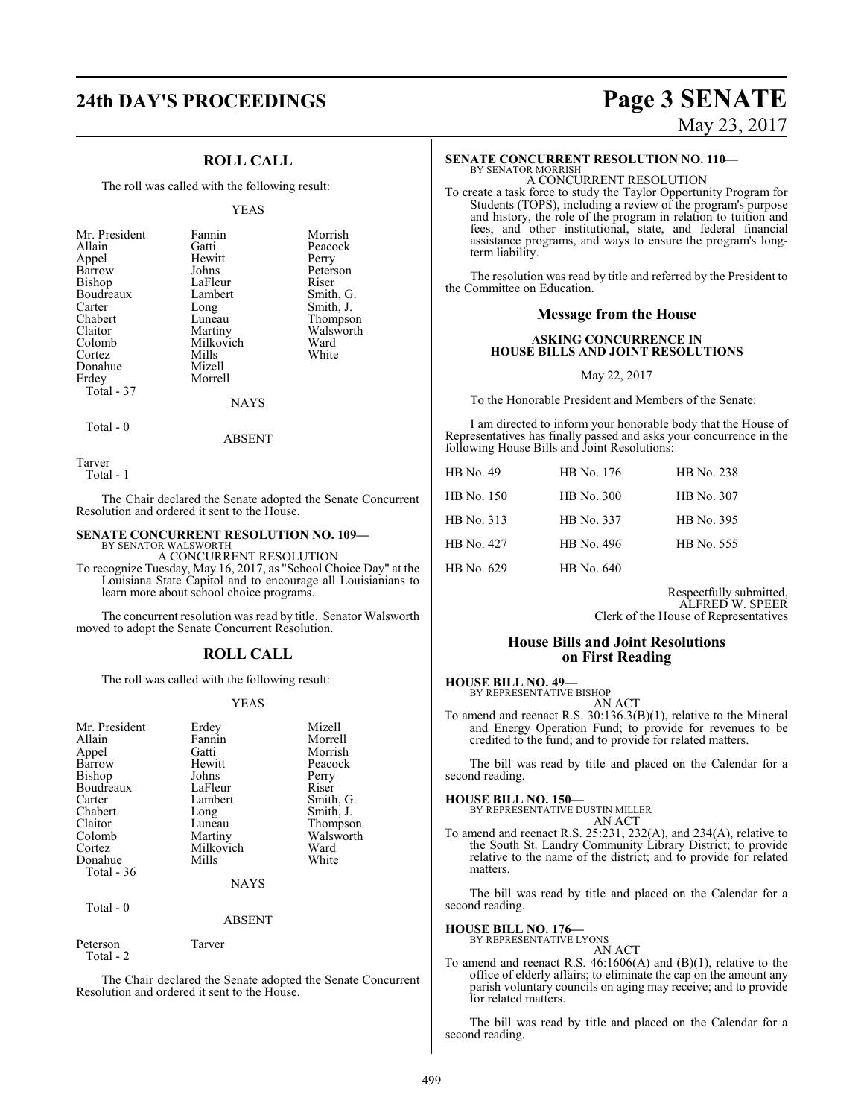# **24th DAY'S PROCEEDINGS Page 3 SENATE**

### **ROLL CALL**

The roll was called with the following result:

#### YEAS

| Mr. President | Fannin    | Morrish   |
|---------------|-----------|-----------|
| Allain        | Gatti     | Peacock   |
| Appel         | Hewitt    | Perry     |
| Barrow        | Johns     | Peterson  |
| Bishop        | LaFleur   | Riser     |
| Boudreaux     | Lambert   | Smith, G. |
| Carter        | Long      | Smith, J. |
| Chabert       | Luneau    | Thompson  |
| Claitor       | Martiny   | Walsworth |
| Colomb        | Milkovich | Ward      |
| Cortez        | Mills     | White     |
| Donahue       | Mizell    |           |
| Erdey         | Morrell   |           |
| Total - 37    |           |           |
|               | NAYS      |           |

 $Total - 0$ 

ABSENT

Tarver

Total - 1

The Chair declared the Senate adopted the Senate Concurrent Resolution and ordered it sent to the House.

#### **SENATE CONCURRENT RESOLUTION NO. 109—**

BY SENATOR WALSWORTH A CONCURRENT RESOLUTION

To recognize Tuesday, May 16, 2017, as "School Choice Day" at the Louisiana State Capitol and to encourage all Louisianians to learn more about school choice programs.

The concurrent resolution was read by title. Senator Walsworth moved to adopt the Senate Concurrent Resolution.

#### **ROLL CALL**

The roll was called with the following result:

#### YEAS

| Mr. President | Erdey     | Mizell    |
|---------------|-----------|-----------|
| Allain        | Fannin    | Morrell   |
| Appel         | Gatti     | Morrish   |
| Barrow        | Hewitt    | Peacock   |
| Bishop        | Johns     | Perry     |
| Boudreaux     | LaFleur   | Riser     |
| Carter        | Lambert   | Smith, G. |
| Chabert       | Long      | Smith, J. |
| Claitor       | Luneau    | Thompson  |
| Colomb        | Martiny   | Walsworth |
| Cortez        | Milkovich | Ward      |
| Donahue       | Mills     | White     |
| Total $-36$   |           |           |
|               | NAYS      |           |

Total - 0

#### ABSENT

Peterson Tarver Total - 2

The Chair declared the Senate adopted the Senate Concurrent Resolution and ordered it sent to the House.

# May 23, 2017

## **SENATE CONCURRENT RESOLUTION NO. 110—**

BY SENATOR MORRISH A CONCURRENT RESOLUTION

To create a task force to study the Taylor Opportunity Program for Students (TOPS), including a review of the program's purpose and history, the role of the program in relation to tuition and fees, and other institutional, state, and federal financial assistance programs, and ways to ensure the program's longterm liability.

The resolution was read by title and referred by the President to the Committee on Education.

#### **Message from the House**

#### **ASKING CONCURRENCE IN HOUSE BILLS AND JOINT RESOLUTIONS**

#### May 22, 2017

To the Honorable President and Members of the Senate:

I am directed to inform your honorable body that the House of Representatives has finally passed and asks your concurrence in the following House Bills and Joint Resolutions:

| HB No. 49  | HB No. 176 | HB No. 238 |
|------------|------------|------------|
| HB No. 150 | HB No. 300 | HB No. 307 |
| HB No. 313 | HB No. 337 | HB No. 395 |
| HB No. 427 | HB No. 496 | HB No. 555 |
| HB No. 629 | HB No. 640 |            |

Respectfully submitted, ALFRED W. SPEER Clerk of the House of Representatives

#### **House Bills and Joint Resolutions on First Reading**

#### **HOUSE BILL NO. 49—**

BY REPRESENTATIVE BISHOP

AN ACT

To amend and reenact R.S. 30:136.3(B)(1), relative to the Mineral and Energy Operation Fund; to provide for revenues to be credited to the fund; and to provide for related matters.

The bill was read by title and placed on the Calendar for a second reading.

#### **HOUSE BILL NO. 150—**

BY REPRESENTATIVE DUSTIN MILLER

AN ACT To amend and reenact R.S. 25:231, 232(A), and 234(A), relative to the South St. Landry Community Library District; to provide relative to the name of the district; and to provide for related matters.

The bill was read by title and placed on the Calendar for a second reading.

# **HOUSE BILL NO. 176—** BY REPRESENTATIVE LYONS

AN ACT

To amend and reenact R.S. 46:1606(A) and (B)(1), relative to the office of elderly affairs; to eliminate the cap on the amount any parish voluntary councils on aging may receive; and to provide for related matters.

The bill was read by title and placed on the Calendar for a second reading.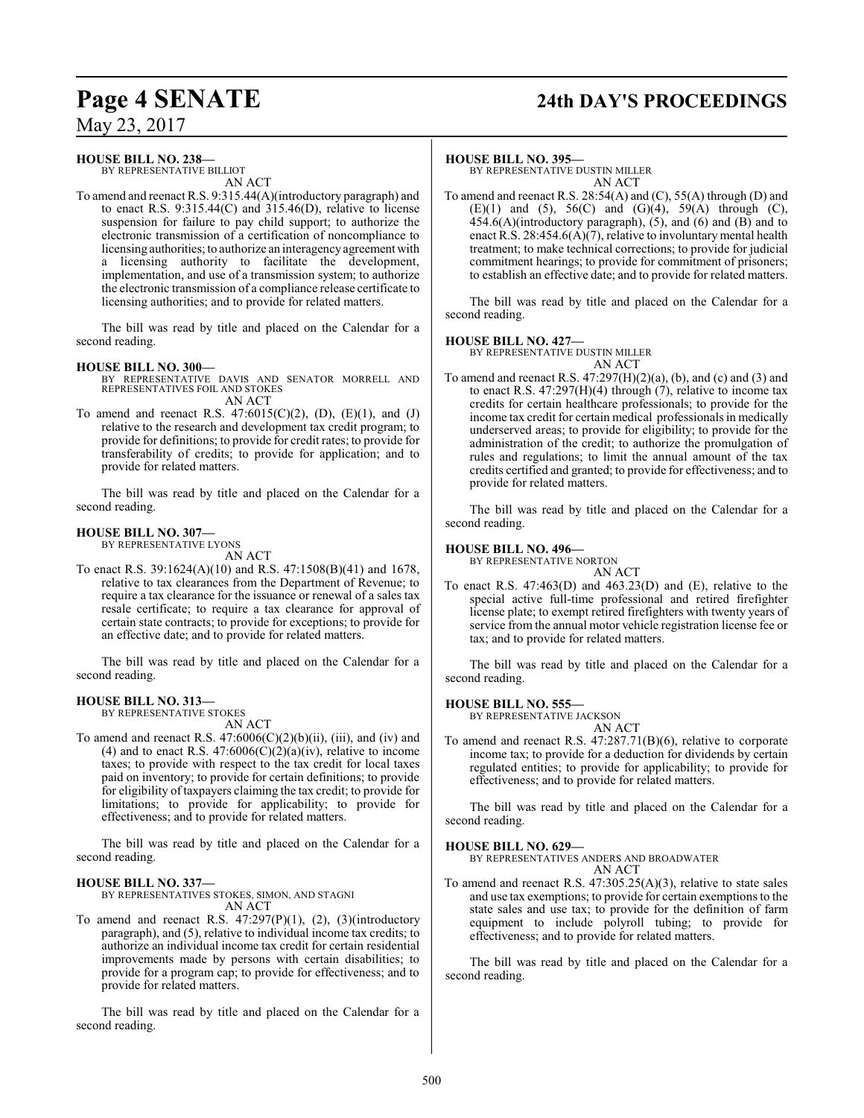# **Page 4 SENATE 24th DAY'S PROCEEDINGS**

May 23, 2017

#### **HOUSE BILL NO. 238—**

BY REPRESENTATIVE BILLIOT AN ACT

To amend and reenact R.S. 9:315.44(A)(introductory paragraph) and to enact R.S. 9:315.44(C) and  $315.46(D)$ , relative to license suspension for failure to pay child support; to authorize the electronic transmission of a certification of noncompliance to licensing authorities; to authorize an interagencyagreement with a licensing authority to facilitate the development, implementation, and use of a transmission system; to authorize the electronic transmission of a compliance release certificate to licensing authorities; and to provide for related matters.

The bill was read by title and placed on the Calendar for a second reading.

#### **HOUSE BILL NO. 300—**

- BY REPRESENTATIVE DAVIS AND SENATOR MORRELL AND REPRESENTATIVES FOIL AND STOKES AN ACT
- To amend and reenact R.S.  $47:6015(C)(2)$ , (D), (E)(1), and (J) relative to the research and development tax credit program; to provide for definitions; to provide for credit rates; to provide for transferability of credits; to provide for application; and to provide for related matters.

The bill was read by title and placed on the Calendar for a second reading.

#### **HOUSE BILL NO. 307—**

BY REPRESENTATIVE LYONS AN ACT

To enact R.S. 39:1624(A)(10) and R.S. 47:1508(B)(41) and 1678, relative to tax clearances from the Department of Revenue; to require a tax clearance for the issuance or renewal of a sales tax resale certificate; to require a tax clearance for approval of certain state contracts; to provide for exceptions; to provide for an effective date; and to provide for related matters.

The bill was read by title and placed on the Calendar for a second reading.

#### **HOUSE BILL NO. 313—**

BY REPRESENTATIVE STOKES AN ACT

To amend and reenact R.S.  $47:6006(C)(2)(b)(ii)$ , (iii), and (iv) and (4) and to enact R.S.  $47:6006(C)(2)(a)(iv)$ , relative to income taxes; to provide with respect to the tax credit for local taxes paid on inventory; to provide for certain definitions; to provide for eligibility of taxpayers claiming the tax credit; to provide for limitations; to provide for applicability; to provide for effectiveness; and to provide for related matters.

The bill was read by title and placed on the Calendar for a second reading.

#### **HOUSE BILL NO. 337—** BY REPRESENTATIVES STOKES, SIMON, AND STAGNI

AN ACT

To amend and reenact R.S.  $47:297(P)(1)$ ,  $(2)$ ,  $(3)(introducing$ paragraph), and (5), relative to individual income tax credits; to authorize an individual income tax credit for certain residential improvements made by persons with certain disabilities; to provide for a program cap; to provide for effectiveness; and to provide for related matters.

The bill was read by title and placed on the Calendar for a second reading.

#### **HOUSE BILL NO. 395—**

BY REPRESENTATIVE DUSTIN MILLER AN ACT

To amend and reenact R.S. 28:54(A) and (C), 55(A) through (D) and (E)(1) and (5), 56(C) and (G)(4), 59(A) through (C), 454.6(A)(introductory paragraph), (5), and (6) and (B) and to enact R.S. 28:454.6(A) $(7)$ , relative to involuntary mental health treatment; to make technical corrections; to provide for judicial commitment hearings; to provide for commitment of prisoners; to establish an effective date; and to provide for related matters.

The bill was read by title and placed on the Calendar for a second reading.

#### **HOUSE BILL NO. 427—**

BY REPRESENTATIVE DUSTIN MILLER AN ACT

To amend and reenact R.S. 47:297(H)(2)(a), (b), and (c) and (3) and to enact R.S. 47:297(H)(4) through (7), relative to income tax credits for certain healthcare professionals; to provide for the income tax credit for certain medical professionals in medically underserved areas; to provide for eligibility; to provide for the administration of the credit; to authorize the promulgation of rules and regulations; to limit the annual amount of the tax credits certified and granted; to provide for effectiveness; and to provide for related matters.

The bill was read by title and placed on the Calendar for a second reading.

#### **HOUSE BILL NO. 496—**

BY REPRESENTATIVE NORTON

AN ACT To enact R.S. 47:463(D) and 463.23(D) and (E), relative to the special active full-time professional and retired firefighter license plate; to exempt retired firefighters with twenty years of service from the annual motor vehicle registration license fee or tax; and to provide for related matters.

The bill was read by title and placed on the Calendar for a second reading.

#### **HOUSE BILL NO. 555—**

BY REPRESENTATIVE JACKSON AN ACT

To amend and reenact R.S. 47:287.71(B)(6), relative to corporate income tax; to provide for a deduction for dividends by certain regulated entities; to provide for applicability; to provide for effectiveness; and to provide for related matters.

The bill was read by title and placed on the Calendar for a second reading.

#### **HOUSE BILL NO. 629—**

BY REPRESENTATIVES ANDERS AND BROADWATER AN ACT

To amend and reenact R.S. 47:305.25(A)(3), relative to state sales and use tax exemptions; to provide for certain exemptions to the state sales and use tax; to provide for the definition of farm equipment to include polyroll tubing; to provide for effectiveness; and to provide for related matters.

The bill was read by title and placed on the Calendar for a second reading.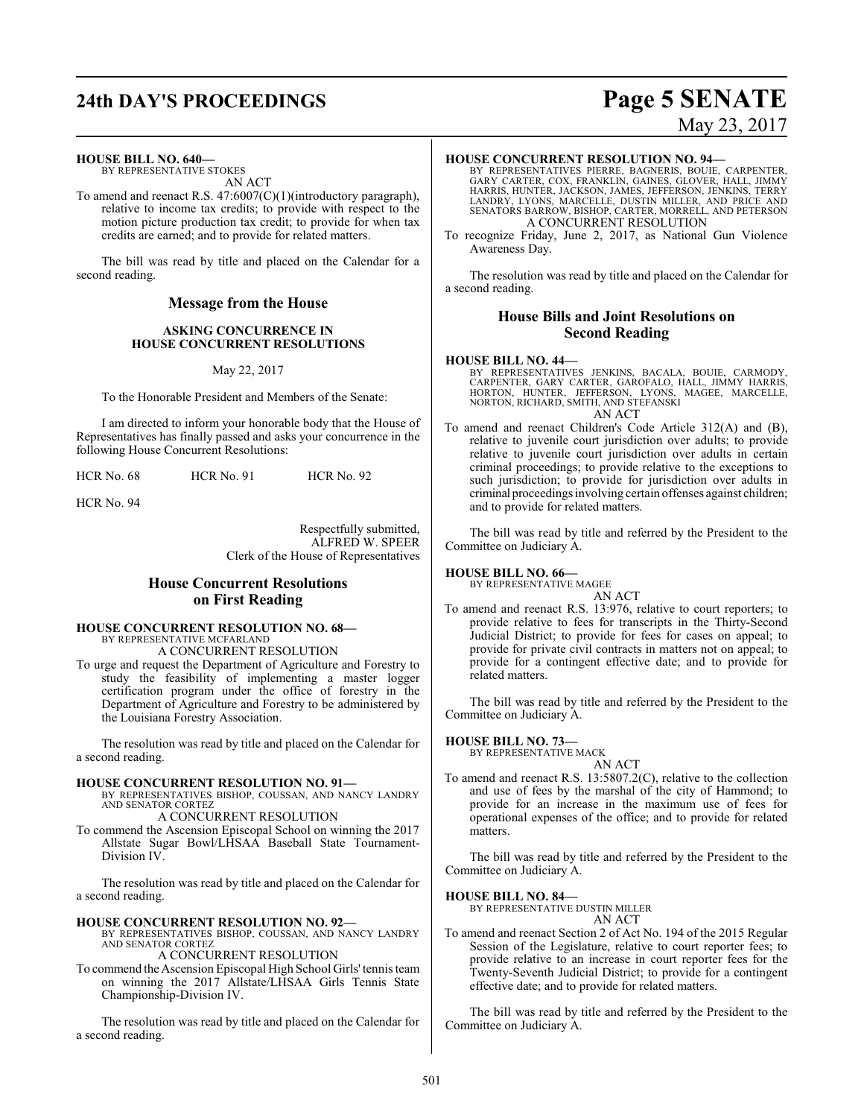# **24th DAY'S PROCEEDINGS Page 5 SENATE**

# May 23, 2017

#### **HOUSE BILL NO. 640—**

BY REPRESENTATIVE STOKES AN ACT

To amend and reenact R.S. 47:6007(C)(1)(introductory paragraph), relative to income tax credits; to provide with respect to the motion picture production tax credit; to provide for when tax credits are earned; and to provide for related matters.

The bill was read by title and placed on the Calendar for a second reading.

#### **Message from the House**

#### **ASKING CONCURRENCE IN HOUSE CONCURRENT RESOLUTIONS**

May 22, 2017

To the Honorable President and Members of the Senate:

I am directed to inform your honorable body that the House of Representatives has finally passed and asks your concurrence in the following House Concurrent Resolutions:

HCR No. 68 HCR No. 91 HCR No. 92

HCR No. 94

Respectfully submitted, ALFRED W. SPEER Clerk of the House of Representatives

## **House Concurrent Resolutions on First Reading**

#### **HOUSE CONCURRENT RESOLUTION NO. 68—** BY REPRESENTATIVE MCFARLAND

A CONCURRENT RESOLUTION

To urge and request the Department of Agriculture and Forestry to study the feasibility of implementing a master logger certification program under the office of forestry in the Department of Agriculture and Forestry to be administered by the Louisiana Forestry Association.

The resolution was read by title and placed on the Calendar for a second reading.

#### **HOUSE CONCURRENT RESOLUTION NO. 91—**

BY REPRESENTATIVES BISHOP, COUSSAN, AND NANCY LANDRY AND SENATOR CORTEZ A CONCURRENT RESOLUTION

To commend the Ascension Episcopal School on winning the 2017 Allstate Sugar Bowl/LHSAA Baseball State Tournament-Division IV.

The resolution was read by title and placed on the Calendar for a second reading.

#### **HOUSE CONCURRENT RESOLUTION NO. 92—**

BY REPRESENTATIVES BISHOP, COUSSAN, AND NANCY LANDRY AND SENATOR CORTEZ

A CONCURRENT RESOLUTION To commend the Ascension Episcopal High School Girls' tennis team on winning the 2017 Allstate/LHSAA Girls Tennis State Championship-Division IV.

The resolution was read by title and placed on the Calendar for a second reading.

#### **HOUSE CONCURRENT RESOLUTION NO. 94—**

BY REPRESENTATIVES PIERRE, BAGNERIS, BOUIE, CARPENTER,<br>GARY CARTER, COX, FRANKLIN, GAINES, GLOVER, HALL, JIMMY<br>HARRIS, HUNTER, JACKSON, JAMES, JEFFERSON, JENKINS, TERRY<br>LANDRY, LYONS, MARCELLE, DUSTIN MILLER, AND PRICE AND A CONCURRENT RESOLUTION

To recognize Friday, June 2, 2017, as National Gun Violence Awareness Day.

The resolution was read by title and placed on the Calendar for a second reading.

#### **House Bills and Joint Resolutions on Second Reading**

#### **HOUSE BILL NO. 44—**

BY REPRESENTATIVES JENKINS, BACALA, BOUIE, CARMODY, CARPENTER, GARY CARTER, GAROFALO, HALL, JIMMY HARRIS,<br>HORTON, HUNTER, JEFFERSON, LYONS, MAGEE, MARCELLE,<br>NORTON, RICHARD, SMITH, AND STEFANSKI AN ACT

To amend and reenact Children's Code Article 312(A) and (B), relative to juvenile court jurisdiction over adults; to provide relative to juvenile court jurisdiction over adults in certain criminal proceedings; to provide relative to the exceptions to such jurisdiction; to provide for jurisdiction over adults in criminal proceedings involving certain offenses against children; and to provide for related matters.

The bill was read by title and referred by the President to the Committee on Judiciary A.

#### **HOUSE BILL NO. 66—**

BY REPRESENTATIVE MAGEE AN ACT

To amend and reenact R.S. 13:976, relative to court reporters; to provide relative to fees for transcripts in the Thirty-Second Judicial District; to provide for fees for cases on appeal; to provide for private civil contracts in matters not on appeal; to provide for a contingent effective date; and to provide for related matters.

The bill was read by title and referred by the President to the Committee on Judiciary A.

#### **HOUSE BILL NO. 73—**

BY REPRESENTATIVE MACK AN ACT

To amend and reenact R.S. 13:5807.2(C), relative to the collection and use of fees by the marshal of the city of Hammond; to provide for an increase in the maximum use of fees for operational expenses of the office; and to provide for related matters.

The bill was read by title and referred by the President to the Committee on Judiciary A.

#### **HOUSE BILL NO. 84—**

BY REPRESENTATIVE DUSTIN MILLER AN ACT

To amend and reenact Section 2 of Act No. 194 of the 2015 Regular Session of the Legislature, relative to court reporter fees; to provide relative to an increase in court reporter fees for the Twenty-Seventh Judicial District; to provide for a contingent effective date; and to provide for related matters.

The bill was read by title and referred by the President to the Committee on Judiciary A.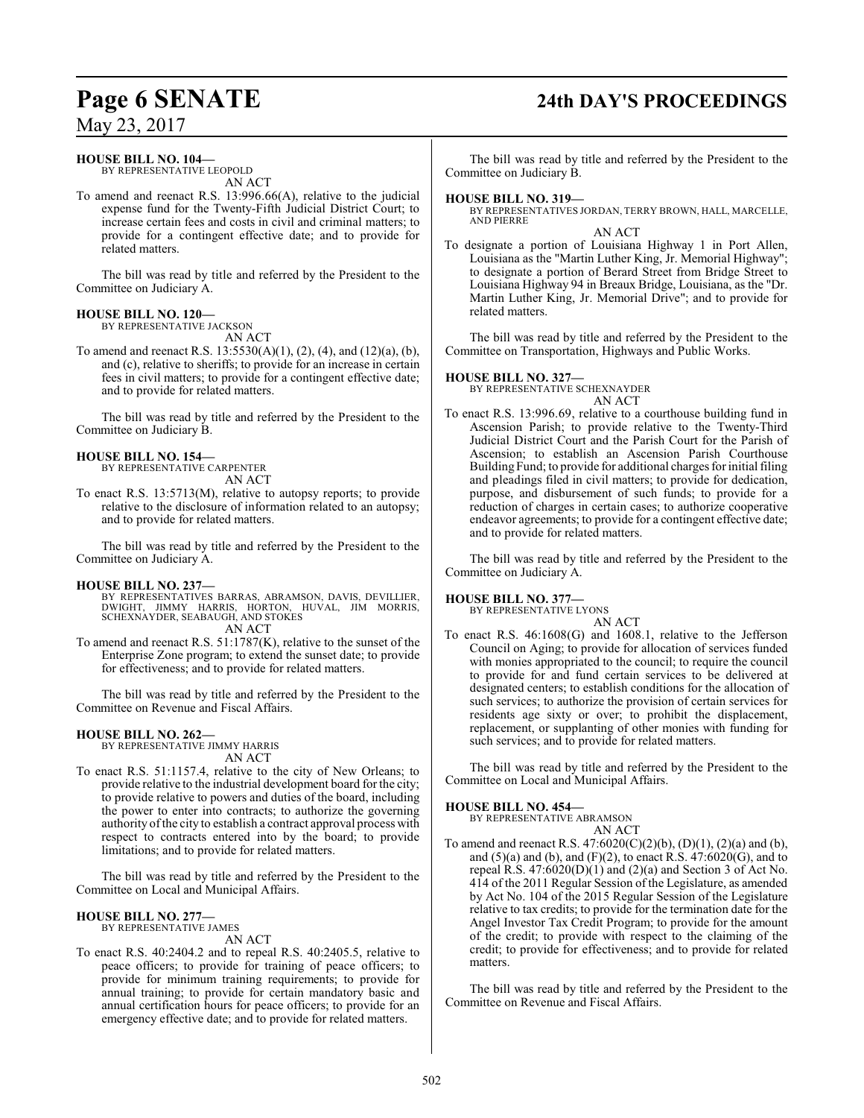# **Page 6 SENATE 24th DAY'S PROCEEDINGS**

May 23, 2017

#### **HOUSE BILL NO. 104—**

BY REPRESENTATIVE LEOPOLD AN ACT

To amend and reenact R.S. 13:996.66(A), relative to the judicial expense fund for the Twenty-Fifth Judicial District Court; to increase certain fees and costs in civil and criminal matters; to provide for a contingent effective date; and to provide for related matters.

The bill was read by title and referred by the President to the Committee on Judiciary A.

#### **HOUSE BILL NO. 120—**

BY REPRESENTATIVE JACKSON

AN ACT

To amend and reenact R.S. 13:5530(A)(1), (2), (4), and (12)(a), (b), and (c), relative to sheriffs; to provide for an increase in certain fees in civil matters; to provide for a contingent effective date; and to provide for related matters.

The bill was read by title and referred by the President to the Committee on Judiciary B.

#### **HOUSE BILL NO. 154—**

BY REPRESENTATIVE CARPENTER AN ACT

To enact R.S. 13:5713(M), relative to autopsy reports; to provide relative to the disclosure of information related to an autopsy; and to provide for related matters.

The bill was read by title and referred by the President to the Committee on Judiciary A.

#### **HOUSE BILL NO. 237—**

- BY REPRESENTATIVES BARRAS, ABRAMSON, DAVIS, DEVILLIER, DWIGHT, JIMMY HARRIS, HORTON, HUVAL, JIM MORRIS, SCHEXNAYDER, SEABAUGH, AND STOKES AN ACT
- To amend and reenact R.S. 51:1787(K), relative to the sunset of the Enterprise Zone program; to extend the sunset date; to provide for effectiveness; and to provide for related matters.

The bill was read by title and referred by the President to the Committee on Revenue and Fiscal Affairs.

#### **HOUSE BILL NO. 262—**

BY REPRESENTATIVE JIMMY HARRIS AN ACT

To enact R.S. 51:1157.4, relative to the city of New Orleans; to provide relative to the industrial development board for the city; to provide relative to powers and duties of the board, including the power to enter into contracts; to authorize the governing authority of the city to establish a contract approval process with respect to contracts entered into by the board; to provide limitations; and to provide for related matters.

The bill was read by title and referred by the President to the Committee on Local and Municipal Affairs.

#### **HOUSE BILL NO. 277—**

BY REPRESENTATIVE JAMES AN ACT

To enact R.S. 40:2404.2 and to repeal R.S. 40:2405.5, relative to peace officers; to provide for training of peace officers; to provide for minimum training requirements; to provide for annual training; to provide for certain mandatory basic and annual certification hours for peace officers; to provide for an emergency effective date; and to provide for related matters.

The bill was read by title and referred by the President to the Committee on Judiciary B.

#### **HOUSE BILL NO. 319—**

BY REPRESENTATIVES JORDAN, TERRY BROWN, HALL, MARCELLE, AND PIERRE AN ACT

To designate a portion of Louisiana Highway 1 in Port Allen, Louisiana as the "Martin Luther King, Jr. Memorial Highway"; to designate a portion of Berard Street from Bridge Street to Louisiana Highway 94 in Breaux Bridge, Louisiana, as the "Dr. Martin Luther King, Jr. Memorial Drive"; and to provide for related matters.

The bill was read by title and referred by the President to the Committee on Transportation, Highways and Public Works.

#### **HOUSE BILL NO. 327—**

BY REPRESENTATIVE SCHEXNAYDER AN ACT

To enact R.S. 13:996.69, relative to a courthouse building fund in Ascension Parish; to provide relative to the Twenty-Third Judicial District Court and the Parish Court for the Parish of Ascension; to establish an Ascension Parish Courthouse Building Fund; to provide for additional charges for initial filing and pleadings filed in civil matters; to provide for dedication, purpose, and disbursement of such funds; to provide for a reduction of charges in certain cases; to authorize cooperative endeavor agreements; to provide for a contingent effective date; and to provide for related matters.

The bill was read by title and referred by the President to the Committee on Judiciary A.

#### **HOUSE BILL NO. 377—**

BY REPRESENTATIVE LYONS AN ACT

To enact R.S. 46:1608(G) and 1608.1, relative to the Jefferson Council on Aging; to provide for allocation of services funded with monies appropriated to the council; to require the council to provide for and fund certain services to be delivered at designated centers; to establish conditions for the allocation of such services; to authorize the provision of certain services for residents age sixty or over; to prohibit the displacement, replacement, or supplanting of other monies with funding for such services; and to provide for related matters.

The bill was read by title and referred by the President to the Committee on Local and Municipal Affairs.

#### **HOUSE BILL NO. 454—**

BY REPRESENTATIVE ABRAMSON AN ACT

To amend and reenact R.S. 47:6020(C)(2)(b), (D)(1), (2)(a) and (b), and  $(5)(a)$  and  $(b)$ , and  $(F)(2)$ , to enact R.S. 47:6020 $(G)$ , and to repeal R.S.  $47:6020(D)(1)$  and  $(2)(a)$  and Section 3 of Act No. 414 of the 2011 Regular Session of the Legislature, as amended by Act No. 104 of the 2015 Regular Session of the Legislature relative to tax credits; to provide for the termination date for the Angel Investor Tax Credit Program; to provide for the amount of the credit; to provide with respect to the claiming of the credit; to provide for effectiveness; and to provide for related matters.

The bill was read by title and referred by the President to the Committee on Revenue and Fiscal Affairs.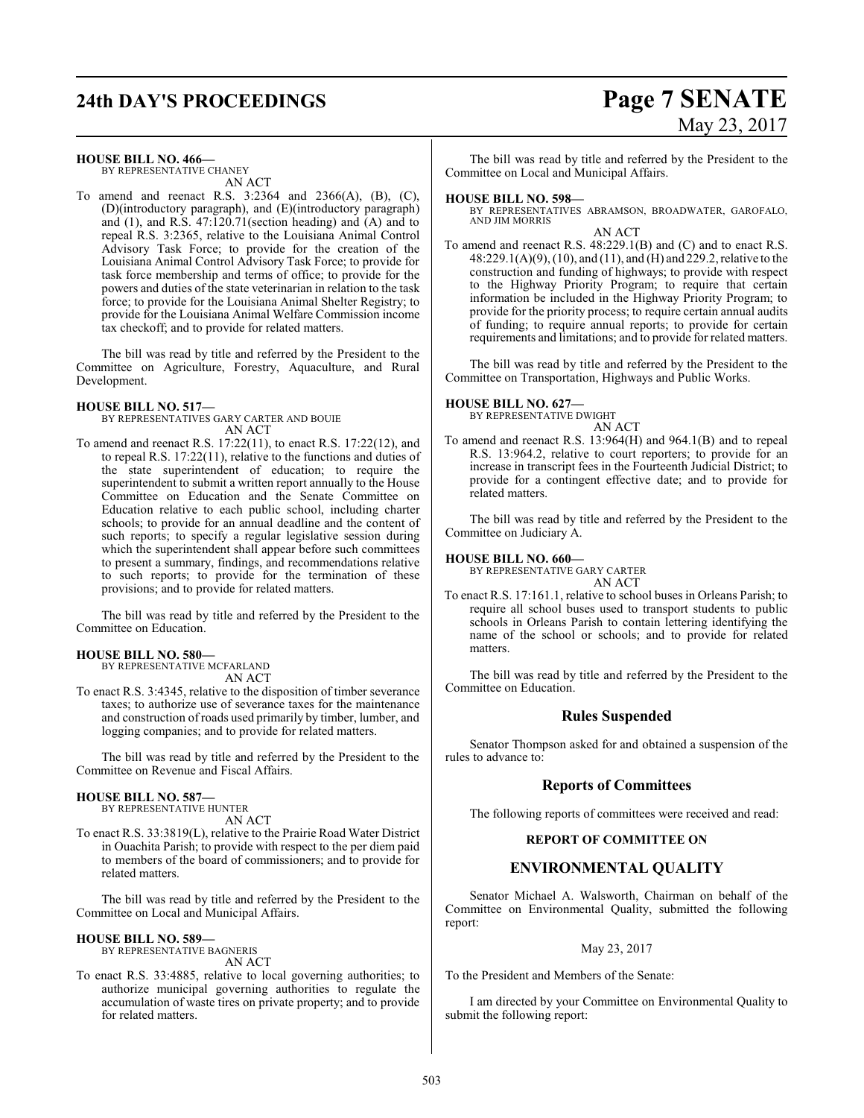# **24th DAY'S PROCEEDINGS Page 7 SENATE**

# May 23, 2017

**HOUSE BILL NO. 466—**

BY REPRESENTATIVE CHANEY AN ACT

To amend and reenact R.S. 3:2364 and 2366(A), (B), (C), (D)(introductory paragraph), and (E)(introductory paragraph) and (1), and R.S. 47:120.71(section heading) and (A) and to repeal R.S. 3:2365, relative to the Louisiana Animal Control Advisory Task Force; to provide for the creation of the Louisiana Animal Control Advisory Task Force; to provide for task force membership and terms of office; to provide for the powers and duties of the state veterinarian in relation to the task force; to provide for the Louisiana Animal Shelter Registry; to provide for the Louisiana Animal Welfare Commission income tax checkoff; and to provide for related matters.

The bill was read by title and referred by the President to the Committee on Agriculture, Forestry, Aquaculture, and Rural Development.

#### **HOUSE BILL NO. 517—**

BY REPRESENTATIVES GARY CARTER AND BOUIE AN ACT

To amend and reenact R.S. 17:22(11), to enact R.S. 17:22(12), and to repeal R.S. 17:22(11), relative to the functions and duties of the state superintendent of education; to require the superintendent to submit a written report annually to the House Committee on Education and the Senate Committee on Education relative to each public school, including charter schools; to provide for an annual deadline and the content of such reports; to specify a regular legislative session during which the superintendent shall appear before such committees to present a summary, findings, and recommendations relative to such reports; to provide for the termination of these provisions; and to provide for related matters.

The bill was read by title and referred by the President to the Committee on Education.

#### **HOUSE BILL NO. 580—**

BY REPRESENTATIVE MCFARLAND AN ACT

To enact R.S. 3:4345, relative to the disposition of timber severance taxes; to authorize use of severance taxes for the maintenance and construction of roads used primarily by timber, lumber, and logging companies; and to provide for related matters.

The bill was read by title and referred by the President to the Committee on Revenue and Fiscal Affairs.

#### **HOUSE BILL NO. 587—**

BY REPRESENTATIVE HUNTER AN ACT

To enact R.S. 33:3819(L), relative to the Prairie Road Water District in Ouachita Parish; to provide with respect to the per diem paid to members of the board of commissioners; and to provide for related matters.

The bill was read by title and referred by the President to the Committee on Local and Municipal Affairs.

#### **HOUSE BILL NO. 589—**

BY REPRESENTATIVE BAGNERIS AN ACT

To enact R.S. 33:4885, relative to local governing authorities; to authorize municipal governing authorities to regulate the accumulation of waste tires on private property; and to provide for related matters.

The bill was read by title and referred by the President to the Committee on Local and Municipal Affairs.

#### **HOUSE BILL NO. 598—**

BY REPRESENTATIVES ABRAMSON, BROADWATER, GAROFALO, AND JIM MORRIS AN ACT

To amend and reenact R.S. 48:229.1(B) and (C) and to enact R.S. 48:229.1(A)(9), (10), and (11), and (H) and 229.2, relative to the construction and funding of highways; to provide with respect to the Highway Priority Program; to require that certain information be included in the Highway Priority Program; to provide for the priority process; to require certain annual audits of funding; to require annual reports; to provide for certain requirements and limitations; and to provide for related matters.

The bill was read by title and referred by the President to the Committee on Transportation, Highways and Public Works.

#### **HOUSE BILL NO. 627—**

BY REPRESENTATIVE DWIGHT AN ACT

To amend and reenact R.S. 13:964(H) and 964.1(B) and to repeal R.S. 13:964.2, relative to court reporters; to provide for an increase in transcript fees in the Fourteenth Judicial District; to provide for a contingent effective date; and to provide for related matters.

The bill was read by title and referred by the President to the Committee on Judiciary A.

#### **HOUSE BILL NO. 660—**

BY REPRESENTATIVE GARY CARTER AN ACT

To enact R.S. 17:161.1, relative to school buses in Orleans Parish; to require all school buses used to transport students to public schools in Orleans Parish to contain lettering identifying the name of the school or schools; and to provide for related matters.

The bill was read by title and referred by the President to the Committee on Education.

#### **Rules Suspended**

Senator Thompson asked for and obtained a suspension of the rules to advance to:

#### **Reports of Committees**

The following reports of committees were received and read:

### **REPORT OF COMMITTEE ON**

#### **ENVIRONMENTAL QUALITY**

Senator Michael A. Walsworth, Chairman on behalf of the Committee on Environmental Quality, submitted the following report:

May 23, 2017

To the President and Members of the Senate:

I am directed by your Committee on Environmental Quality to submit the following report: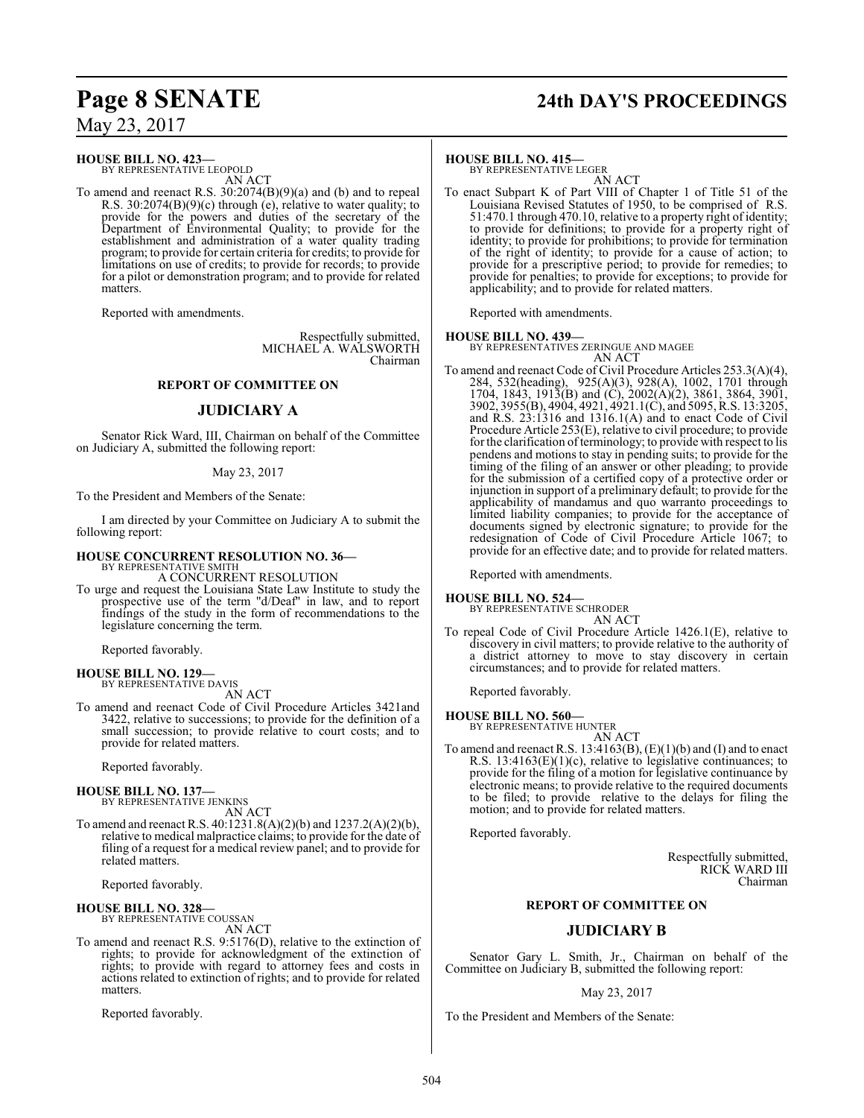**HOUSE BILL NO. 423—**

BY REPRESENTATIVE LEOPOLD AN ACT

To amend and reenact R.S. 30:2074(B)(9)(a) and (b) and to repeal R.S. 30:2074(B)(9)(c) through (e), relative to water quality; to provide for the powers and duties of the secretary of the Department of Environmental Quality; to provide for the establishment and administration of a water quality trading program; to provide for certain criteria for credits; to provide for limitations on use of credits; to provide for records; to provide for a pilot or demonstration program; and to provide for related matters.

Reported with amendments.

Respectfully submitted, MICHAEL A. WALSWORTH Chairman

#### **REPORT OF COMMITTEE ON**

#### **JUDICIARY A**

Senator Rick Ward, III, Chairman on behalf of the Committee on Judiciary A, submitted the following report:

#### May 23, 2017

To the President and Members of the Senate:

I am directed by your Committee on Judiciary A to submit the following report:

#### **HOUSE CONCURRENT RESOLUTION NO. 36—**

BY REPRESENTATIVE SMITH A CONCURRENT RESOLUTION

To urge and request the Louisiana State Law Institute to study the prospective use of the term "d/Deaf" in law, and to report findings of the study in the form of recommendations to the legislature concerning the term.

Reported favorably.

**HOUSE BILL NO. 129—** BY REPRESENTATIVE DAVIS

AN ACT

To amend and reenact Code of Civil Procedure Articles 3421and 3422, relative to successions; to provide for the definition of a small succession; to provide relative to court costs; and to provide for related matters.

Reported favorably.

# **HOUSE BILL NO. 137—** BY REPRESENTATIVE JENKINS

AN ACT

To amend and reenact R.S. 40:1231.8(A)(2)(b) and 1237.2(A)(2)(b), relative to medical malpractice claims; to provide for the date of filing of a request for a medical review panel; and to provide for related matters.

Reported favorably.

**HOUSE BILL NO. 328—** BY REPRESENTATIVE COUSSAN AN ACT

To amend and reenact R.S. 9:5176(D), relative to the extinction of rights; to provide for acknowledgment of the extinction of rights; to provide with regard to attorney fees and costs in actions related to extinction of rights; and to provide for related matters.

Reported favorably.

# **Page 8 SENATE 24th DAY'S PROCEEDINGS**

**HOUSE BILL NO. 415—** BY REPRESENTATIVE LEGER AN ACT

To enact Subpart K of Part VIII of Chapter 1 of Title 51 of the Louisiana Revised Statutes of 1950, to be comprised of R.S. 51:470.1 through 470.10, relative to a property right of identity; to provide for definitions; to provide for a property right of identity; to provide for prohibitions; to provide for termination of the right of identity; to provide for a cause of action; to provide for a prescriptive period; to provide for remedies; to provide for penalties; to provide for exceptions; to provide for applicability; and to provide for related matters.

Reported with amendments.

**HOUSE BILL NO. 439—** BY REPRESENTATIVES ZERINGUE AND MAGEE AN ACT

To amend and reenact Code of Civil Procedure Articles 253.3(A)(4), 284, 532(heading), 925(A)(3), 928(A), 1002, 1701 through 1704, 1843, 1913(B) and (C), 2002(A)(2), 3861, 3864, 3901, 3902, 3955(B), 4904, 4921, 4921.1(C), and 5095, R.S. 13:3205, and R.S. 23:1316 and 1316.1(A) and to enact Code of Civil Procedure Article 253(E), relative to civil procedure; to provide for the clarification of terminology; to provide with respect to lis pendens and motions to stay in pending suits; to provide for the timing of the filing of an answer or other pleading; to provide for the submission of a certified copy of a protective order or injunction in support of a preliminary default; to provide for the applicability of mandamus and quo warranto proceedings to limited liability companies; to provide for the acceptance of documents signed by electronic signature; to provide for the redesignation of Code of Civil Procedure Article 1067; to provide for an effective date; and to provide for related matters.

Reported with amendments.

# **HOUSE BILL NO. 524—** BY REPRESENTATIVE SCHRODER

AN ACT

To repeal Code of Civil Procedure Article 1426.1(E), relative to discovery in civil matters; to provide relative to the authority of a district attorney to move to stay discovery in certain circumstances; and to provide for related matters.

Reported favorably.

#### **HOUSE BILL NO. 560—**

BY REPRESENTATIVE HUNTER AN ACT

To amend and reenact R.S.  $13:4163(B), (E)(1)(b)$  and (I) and to enact R.S. 13:4163(E)(1)(c), relative to legislative continuances; to provide for the filing of a motion for legislative continuance by electronic means; to provide relative to the required documents to be filed; to provide relative to the delays for filing the motion; and to provide for related matters.

Reported favorably.

Respectfully submitted, RICK WARD III Chairman

#### **REPORT OF COMMITTEE ON**

## **JUDICIARY B**

Senator Gary L. Smith, Jr., Chairman on behalf of the Committee on Judiciary B, submitted the following report:

#### May 23, 2017

To the President and Members of the Senate: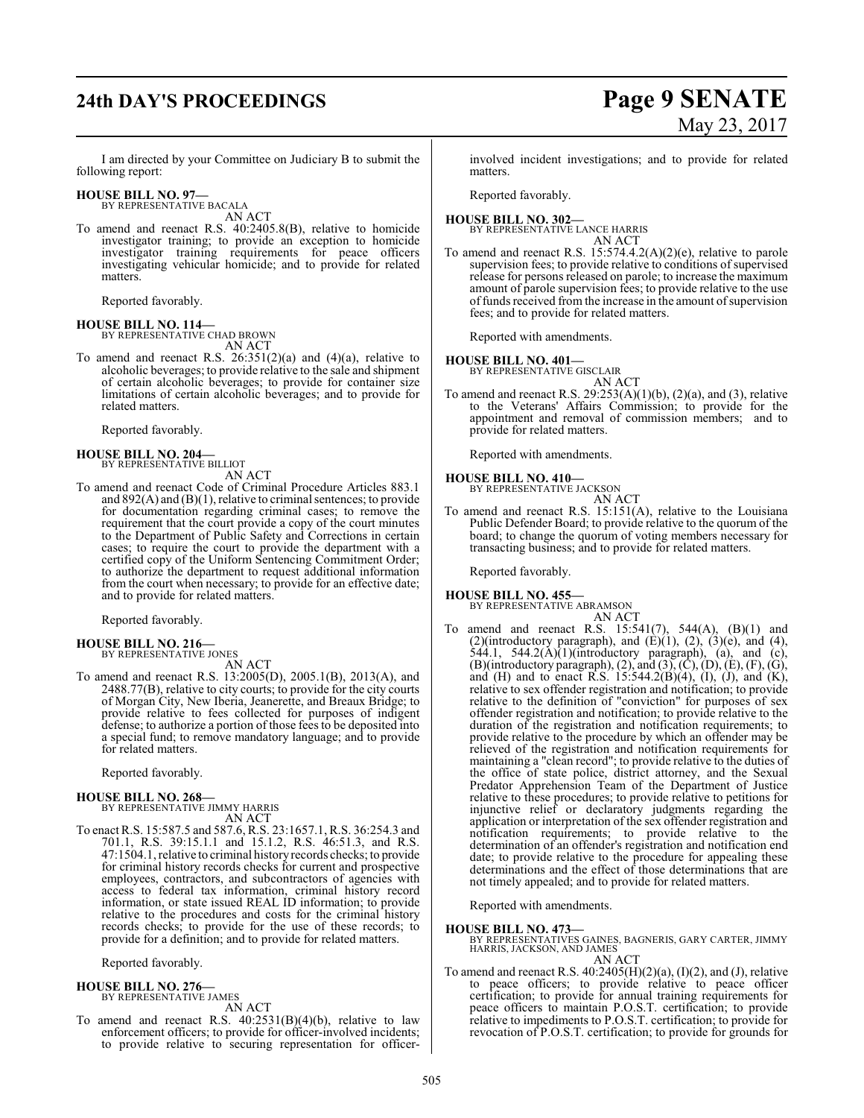# **24th DAY'S PROCEEDINGS Page 9 SENATE**

# May 23, 2017

I am directed by your Committee on Judiciary B to submit the following report:

#### **HOUSE BILL NO. 97—**

BY REPRESENTATIVE BACALA AN ACT

To amend and reenact R.S. 40:2405.8(B), relative to homicide investigator training; to provide an exception to homicide investigator training requirements for peace officers investigating vehicular homicide; and to provide for related matters.

Reported favorably.

**HOUSE BILL NO. 114—** BY REPRESENTATIVE CHAD BROWN AN ACT

To amend and reenact R.S.  $26:351(2)(a)$  and  $(4)(a)$ , relative to alcoholic beverages; to provide relative to the sale and shipment of certain alcoholic beverages; to provide for container size limitations of certain alcoholic beverages; and to provide for related matters.

Reported favorably.

**HOUSE BILL NO. 204—** BY REPRESENTATIVE BILLIOT

# AN ACT

To amend and reenact Code of Criminal Procedure Articles 883.1 and 892(A) and (B)(1), relative to criminal sentences; to provide for documentation regarding criminal cases; to remove the requirement that the court provide a copy of the court minutes to the Department of Public Safety and Corrections in certain cases; to require the court to provide the department with a certified copy of the Uniform Sentencing Commitment Order; to authorize the department to request additional information from the court when necessary; to provide for an effective date; and to provide for related matters.

Reported favorably.

- **HOUSE BILL NO. 216—** BY REPRESENTATIVE JONES
- AN ACT To amend and reenact R.S. 13:2005(D), 2005.1(B), 2013(A), and 2488.77(B), relative to city courts; to provide for the city courts of Morgan City, New Iberia, Jeanerette, and Breaux Bridge; to provide relative to fees collected for purposes of indigent defense; to authorize a portion of those fees to be deposited into a special fund; to remove mandatory language; and to provide for related matters.

Reported favorably.

#### **HOUSE BILL NO. 268—**

BY REPRESENTATIVE JIMMY HARRIS AN ACT

To enact R.S. 15:587.5 and 587.6, R.S. 23:1657.1, R.S. 36:254.3 and 701.1, R.S. 39:15.1.1 and 15.1.2, R.S. 46:51.3, and R.S. 47:1504.1, relative to criminal historyrecords checks; to provide for criminal history records checks for current and prospective employees, contractors, and subcontractors of agencies with access to federal tax information, criminal history record information, or state issued REAL ID information; to provide relative to the procedures and costs for the criminal history records checks; to provide for the use of these records; to provide for a definition; and to provide for related matters.

Reported favorably.

#### **HOUSE BILL NO. 276—**

BY REPRESENTATIVE JAMES AN ACT

To amend and reenact R.S.  $40:2531(B)(4)(b)$ , relative to law enforcement officers; to provide for officer-involved incidents; to provide relative to securing representation for officerinvolved incident investigations; and to provide for related matters.

Reported favorably.

#### **HOUSE BILL NO. 302—** BY REPRESENTATIVE LANCE HARRIS AN ACT

To amend and reenact R.S. 15:574.4.2(A)(2)(e), relative to parole supervision fees; to provide relative to conditions of supervised release for persons released on parole; to increase the maximum amount of parole supervision fees; to provide relative to the use of funds received from the increase in the amount of supervision fees; and to provide for related matters.

Reported with amendments.

#### **HOUSE BILL NO. 401—**

BY REPRESENTATIVE GISCLAIR

AN ACT To amend and reenact R.S.  $29:253(A)(1)(b)$ ,  $(2)(a)$ , and  $(3)$ , relative to the Veterans' Affairs Commission; to provide for the appointment and removal of commission members; and to provide for related matters.

Reported with amendments.

# **HOUSE BILL NO. 410—** BY REPRESENTATIVE JACKSON

AN ACT

To amend and reenact R.S. 15:151(A), relative to the Louisiana Public Defender Board; to provide relative to the quorum of the board; to change the quorum of voting members necessary for transacting business; and to provide for related matters.

Reported favorably.

### **HOUSE BILL NO. 455—**

BY REPRESENTATIVE ABRAMSON AN ACT

To amend and reenact R.S. 15:541(7), 544(A), (B)(1) and (2)(introductory paragraph), and  $(E)(1)$ ,  $(2)$ ,  $(3)(e)$ , and  $(4)$ ,  $544.1$ ,  $544.2(A)(1)(introducing paragraph)$ , (a), and (c),  $(B)$ (introductory paragraph), (2), and (3), (C), (D), (E), (F), (G), and (H) and to enact R.S.  $15:544.2(B)(4)$ , (I), (J), and (K), relative to sex offender registration and notification; to provide relative to the definition of "conviction" for purposes of sex offender registration and notification; to provide relative to the duration of the registration and notification requirements; to provide relative to the procedure by which an offender may be relieved of the registration and notification requirements for maintaining a "clean record"; to provide relative to the duties of the office of state police, district attorney, and the Sexual Predator Apprehension Team of the Department of Justice relative to these procedures; to provide relative to petitions for injunctive relief or declaratory judgments regarding the application or interpretation of the sex offender registration and notification requirements; to provide relative to the determination of an offender's registration and notification end date; to provide relative to the procedure for appealing these determinations and the effect of those determinations that are not timely appealed; and to provide for related matters.

Reported with amendments.

**HOUSE BILL NO. 473—** BY REPRESENTATIVES GAINES, BAGNERIS, GARY CARTER, JIMMY HARRIS, JACKSON, AND JAMES

AN ACT

To amend and reenact R.S.  $40:2405(H)(2)(a)$ ,  $(I)(2)$ , and  $(J)$ , relative to peace officers; to provide relative to peace officer certification; to provide for annual training requirements for peace officers to maintain P.O.S.T. certification; to provide relative to impediments to P.O.S.T. certification; to provide for revocation of P.O.S.T. certification; to provide for grounds for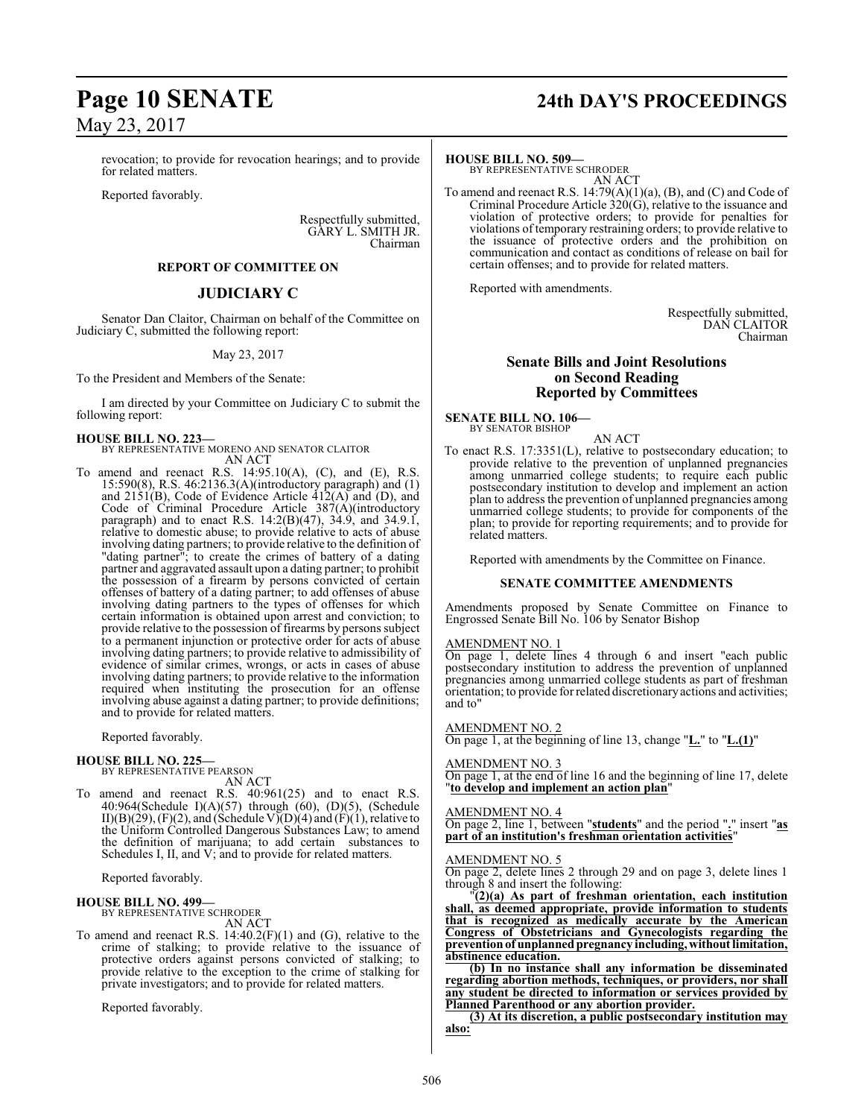revocation; to provide for revocation hearings; and to provide for related matters.

Reported favorably.

Respectfully submitted, GARY L. SMITH JR. Chairman

#### **REPORT OF COMMITTEE ON**

#### **JUDICIARY C**

Senator Dan Claitor, Chairman on behalf of the Committee on Judiciary C, submitted the following report:

#### May 23, 2017

To the President and Members of the Senate:

I am directed by your Committee on Judiciary C to submit the following report:

**HOUSE BILL NO. 223—** BY REPRESENTATIVE MORENO AND SENATOR CLAITOR AN ACT

To amend and reenact R.S. 14:95.10(A), (C), and (E), R.S. 15:590(8), R.S. 46:2136.3(A)(introductory paragraph) and (1) and 2151(B), Code of Evidence Article 412(A) and (D), and Code of Criminal Procedure Article 387(A)(introductory paragraph) and to enact R.S. 14:2(B)(47), 34.9, and 34.9.1, relative to domestic abuse; to provide relative to acts of abuse involving dating partners; to provide relative to the definition of "dating partner"; to create the crimes of battery of a dating partner and aggravated assault upon a dating partner; to prohibit the possession of a firearm by persons convicted of certain offenses of battery of a dating partner; to add offenses of abuse involving dating partners to the types of offenses for which certain information is obtained upon arrest and conviction; to provide relative to the possession of firearms by persons subject to a permanent injunction or protective order for acts of abuse involving dating partners; to provide relative to admissibility of evidence of similar crimes, wrongs, or acts in cases of abuse involving dating partners; to provide relative to the information required when instituting the prosecution for an offense involving abuse against a dating partner; to provide definitions; and to provide for related matters.

Reported favorably.

#### **HOUSE BILL NO. 225—**

BY REPRESENTATIVE PEARSON AN ACT

To amend and reenact R.S. 40:961(25) and to enact R.S. 40:964(Schedule I)(A)(57) through (60), (D)(5), (Schedule II)(B)(29), (F)(2), and (Schedule V)(D)(4) and (F)(1), relative to the Uniform Controlled Dangerous Substances Law; to amend the definition of marijuana; to add certain substances to Schedules I, II, and V; and to provide for related matters.

Reported favorably.

#### **HOUSE BILL NO. 499—** BY REPRESENTATIVE SCHRODER

AN ACT

To amend and reenact R.S. 14:40.2(F)(1) and (G), relative to the crime of stalking; to provide relative to the issuance of protective orders against persons convicted of stalking; to provide relative to the exception to the crime of stalking for private investigators; and to provide for related matters.

Reported favorably.

# **Page 10 SENATE 24th DAY'S PROCEEDINGS**

#### **HOUSE BILL NO. 509—**

BY REPRESENTATIVE SCHRODER AN ACT

To amend and reenact R.S. 14:79(A)(1)(a), (B), and (C) and Code of Criminal Procedure Article 320(G), relative to the issuance and violation of protective orders; to provide for penalties for violations of temporary restraining orders; to provide relative to the issuance of protective orders and the prohibition on communication and contact as conditions of release on bail for certain offenses; and to provide for related matters.

Reported with amendments.

Respectfully submitted, DAN CLAITOR Chairman

#### **Senate Bills and Joint Resolutions on Second Reading Reported by Committees**

**SENATE BILL NO. 106—** BY SENATOR BISHOP

AN ACT

To enact R.S. 17:3351(L), relative to postsecondary education; to provide relative to the prevention of unplanned pregnancies among unmarried college students; to require each public postsecondary institution to develop and implement an action plan to address the prevention of unplanned pregnancies among unmarried college students; to provide for components of the plan; to provide for reporting requirements; and to provide for related matters.

Reported with amendments by the Committee on Finance.

#### **SENATE COMMITTEE AMENDMENTS**

Amendments proposed by Senate Committee on Finance to Engrossed Senate Bill No. 106 by Senator Bishop

#### AMENDMENT NO. 1

On page 1, delete lines 4 through 6 and insert "each public postsecondary institution to address the prevention of unplanned pregnancies among unmarried college students as part of freshman orientation; to provide for related discretionaryactions and activities; and to"

AMENDMENT NO. 2

On page 1, at the beginning of line 13, change "**L.**" to "**L.(1)**"

AMENDMENT NO. 3

On page 1, at the end of line 16 and the beginning of line 17, delete "**to develop and implement an action plan**"

#### AMENDMENT NO. 4

On page 2, line 1, between "**students**" and the period "**.**" insert "**as part of an institution's freshman orientation activities**"

#### AMENDMENT NO. 5

On page 2, delete lines 2 through 29 and on page 3, delete lines 1 through 8 and insert the following:

"**(2)(a) As part of freshman orientation, each institution shall, as deemed appropriate, provide information to students that is recognized as medically accurate by the American Congress of Obstetricians and Gynecologists regarding the preventionof unplannedpregnancy including,without limitation, abstinence education.**

**(b) In no instance shall any information be disseminated regarding abortion methods, techniques, or providers, nor shall any student be directed to information or services provided by Planned Parenthood or any abortion provider.**

**(3) At its discretion, a public postsecondary institution may also:**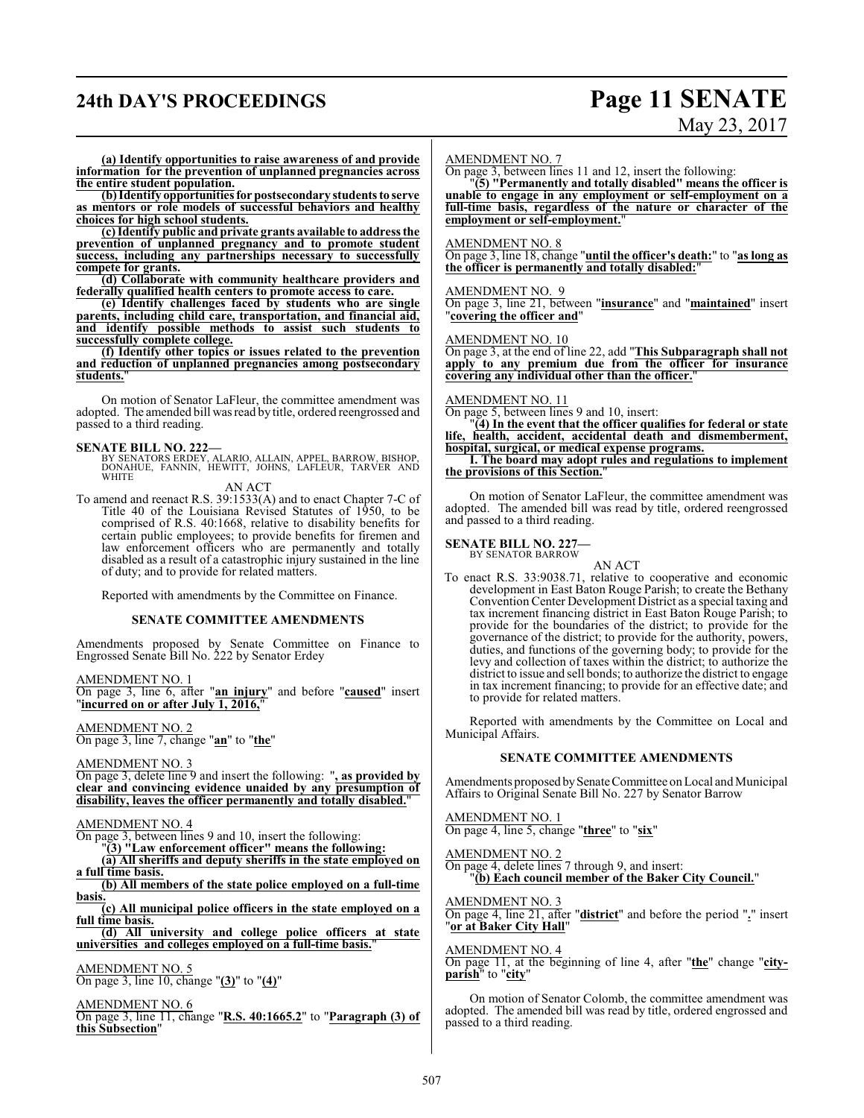# **24th DAY'S PROCEEDINGS Page 11 SENATE**

# May 23, 2017

**(a) Identify opportunities to raise awareness of and provide information for the prevention of unplanned pregnancies across the entire student population.**

**(b)Identify opportunities for postsecondary students to serve as mentors or role models of successful behaviors and healthy choices for high school students.**

**(c) Identify public and private grants available to address the prevention of unplanned pregnancy and to promote student success, including any partnerships necessary to successfully compete for grants.**

**(d) Collaborate with community healthcare providers and federally qualified health centers to promote access to care.**

**(e) Identify challenges faced by students who are single parents, including child care, transportation, and financial aid, and identify possible methods to assist such students to successfully complete college.**

**(f) Identify other topics or issues related to the prevention and reduction of unplanned pregnancies among postsecondary students.**"

On motion of Senator LaFleur, the committee amendment was adopted. The amended bill was read by title, ordered reengrossed and passed to a third reading.

**SENATE BILL NO. 222—**<br>BY SENATORS ERDEY, ALARIO, ALLAIN, APPEL, BARROW, BISHOP,<br>DONAHUE, FANNIN, HEWITT, JOHNS, LAFLEUR, TARVER AND<br>WHITE

AN ACT

To amend and reenact R.S. 39:1533(A) and to enact Chapter 7-C of Title 40 of the Louisiana Revised Statutes of 1950, to be comprised of R.S. 40:1668, relative to disability benefits for certain public employees; to provide benefits for firemen and law enforcement officers who are permanently and totally disabled as a result of a catastrophic injury sustained in the line of duty; and to provide for related matters.

Reported with amendments by the Committee on Finance.

#### **SENATE COMMITTEE AMENDMENTS**

Amendments proposed by Senate Committee on Finance to Engrossed Senate Bill No. 222 by Senator Erdey

AMENDMENT NO. 1

On page 3, line 6, after "**an injury**" and before "**caused**" insert "**incurred on or after July 1, 2016,**"

AMENDMENT NO. 2

On page 3, line 7, change "**an**" to "**the**"

AMENDMENT NO. 3

On page 3, delete line 9 and insert the following: "**, as provided by clear and convincing evidence unaided by any presumption of disability, leaves the officer permanently and totally disabled.**"

#### AMENDMENT NO. 4

On page 3, between lines 9 and 10, insert the following:

"**(3) "Law enforcement officer" means the following:**

**(a) All sheriffs and deputy sheriffs in the state employed on a full time basis.**

**(b) All members of the state police employed on a full-time basis.**

**(c) All municipal police officers in the state employed on a full time basis.**

**(d) All university and college police officers at state universities and colleges employed on a full-time basis.**"

AMENDMENT NO. 5 On page 3, line 10, change "**(3)**" to "**(4)**"

AMENDMENT NO. 6

On page 3, line 11, change "**R.S. 40:1665.2**" to "**Paragraph (3) of this Subsection**"

#### AMENDMENT NO. 7

On page 3, between lines 11 and 12, insert the following:

"**(5) "Permanently and totally disabled" means the officer is unable to engage in any employment or self-employment on a full-time basis, regardless of the nature or character of the employment or self-employment.**"

#### AMENDMENT NO. 8

On page 3, line 18, change "**until the officer's death:**" to "**as long as the officer is permanently and totally disabled:**"

#### AMENDMENT NO. 9

On page 3, line 21, between "**insurance**" and "**maintained**" insert "**covering the officer and**"

#### AMENDMENT NO. 10

On page 3, at the end of line 22, add "**This Subparagraph shall not apply to any premium due from the officer for insurance covering any individual other than the officer.**"

#### AMENDMENT NO. 11

On page 5, between lines 9 and 10, insert:

"**(4) In the event that the officer qualifies for federal or state life, health, accident, accidental death and dismemberment, hospital, surgical, or medical expense programs.**

**I. The board may adopt rules and regulations to implement the provisions of this Section.**"

On motion of Senator LaFleur, the committee amendment was adopted. The amended bill was read by title, ordered reengrossed and passed to a third reading.

**SENATE BILL NO. 227—** BY SENATOR BARROW

AN ACT

To enact R.S. 33:9038.71, relative to cooperative and economic development in East Baton Rouge Parish; to create the Bethany Convention Center Development District as a special taxing and tax increment financing district in East Baton Rouge Parish; to provide for the boundaries of the district; to provide for the governance of the district; to provide for the authority, powers, duties, and functions of the governing body; to provide for the levy and collection of taxes within the district; to authorize the district to issue and sell bonds; to authorize the district to engage in tax increment financing; to provide for an effective date; and to provide for related matters.

Reported with amendments by the Committee on Local and Municipal Affairs.

#### **SENATE COMMITTEE AMENDMENTS**

Amendments proposed bySenate Committee on Local and Municipal Affairs to Original Senate Bill No. 227 by Senator Barrow

AMENDMENT NO. 1 On page 4, line 5, change "**three**" to "**six**"

AMENDMENT NO. 2 On page 4, delete lines 7 through 9, and insert: "**(b) Each council member of the Baker City Council.**"

AMENDMENT NO. 3 On page 4, line 21, after "**district**" and before the period "**.**" insert "**or at Baker City Hall**"

AMENDMENT NO. 4

On page 11, at the beginning of line 4, after "**the**" change "**cityparish**" to "**city**"

On motion of Senator Colomb, the committee amendment was adopted. The amended bill was read by title, ordered engrossed and passed to a third reading.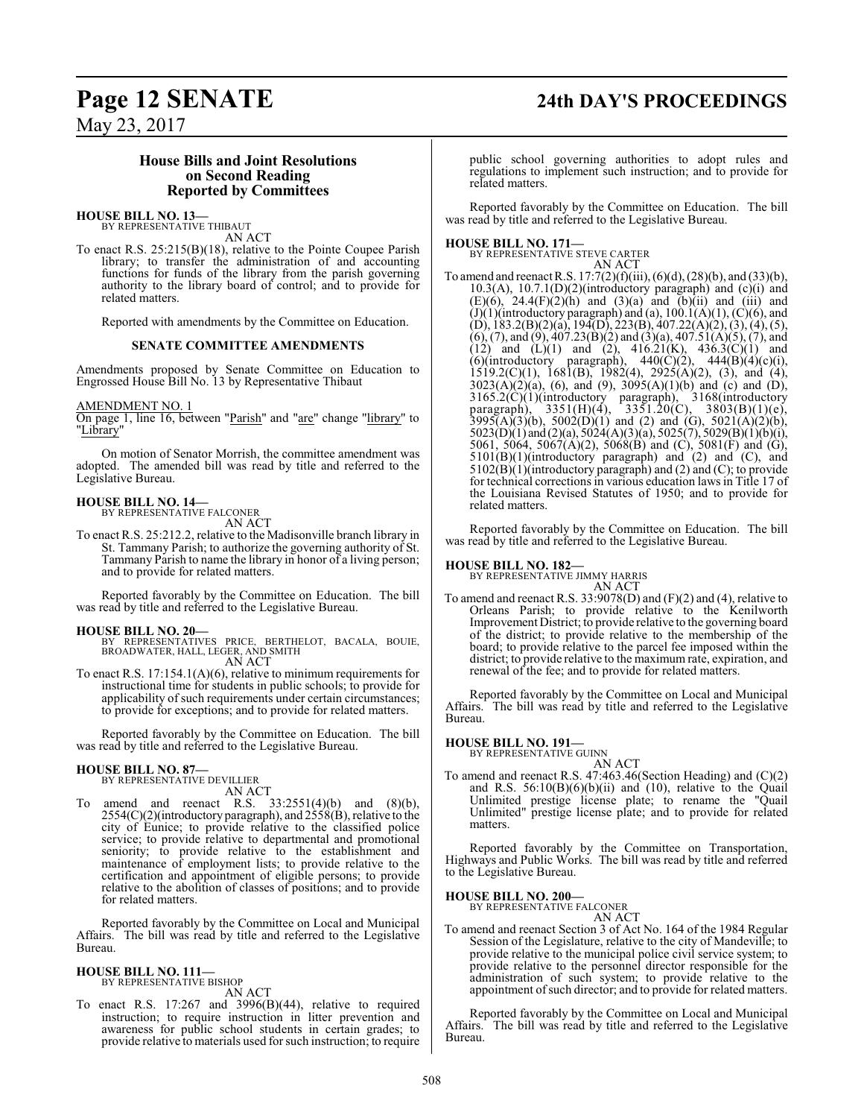# **Page 12 SENATE 24th DAY'S PROCEEDINGS**

May 23, 2017

#### **House Bills and Joint Resolutions on Second Reading Reported by Committees**

#### **HOUSE BILL NO. 13—** BY REPRESENTATIVE THIBAUT

AN ACT

To enact R.S. 25:215(B)(18), relative to the Pointe Coupee Parish library; to transfer the administration of and accounting functions for funds of the library from the parish governing authority to the library board of control; and to provide for related matters.

Reported with amendments by the Committee on Education.

#### **SENATE COMMITTEE AMENDMENTS**

Amendments proposed by Senate Committee on Education to Engrossed House Bill No. 13 by Representative Thibaut

#### AMENDMENT NO. 1

On page 1, line 16, between "<u>Parish</u>" and "are" change "library" to "Library"

On motion of Senator Morrish, the committee amendment was adopted. The amended bill was read by title and referred to the Legislative Bureau.

# **HOUSE BILL NO. 14—** BY REPRESENTATIVE FALCONER

AN ACT

To enact R.S. 25:212.2, relative to the Madisonville branch library in St. Tammany Parish; to authorize the governing authority of St. Tammany Parish to name the library in honor of a living person; and to provide for related matters.

Reported favorably by the Committee on Education. The bill was read by title and referred to the Legislative Bureau.

#### **HOUSE BILL NO. 20—**

BY REPRESENTATIVES PRICE, BERTHELOT, BACALA, BOUIE, BROADWATER, HALL, LEGER, AND SMITH AN ACT

To enact R.S. 17:154.1(A)(6), relative to minimum requirements for instructional time for students in public schools; to provide for applicability of such requirements under certain circumstances; to provide for exceptions; and to provide for related matters.

Reported favorably by the Committee on Education. The bill was read by title and referred to the Legislative Bureau.

#### **HOUSE BILL NO. 87—**

BY REPRESENTATIVE DEVILLIER AN ACT

To amend and reenact R.S. 33:2551(4)(b) and (8)(b), 2554(C)(2)(introductory paragraph), and 2558(B), relative to the city of Eunice; to provide relative to the classified police service; to provide relative to departmental and promotional seniority; to provide relative to the establishment and maintenance of employment lists; to provide relative to the certification and appointment of eligible persons; to provide relative to the abolition of classes of positions; and to provide for related matters.

Reported favorably by the Committee on Local and Municipal Affairs. The bill was read by title and referred to the Legislative Bureau.

#### **HOUSE BILL NO. 111—** BY REPRESENTATIVE BISHOP

AN ACT

To enact R.S. 17:267 and 3996(B)(44), relative to required instruction; to require instruction in litter prevention and awareness for public school students in certain grades; to provide relative to materials used for such instruction; to require public school governing authorities to adopt rules and regulations to implement such instruction; and to provide for related matters.

Reported favorably by the Committee on Education. The bill was read by title and referred to the Legislative Bureau.

**HOUSE BILL NO. 171—** BY REPRESENTATIVE STEVE CARTER AN ACT

To amend and reenact R.S. 17:7(2)(f)(iii), (6)(d), (28)(b), and (33)(b),  $10.3(A)$ ,  $10.7.1(D)(2)$ (introductory paragraph) and (c)(i) and  $(E)(6)$ ,  $24.4(F)(2)(h)$  and  $(3)(a)$  and  $(b)(ii)$  and  $(iii)$  and (J)(1)(introductory paragraph) and (a),  $100.1(A)(1)$ , (C)(6), and (D), 183.2(B)(2)(a), 194(D), 223(B), 407.22(A)(2), (3), (4), (5),  $(6)$ , (7), and (9), 407.23(B)(2) and (3)(a), 407.51(A)(5), (7), and (12) and (L)(1) and (2),  $416.21(K)$ ,  $436.3(C)(1)$  and (6)(introductory paragraph),  $440(\text{C})(2)$ ,  $444(\text{B})(4)(\text{c})(i)$ ,  $1519.2(C)(1)$ ,  $1681(B)$ ,  $1982(4)$ ,  $2925(A)(2)$ ,  $(3)$ , and  $(4)$ ,  $3023(A)(2)(a)$ , (6), and (9),  $3095(A)(1)(b)$  and (c) and (D), 3165.2(C)(1)(introductory paragraph), 3168(introductory paragraph), 3351(H)(4), 3351.20(C), 3803(B)(1)(e),  $3995(A)(3)(b)$ ,  $5002(D)(1)$  and (2) and (G),  $5021(A)(2)(b)$ , 5023(D)(1) and (2)(a), 5024(A)(3)(a), 5025(7), 5029(B)(1)(b)(i), 5061, 5064, 5067(A)(2), 5068(B) and (C), 5081(F) and (G),  $5101(B)(1)(introducing paragraph)$  and  $(2)$  and  $(C)$ , and  $5102(B)(1)$ (introductory paragraph) and (2) and (C); to provide for technical corrections in various education laws in Title 17 of the Louisiana Revised Statutes of 1950; and to provide for related matters.

Reported favorably by the Committee on Education. The bill was read by title and referred to the Legislative Bureau.

**HOUSE BILL NO. 182—** BY REPRESENTATIVE JIMMY HARRIS

AN ACT To amend and reenact R.S. 33:9078(D) and (F)(2) and (4), relative to Orleans Parish; to provide relative to the Kenilworth Improvement District; to provide relative to the governing board of the district; to provide relative to the membership of the board; to provide relative to the parcel fee imposed within the district; to provide relative to the maximum rate, expiration, and renewal of the fee; and to provide for related matters.

Reported favorably by the Committee on Local and Municipal Affairs. The bill was read by title and referred to the Legislative Bureau.

# **HOUSE BILL NO. 191—** BY REPRESENTATIVE GUINN

AN ACT

To amend and reenact R.S. 47:463.46(Section Heading) and (C)(2) and R.S.  $56:10(B)(6)(b)(ii)$  and  $(10)$ , relative to the Quail Unlimited prestige license plate; to rename the "Quail Unlimited" prestige license plate; and to provide for related matters.

Reported favorably by the Committee on Transportation, Highways and Public Works. The bill was read by title and referred to the Legislative Bureau.

#### **HOUSE BILL NO. 200—**

BY REPRESENTATIVE FALCONER AN ACT

To amend and reenact Section 3 of Act No. 164 of the 1984 Regular Session of the Legislature, relative to the city of Mandeville; to provide relative to the municipal police civil service system; to provide relative to the personnel director responsible for the administration of such system; to provide relative to the appointment of such director; and to provide for related matters.

Reported favorably by the Committee on Local and Municipal Affairs. The bill was read by title and referred to the Legislative Bureau.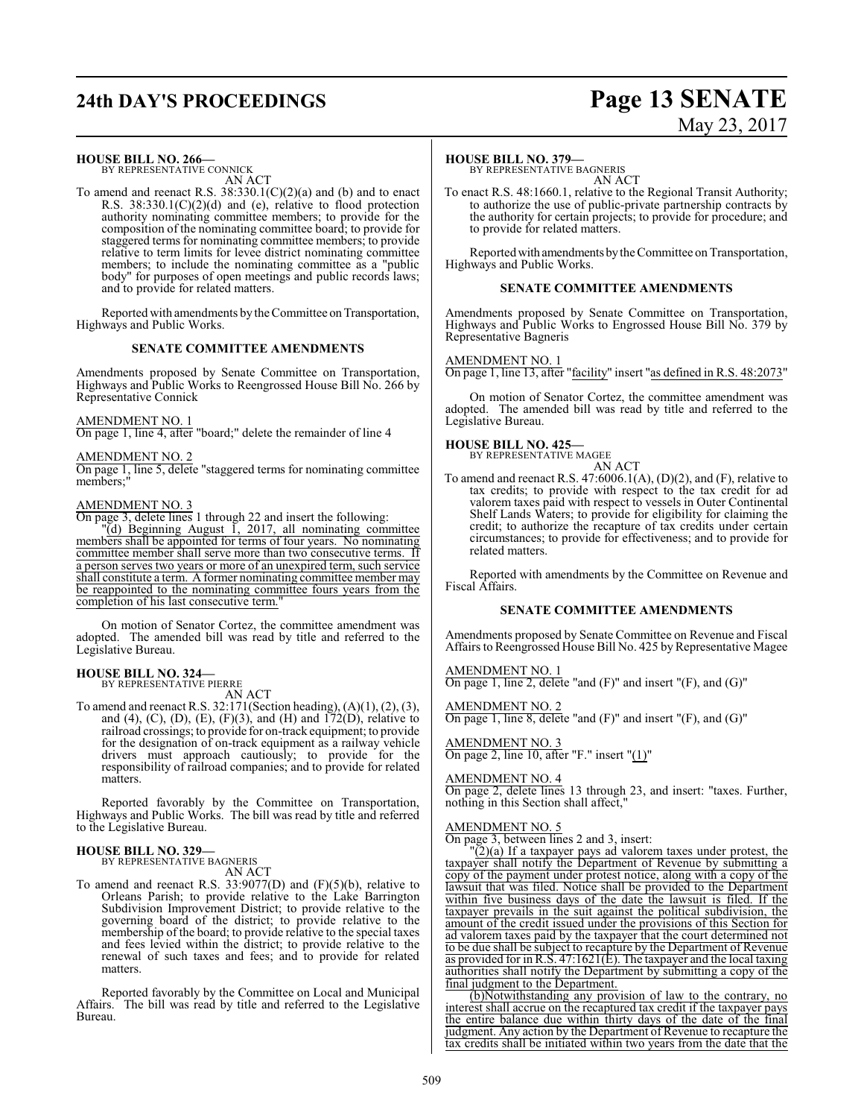# **24th DAY'S PROCEEDINGS Page 13 SENATE**

# May 23, 2017

#### **HOUSE BILL NO. 266—**

BY REPRESENTATIVE CONNICK AN ACT

To amend and reenact R.S.  $38:330.1(C)(2)(a)$  and (b) and to enact R.S. 38:330.1(C)(2)(d) and (e), relative to flood protection authority nominating committee members; to provide for the composition of the nominating committee board; to provide for staggered terms for nominating committee members; to provide relative to term limits for levee district nominating committee members; to include the nominating committee as a "public body" for purposes of open meetings and public records laws; and to provide for related matters.

Reported with amendments by the Committee on Transportation, Highways and Public Works.

#### **SENATE COMMITTEE AMENDMENTS**

Amendments proposed by Senate Committee on Transportation, Highways and Public Works to Reengrossed House Bill No. 266 by Representative Connick

#### AMENDMENT NO. 1

On page 1, line 4, after "board;" delete the remainder of line 4

AMENDMENT NO. 2 On page 1, line 5, delete "staggered terms for nominating committee members;"

#### AMENDMENT NO. 3

On page 3, delete lines 1 through 22 and insert the following:

 $\mathbb{P}(d)$  Beginning August 1, 2017, all nominating committee members shall be appointed for terms of four years. No nominating committee member shall serve more than two consecutive terms. If a person serves two years or more of an unexpired term, such service shall constitute a term. A former nominating committee member may be reappointed to the nominating committee fours years from the completion of his last consecutive term.

On motion of Senator Cortez, the committee amendment was adopted. The amended bill was read by title and referred to the Legislative Bureau.

#### **HOUSE BILL NO. 324—** BY REPRESENTATIVE PIERRE

AN ACT

To amend and reenact R.S. 32:171(Section heading), (A)(1), (2), (3), and (4), (C), (D), (E), (F)(3), and (H) and  $172(D)$ , relative to railroad crossings; to provide for on-track equipment; to provide for the designation of on-track equipment as a railway vehicle drivers must approach cautiously; to provide for the responsibility of railroad companies; and to provide for related matters.

Reported favorably by the Committee on Transportation, Highways and Public Works. The bill was read by title and referred to the Legislative Bureau.

# **HOUSE BILL NO. 329—** BY REPRESENTATIVE BAGNERIS

AN ACT

To amend and reenact R.S.  $33:9077(D)$  and  $(F)(5)(b)$ , relative to Orleans Parish; to provide relative to the Lake Barrington Subdivision Improvement District; to provide relative to the governing board of the district; to provide relative to the membership of the board; to provide relative to the special taxes and fees levied within the district; to provide relative to the renewal of such taxes and fees; and to provide for related matters.

Reported favorably by the Committee on Local and Municipal Affairs. The bill was read by title and referred to the Legislative Bureau.

#### **HOUSE BILL NO. 379—**

BY REPRESENTATIVE BAGNERIS AN ACT

To enact R.S. 48:1660.1, relative to the Regional Transit Authority; to authorize the use of public-private partnership contracts by the authority for certain projects; to provide for procedure; and to provide for related matters.

Reported with amendments by the Committee on Transportation, Highways and Public Works.

#### **SENATE COMMITTEE AMENDMENTS**

Amendments proposed by Senate Committee on Transportation, Highways and Public Works to Engrossed House Bill No. 379 by Representative Bagneris

#### AMENDMENT NO. 1

On page 1, line 13, after "facility" insert "as defined in R.S. 48:2073"

On motion of Senator Cortez, the committee amendment was adopted. The amended bill was read by title and referred to the Legislative Bureau.

#### **HOUSE BILL NO. 425—**

related matters.

BY REPRESENTATIVE MAGEE

AN ACT To amend and reenact R.S. 47:6006.1(A), (D)(2), and (F), relative to tax credits; to provide with respect to the tax credit for ad valorem taxes paid with respect to vessels in Outer Continental Shelf Lands Waters; to provide for eligibility for claiming the credit; to authorize the recapture of tax credits under certain circumstances; to provide for effectiveness; and to provide for

Reported with amendments by the Committee on Revenue and Fiscal Affairs.

#### **SENATE COMMITTEE AMENDMENTS**

Amendments proposed by Senate Committee on Revenue and Fiscal Affairs to Reengrossed House Bill No. 425 by Representative Magee

AMENDMENT NO. 1 On page 1, line 2, delete "and (F)" and insert "(F), and (G)"

AMENDMENT NO. 2 On page 1, line 8, delete "and  $(F)$ " and insert " $(F)$ , and  $(G)$ "

#### AMENDMENT NO. 3

On page 2, line 10, after "F." insert "(1)"

#### AMENDMENT NO. 4

On page 2, delete lines 13 through 23, and insert: "taxes. Further, nothing in this Section shall affect,"

#### AMENDMENT NO. 5

On page 3, between lines 2 and 3, insert:

 $\overline{2}(a)$  If a taxpayer pays ad valorem taxes under protest, the taxpayer shall notify the Department of Revenue by submitting a copy of the payment under protest notice, along with a copy of the lawsuit that was filed. Notice shall be provided to the Department within five business days of the date the lawsuit is filed. If the taxpayer prevails in the suit against the political subdivision, the amount of the credit issued under the provisions of this Section for ad valorem taxes paid by the taxpayer that the court determined not to be due shall be subject to recapture by the Department of Revenue as provided for in R.S. 47:1621(E). The taxpayer and the local taxing authorities shall notify the Department by submitting a copy of the final judgment to the Department.

(b)Notwithstanding any provision of law to the contrary, no interest shall accrue on the recaptured tax credit if the taxpayer pays the entire balance due within thirty days of the date of the final judgment. Any action by the Department of Revenue to recapture the tax credits shall be initiated within two years from the date that the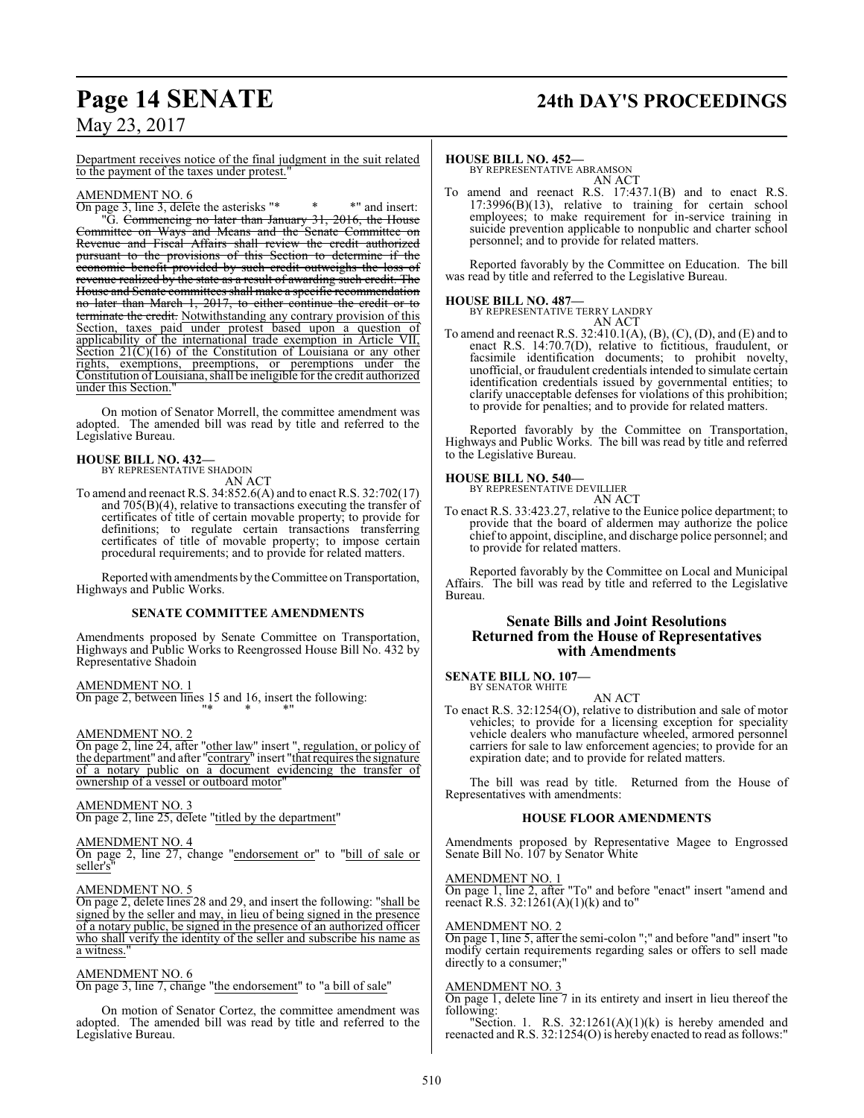# **Page 14 SENATE 24th DAY'S PROCEEDINGS**

May 23, 2017

Department receives notice of the final judgment in the suit related to the payment of the taxes under protest."

#### AMENDMENT NO. 6

On page 3, line 3, delete the asterisks "\* \* \*" and insert: "G. Commencing no later than January 31, 2016, the House Committee on Ways and Means and the Senate Committee on Revenue and Fiscal Affairs shall review the credit authorized pursuant to the provisions of this Section to determine if the economic benefit provided by such credit outweighs the loss of revenue realized by the state as a result of awarding such credit. The House and Senate committees shall make a specific recommendation no later than March 1, 2017, to either continue the credit or to terminate the credit. Notwithstanding any contrary provision of this Section, taxes paid under protest based upon a question of applicability of the international trade exemption in Article VII, Section  $21(C)(16)$  of the Constitution of Louisiana or any other rights, exemptions, preemptions, or peremptions under the exemptions, preemptions, or peremptions under the Constitution of Louisiana, shall be ineligible for the credit authorized under this Section.

On motion of Senator Morrell, the committee amendment was adopted. The amended bill was read by title and referred to the Legislative Bureau.

# **HOUSE BILL NO. 432—** BY REPRESENTATIVE SHADOIN

AN ACT

To amend and reenact R.S. 34:852.6(A) and to enact R.S. 32:702(17) and 705(B)(4), relative to transactions executing the transfer of certificates of title of certain movable property; to provide for definitions; to regulate certain transactions transferring certificates of title of movable property; to impose certain procedural requirements; and to provide for related matters.

Reported with amendments by the Committee on Transportation, Highways and Public Works.

#### **SENATE COMMITTEE AMENDMENTS**

Amendments proposed by Senate Committee on Transportation, Highways and Public Works to Reengrossed House Bill No. 432 by Representative Shadoin

#### AMENDMENT NO. 1

On page 2, between lines 15 and 16, insert the following: "\* \* \*"

#### AMENDMENT NO. 2

On page 2, line 24, after "other law" insert ", regulation, or policy of the department" and after "contrary" insert "that requires the signature of a notary public on a document evidencing the transfer of ownership of a vessel or outboard motor"

#### AMENDMENT NO. 3

On page 2, line 25, delete "titled by the department"

#### AMENDMENT NO. 4

On page 2, line 27, change "endorsement or" to "bill of sale or seller's

#### AMENDMENT NO. 5

On page 2, delete lines 28 and 29, and insert the following: "shall be signed by the seller and may, in lieu of being signed in the presence of a notary public, be signed in the presence of an authorized officer who shall verify the identity of the seller and subscribe his name as a witness."

#### AMENDMENT NO. 6

On page 3, line 7, change "the endorsement" to "a bill of sale"

On motion of Senator Cortez, the committee amendment was adopted. The amended bill was read by title and referred to the Legislative Bureau.

#### **HOUSE BILL NO. 452—**

BY REPRESENTATIVE ABRAMSON AN ACT

To amend and reenact R.S. 17:437.1(B) and to enact R.S. 17:3996(B)(13), relative to training for certain school employees; to make requirement for in-service training in suicide prevention applicable to nonpublic and charter school personnel; and to provide for related matters.

Reported favorably by the Committee on Education. The bill was read by title and referred to the Legislative Bureau.

#### **HOUSE BILL NO. 487—** BY REPRESENTATIVE TERRY LANDRY

AN ACT To amend and reenact R.S. 32:410.1(A), (B), (C), (D), and (E) and to enact R.S. 14:70.7(D), relative to fictitious, fraudulent, or facsimile identification documents; to prohibit novelty, unofficial, or fraudulent credentials intended to simulate certain identification credentials issued by governmental entities; to clarify unacceptable defenses for violations of this prohibition; to provide for penalties; and to provide for related matters.

Reported favorably by the Committee on Transportation, Highways and Public Works. The bill was read by title and referred to the Legislative Bureau.

# **HOUSE BILL NO. 540—** BY REPRESENTATIVE DEVILLIER

AN ACT

To enact R.S. 33:423.27, relative to the Eunice police department; to provide that the board of aldermen may authorize the police chief to appoint, discipline, and discharge police personnel; and to provide for related matters.

Reported favorably by the Committee on Local and Municipal Affairs. The bill was read by title and referred to the Legislative Bureau.

#### **Senate Bills and Joint Resolutions Returned from the House of Representatives with Amendments**

#### **SENATE BILL NO. 107—** BY SENATOR WHITE

AN ACT

To enact R.S. 32:1254(O), relative to distribution and sale of motor vehicles; to provide for a licensing exception for speciality vehicle dealers who manufacture wheeled, armored personnel carriers for sale to law enforcement agencies; to provide for an expiration date; and to provide for related matters.

The bill was read by title. Returned from the House of Representatives with amendments:

#### **HOUSE FLOOR AMENDMENTS**

Amendments proposed by Representative Magee to Engrossed Senate Bill No. 107 by Senator White

#### AMENDMENT NO. 1

On page 1, line 2, after "To" and before "enact" insert "amend and reenact R.S.  $32:1261(A)(1)(k)$  and to"

#### AMENDMENT NO. 2

On page 1, line 5, after the semi-colon ";" and before "and" insert "to modify certain requirements regarding sales or offers to sell made directly to a consumer;"

#### AMENDMENT NO. 3

On page 1, delete line 7 in its entirety and insert in lieu thereof the following:

"Section. 1. R.S.  $32:1261(A)(1)(k)$  is hereby amended and reenacted and R.S. 32:1254(O) is hereby enacted to read as follows:"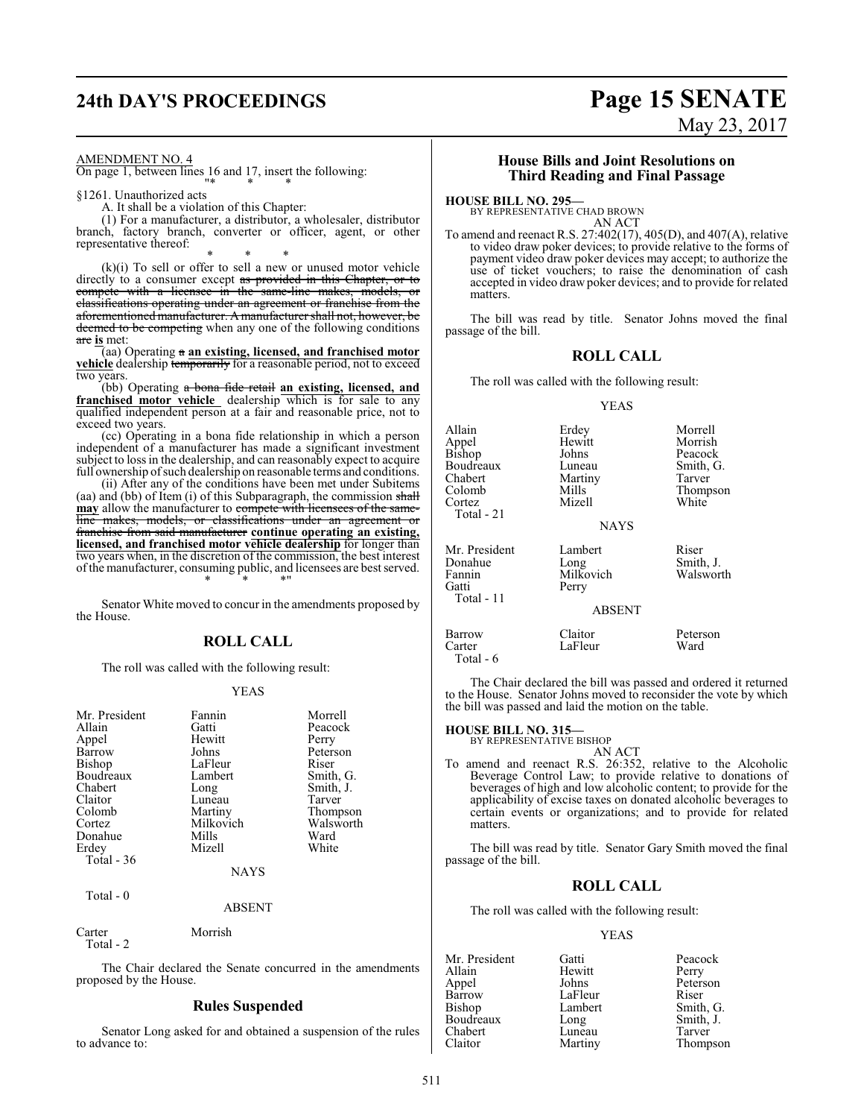# **24th DAY'S PROCEEDINGS Page 15 SENATE**

# May 23, 2017

AMENDMENT NO. 4

On page 1, between lines 16 and 17, insert the following: "\* \* \*

§1261. Unauthorized acts

A. It shall be a violation of this Chapter:

(1) For a manufacturer, a distributor, a wholesaler, distributor branch, factory branch, converter or officer, agent, or other representative thereof:

\* \* \* (k)(i) To sell or offer to sell a new or unused motor vehicle directly to a consumer except as provided in this Chapter, or to compete with a licensee in the same-line makes. models or compete with a licensee in the same-line makes, models, or classifications operating under an agreement or franchise from the aforementioned manufacturer. Amanufacturer shall not, however, be deemed to be competing when any one of the following conditions are **is** met:

(aa) Operating a **an existing, licensed, and franchised motor vehicle** dealership temporarily for a reasonable period, not to exceed two years.

(bb) Operating a bona fide retail **an existing, licensed, and franchised motor vehicle** dealership which is for sale to any qualified independent person at a fair and reasonable price, not to exceed two years.

(cc) Operating in a bona fide relationship in which a person independent of a manufacturer has made a significant investment subject to loss in the dealership, and can reasonably expect to acquire full ownership of such dealership on reasonable terms and conditions.

(ii) After any of the conditions have been met under Subitems (aa) and (bb) of Item (i) of this Subparagraph, the commission shall **may** allow the manufacturer to compete with licensees of the sameline makes, models, or classifications under an agreement or franchise from said manufacturer **continue operating an existing, licensed, and franchised motor vehicle dealership** for longer than two years when, in the discretion of the commission, the best interest ofthe manufacturer, consuming public, and licensees are best served. \* \* \*"

Senator White moved to concur in the amendments proposed by the House.

#### **ROLL CALL**

The roll was called with the following result:

#### YEAS

| Mr. President | Fannin    | Morrell   |
|---------------|-----------|-----------|
| Allain        | Gatti     | Peacock   |
| Appel         | Hewitt    | Perry     |
| Barrow        | Johns     | Peterson  |
| Bishop        | LaFleur   | Riser     |
| Boudreaux     | Lambert   | Smith, G. |
| Chabert       | Long      | Smith, J. |
| Claitor       | Luneau    | Tarver    |
| Colomb        | Martiny   | Thompson  |
| Cortez        | Milkovich | Walsworth |
| Donahue       | Mills     | Ward      |
| Erdey         | Mizell    | White     |
| Total $-36$   |           |           |
|               | NAYS      |           |

Total - 0

ABSENT

Carter Morrish Total - 2

The Chair declared the Senate concurred in the amendments proposed by the House.

#### **Rules Suspended**

Senator Long asked for and obtained a suspension of the rules to advance to:

#### **House Bills and Joint Resolutions on Third Reading and Final Passage**

**HOUSE BILL NO. 295—**

BY REPRESENTATIVE CHAD BROWN AN ACT

To amend and reenact R.S. 27:402(17), 405(D), and 407(A), relative to video draw poker devices; to provide relative to the forms of payment video draw poker devices may accept; to authorize the use of ticket vouchers; to raise the denomination of cash accepted in video draw poker devices; and to provide for related matters.

The bill was read by title. Senator Johns moved the final passage of the bill.

#### **ROLL CALL**

The roll was called with the following result:

#### YEAS

| Allain<br>Appel<br>Bishop<br>Boudreaux<br>Chabert<br>Colomb<br>Cortez<br>Total - 21 | Erdey<br>Hewitt<br>Johns<br>Luneau<br>Martiny<br>Mills<br>Mizell<br><b>NAYS</b> | Morrell<br>Morrish<br>Peacock<br>Smith, G.<br>Tarver<br>Thompson<br>White |
|-------------------------------------------------------------------------------------|---------------------------------------------------------------------------------|---------------------------------------------------------------------------|
| Mr. President<br>Donahue<br>Fannin<br>Gatti<br>Total - 11                           | Lambert<br>Long<br>Milkovich<br>Perry<br><b>ABSENT</b>                          | Riser<br>Smith, J.<br>Walsworth                                           |
| Barrow<br>Carter<br>Total - 6                                                       | Claitor<br>LaFleur                                                              | Peterson<br>Ward                                                          |

The Chair declared the bill was passed and ordered it returned to the House. Senator Johns moved to reconsider the vote by which the bill was passed and laid the motion on the table.

#### **HOUSE BILL NO. 315—** BY REPRESENTATIVE BISHOP

AN ACT

To amend and reenact R.S. 26:352, relative to the Alcoholic Beverage Control Law; to provide relative to donations of beverages of high and low alcoholic content; to provide for the applicability of excise taxes on donated alcoholic beverages to certain events or organizations; and to provide for related matters.

The bill was read by title. Senator Gary Smith moved the final passage of the bill.

#### **ROLL CALL**

The roll was called with the following result:

#### YEAS

Mr. President Gatti Peacock<br>Allain Hewitt Perry Allain Hewitt<br>
Appel Johns Appel Johns Peterson Barrow LaFleur Riser<br>Bishop Lambert Smith, G. Lambert Smith, G.<br>
Long Smith, J. Boudreaux Long Smith,<br>
Chabert Luneau Tarver Chabert Luneau<br>Claitor Martiny

Thompson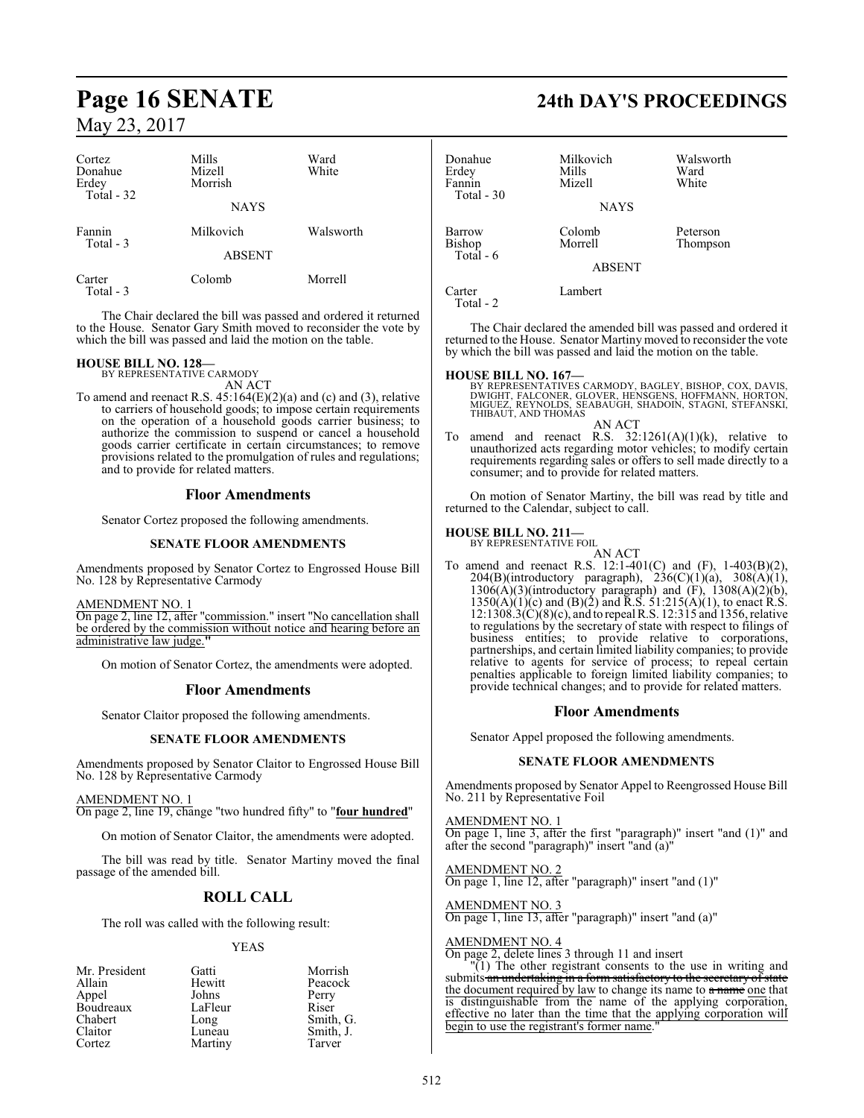| Cortez<br>Donahue<br>Erdey<br>Total - 32 | Mills<br>Mizell<br>Morrish | Ward<br>White |
|------------------------------------------|----------------------------|---------------|
|                                          | <b>NAYS</b>                |               |
| Fannin<br>Total - 3                      | Milkovich                  | Walsworth     |
|                                          | <b>ABSENT</b>              |               |
| Carter<br>Total - 3                      | Colomb                     | Morrell       |

The Chair declared the bill was passed and ordered it returned to the House. Senator Gary Smith moved to reconsider the vote by which the bill was passed and laid the motion on the table.

# **HOUSE BILL NO. 128—** BY REPRESENTATIVE CARMODY

AN ACT

To amend and reenact R.S.  $45:164(E)(2)(a)$  and (c) and (3), relative to carriers of household goods; to impose certain requirements on the operation of a household goods carrier business; to authorize the commission to suspend or cancel a household goods carrier certificate in certain circumstances; to remove provisions related to the promulgation of rules and regulations; and to provide for related matters.

#### **Floor Amendments**

Senator Cortez proposed the following amendments.

#### **SENATE FLOOR AMENDMENTS**

Amendments proposed by Senator Cortez to Engrossed House Bill No. 128 by Representative Carmody

AMENDMENT NO. 1

On page 2, line 12, after "commission." insert "No cancellation shall be ordered by the commission without notice and hearing before an administrative law judge.**"**

On motion of Senator Cortez, the amendments were adopted.

#### **Floor Amendments**

Senator Claitor proposed the following amendments.

#### **SENATE FLOOR AMENDMENTS**

Amendments proposed by Senator Claitor to Engrossed House Bill No. 128 by Representative Carmody

#### AMENDMENT NO. 1

On page 2, line 19, change "two hundred fifty" to "**four hundred**"

On motion of Senator Claitor, the amendments were adopted.

The bill was read by title. Senator Martiny moved the final passage of the amended bill.

## **ROLL CALL**

The roll was called with the following result:

#### YEAS

| Mr. President | Gatti   | Morrish   |
|---------------|---------|-----------|
| Allain        | Hewitt  | Peacock   |
| Appel         | Johns   | Perry     |
| Boudreaux     | LaFleur | Riser     |
| Chabert       | Long    | Smith, G. |
| Claitor       | Luneau  | Smith, J. |
| Cortez        | Martiny | Tarver    |

# **Page 16 SENATE 24th DAY'S PROCEEDINGS**

| Donahue<br>Erdey<br>Fannin<br>Total - 30 | Milkovich<br>Mills<br>Mizell | Walsworth<br>Ward<br>White |
|------------------------------------------|------------------------------|----------------------------|
|                                          | <b>NAYS</b>                  |                            |
| Barrow<br>Bishop<br>Total $-6$           | Colomb<br>Morrell            | Peterson<br>Thompson       |
|                                          | <b>ABSENT</b>                |                            |
| Carter<br>Total - 2                      | Lambert                      |                            |

The Chair declared the amended bill was passed and ordered it returned to the House. Senator Martiny moved to reconsider the vote by which the bill was passed and laid the motion on the table.

**HOUSE BILL NO. 167—**<br>BY REPRESENTATIVES CARMODY, BAGLEY, BISHOP, COX, DAVIS, DWIGHT, FALCONER, GLOVER, HENSGENS, HOFFMANN, HORTON,<br>MIGUEZ, REYNOLDS, SEABAUGH, SHADOIN, STAGNI, STEFANSKI,<br>THIBAUT, AND THOMAS

AN ACT To amend and reenact R.S.  $32:1261(A)(1)(k)$ , relative to unauthorized acts regarding motor vehicles; to modify certain requirements regarding sales or offers to sell made directly to a consumer; and to provide for related matters.

On motion of Senator Martiny, the bill was read by title and returned to the Calendar, subject to call.

#### **HOUSE BILL NO. 211—**

BY REPRESENTATIVE FOIL

AN ACT To amend and reenact R.S. 12:1-401(C) and (F), 1-403(B)(2),  $204(B)(introductory$  paragraph),  $236(C)(1)(a)$ ,  $308(A)(1)$ ,  $130\delta(A)(3)$ (introductory paragraph) and  $(F)$ ,  $1308(A)(2)(b)$ ,  $1350(A)(1)(c)$  and  $(B)(2)$  and R.S.  $51:215(A)(1)$ , to enact R.S. 12:1308.3(C)(8)(c), and to repeal R.S. 12:315 and 1356, relative to regulations by the secretary of state with respect to filings of business entities; to provide relative to corporations, partnerships, and certain limited liability companies; to provide relative to agents for service of process; to repeal certain penalties applicable to foreign limited liability companies; to provide technical changes; and to provide for related matters.

#### **Floor Amendments**

Senator Appel proposed the following amendments.

#### **SENATE FLOOR AMENDMENTS**

Amendments proposed by Senator Appel to Reengrossed House Bill No. 211 by Representative Foil

AMENDMENT NO. 1 On page 1, line 3, after the first "paragraph)" insert "and (1)" and after the second "paragraph)" insert "and (a)"

AMENDMENT NO. 2 On page 1, line 12, after "paragraph)" insert "and (1)"

AMENDMENT NO. 3 On page 1, line 13, after "paragraph)" insert "and (a)"

#### AMENDMENT NO. 4

On page 2, delete lines 3 through 11 and insert

"(1) The other registrant consents to the use in writing and submits an undertaking in a form satisfactory to the secretary of state the document required by law to change its name to a name one that is distinguishable from the name of the applying corporation, effective no later than the time that the applying corporation will begin to use the registrant's former name."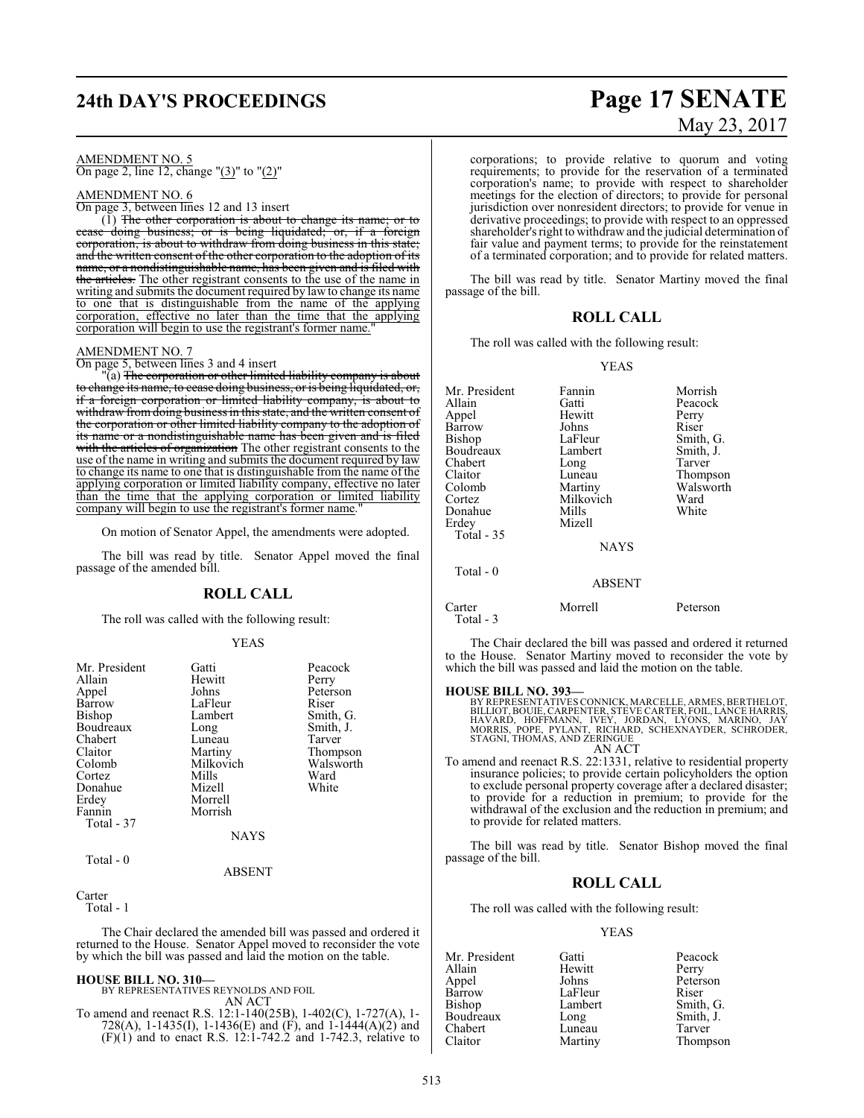# **24th DAY'S PROCEEDINGS Page 17 SENATE**

#### AMENDMENT NO. 5 On page 2, line 12, change "(3)" to "(2)"

#### AMENDMENT NO. 6

On page 3, between lines 12 and 13 insert

 $(1)$  The other corporation is about to change its name; or to cease doing business; or is being liquidated; or, if a foreign being liquidated; or, if a foreign corporation, is about to withdraw from doing business in this state; and the written consent of the other corporation to the adoption of its name, or a nondistinguishable name, has been given and is filed with the articles. The other registrant consents to the use of the name in writing and submits the document required by law to change its name to one that is distinguishable from the name of the applying corporation, effective no later than the time that the applying corporation will begin to use the registrant's former name.

## AMENDMENT NO. 7

On page 5, between lines 3 and 4 insert

"(a) <del>The corporation or other limited liability company is about</del> to change its name, to cease doing business, or is being liquidated, or, if a foreign corporation or limited liability company, is about to withdraw from doing business in this state, and the written consent of the corporation or other limited liability company to the adoption of its name or a nondistinguishable name has been given and is filed with the articles of organization The other registrant consents to the use of the name in writing and submits the document required by law to change its name to one that is distinguishable from the name of the applying corporation or limited liability company, effective no later than the time that the applying corporation or limited liability company will begin to use the registrant's former name.

On motion of Senator Appel, the amendments were adopted.

The bill was read by title. Senator Appel moved the final passage of the amended bill.

#### **ROLL CALL**

The roll was called with the following result:

#### YEAS

| Mr. President<br>Allain<br>Appel<br>Barrow<br>Bishop<br>Boudreaux<br>Chabert<br>Claitor<br>Colomb<br>Cortez<br>Donahue | Gatti<br>Hewitt<br>Johns<br>LaFleur<br>Lambert<br>Long<br>Luneau<br>Martiny<br>Milkovich<br>Mills<br>Mizell | Peacock<br>Perry<br>Peterson<br>Riser<br>Smith, G.<br>Smith, J.<br>Tarver<br>Thompson<br>Walsworth<br>Ward<br>White |
|------------------------------------------------------------------------------------------------------------------------|-------------------------------------------------------------------------------------------------------------|---------------------------------------------------------------------------------------------------------------------|
| Erdey                                                                                                                  | Morrell                                                                                                     |                                                                                                                     |
| Fannin<br>Total - 37                                                                                                   | Morrish                                                                                                     |                                                                                                                     |
|                                                                                                                        | <b>NAYS</b>                                                                                                 |                                                                                                                     |
| Total - 0                                                                                                              | ABSENT                                                                                                      |                                                                                                                     |

Carter

Total - 1

The Chair declared the amended bill was passed and ordered it returned to the House. Senator Appel moved to reconsider the vote by which the bill was passed and laid the motion on the table.

#### **HOUSE BILL NO. 310—**

BY REPRESENTATIVES REYNOLDS AND FOIL AN ACT

To amend and reenact R.S. 12:1-140(25B), 1-402(C), 1-727(A), 1- 728(A), 1-1435(I), 1-1436(E) and (F), and 1-1444(A)(2) and  $(F)(1)$  and to enact R.S. 12:1-742.2 and 1-742.3, relative to

# May 23, 2017

corporations; to provide relative to quorum and voting requirements; to provide for the reservation of a terminated corporation's name; to provide with respect to shareholder meetings for the election of directors; to provide for personal jurisdiction over nonresident directors; to provide for venue in derivative proceedings; to provide with respect to an oppressed shareholder's right to withdraw and the judicial determination of fair value and payment terms; to provide for the reinstatement of a terminated corporation; and to provide for related matters.

The bill was read by title. Senator Martiny moved the final passage of the bill.

#### **ROLL CALL**

The roll was called with the following result:

#### YEAS

| Mr. President         | Fannin        | Morrish   |
|-----------------------|---------------|-----------|
| Allain                | Gatti         | Peacock   |
| Appel                 | Hewitt        | Perry     |
| Barrow                | Johns         | Riser     |
| Bishop                | LaFleur       | Smith, G. |
| Boudreaux             | Lambert       | Smith, J. |
| Chabert               | Long          | Tarver    |
| Claitor               | Luneau        | Thompson  |
| Colomb                | Martiny       | Walsworth |
| Cortez                | Milkovich     | Ward      |
| Donahue               | Mills         | White     |
| Erdev                 | Mizell        |           |
| <b>Total - 35</b>     |               |           |
|                       | <b>NAYS</b>   |           |
| Total - 0             |               |           |
|                       | <b>ABSENT</b> |           |
| Carter<br>$Total - 3$ | Morrell       | Peterson  |

The Chair declared the bill was passed and ordered it returned to the House. Senator Martiny moved to reconsider the vote by which the bill was passed and laid the motion on the table.

#### **HOUSE BILL NO. 393—**

BY REPRESENTATIVES CONNICK, MARCELLE, ARMES, BERTHELOT, BILLIOT, BOUIE, CARPENTER, STEVE CARTER, FOIL, LANCE HARRIS,<br>HAVARD, HOFFMANN, 'IVEY, 'JORDAN, 'LYONS, 'MARINO, 'JAY<br>MORRIS, 'POPE, PYLANT, RICHARD, SCHEXNAYDER, SCHRODER,<br>STAGNI, THOMAS, AND ZERINGUE

- AN ACT
- To amend and reenact R.S. 22:1331, relative to residential property insurance policies; to provide certain policyholders the option to exclude personal property coverage after a declared disaster; to provide for a reduction in premium; to provide for the withdrawal of the exclusion and the reduction in premium; and to provide for related matters.

The bill was read by title. Senator Bishop moved the final passage of the bill.

#### **ROLL CALL**

The roll was called with the following result:

#### YEAS

Mr. President Gatti Peacock Allain Hewitt<br>Appel Johns Appel Johns Peterson<br>Barrow LaFleur Riser Barrow LaFleur<br>Bishop Lambert Boudreaux Long Smith,<br>Chabert Luneau Tarver Chabert<br>Claitor

Lambert Smith, G.<br>
Long Smith, J. Martiny Thompson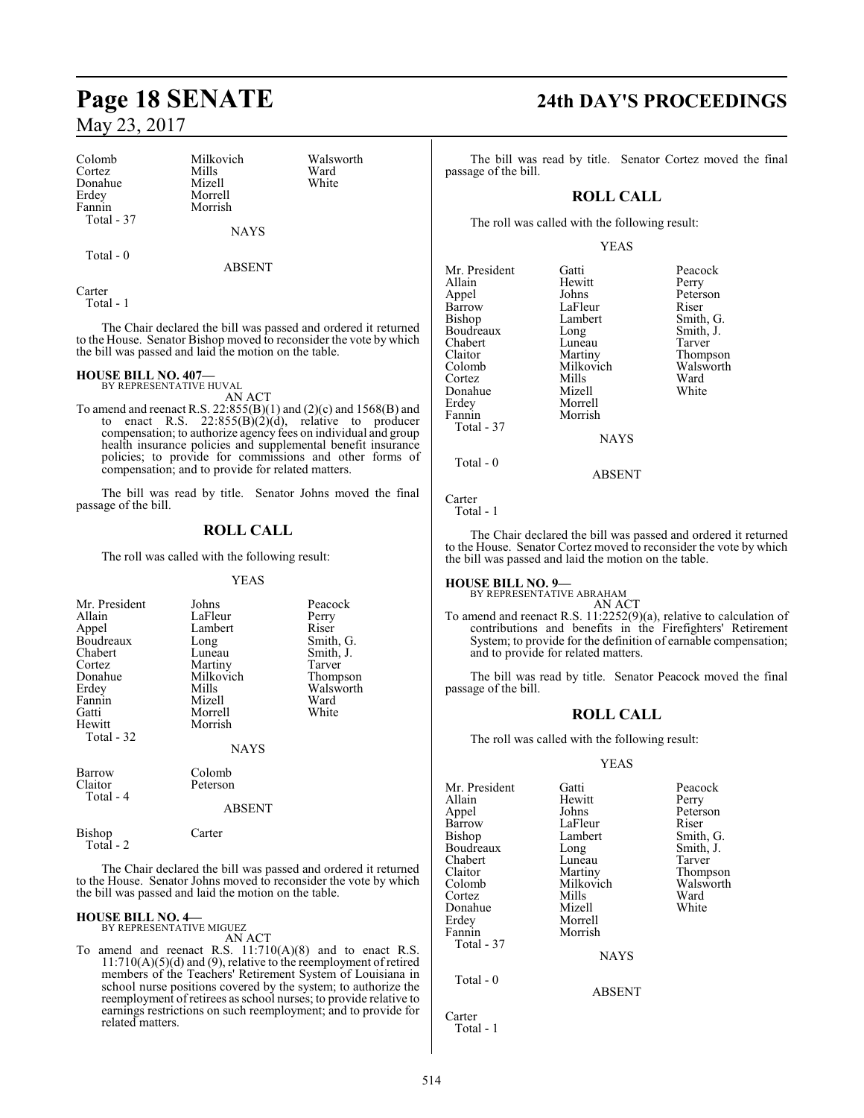Colomb Milkovich Walsworth Cortez Mills Ward Donahue<br>Erdev Erdey Morrell Total - 37

Morrish

Total - 0

ABSENT

NAYS

**Carter** Total - 1

The Chair declared the bill was passed and ordered it returned to the House. Senator Bishop moved to reconsider the vote by which

the bill was passed and laid the motion on the table.

#### **HOUSE BILL NO. 407—**

BY REPRESENTATIVE HUVAL

AN ACT To amend and reenact R.S.  $22:855(B)(1)$  and  $(2)(c)$  and  $1568(B)$  and to enact R.S.  $22:855(B)(2)(d)$ , relative to producer compensation; to authorize agency fees on individual and group health insurance policies and supplemental benefit insurance policies; to provide for commissions and other forms of compensation; and to provide for related matters.

The bill was read by title. Senator Johns moved the final passage of the bill.

## **ROLL CALL**

The roll was called with the following result:

#### YEAS

| Mr. President<br>Allain<br>Appel<br>Boudreaux<br>Chabert<br>Cortez<br>Donahue<br>Erdey<br>Fannin<br>Gatti<br>Hewitt<br>Total - 32 | Johns<br>LaFleur<br>Lambert<br>Long<br>Luneau<br>Martiny<br>Milkovich<br>Mills<br>Mizell<br>Morrell<br>Morrish<br><b>NAYS</b> | Peacock<br>Perry<br>Riser<br>Smith, G.<br>Smith, J.<br>Tarver<br>Thompson<br>Walsworth<br>Ward<br>White |
|-----------------------------------------------------------------------------------------------------------------------------------|-------------------------------------------------------------------------------------------------------------------------------|---------------------------------------------------------------------------------------------------------|
| <b>Barrow</b><br>Claitor<br>Total - 4                                                                                             | Colomb<br>Peterson<br><b>ABSENT</b>                                                                                           |                                                                                                         |

The Chair declared the bill was passed and ordered it returned to the House. Senator Johns moved to reconsider the vote by which the bill was passed and laid the motion on the table.

# **HOUSE BILL NO. 4—** BY REPRESENTATIVE MIGUEZ

Bishop Carter

Total - 2

AN ACT

To amend and reenact R.S. 11:710(A)(8) and to enact R.S. 11:710(A)(5)(d) and (9), relative to the reemployment of retired members of the Teachers' Retirement System of Louisiana in school nurse positions covered by the system; to authorize the reemployment of retirees as school nurses; to provide relative to earnings restrictions on such reemployment; and to provide for related matters.

# **Page 18 SENATE 24th DAY'S PROCEEDINGS**

The bill was read by title. Senator Cortez moved the final passage of the bill.

## **ROLL CALL**

The roll was called with the following result:

#### YEAS

| Mr. President<br>Allain<br>Appel<br>Barrow<br>Bishop<br>Boudreaux<br>Chabert<br>Claitor<br>Colomb<br>Cortez<br>Donahue<br>Erdey<br>Fannin<br>Total - 37 | Gatti<br>Hewitt<br>Johns<br>LaFleur<br>Lambert<br>Long<br>Luneau<br>Martiny<br>Milkovich<br>Mills<br>Mizell<br>Morrell<br>Morrish<br><b>NAYS</b> | Peacock<br>Perry<br>Peterson<br>Riser<br>Smith, G.<br>Smith, J.<br>Tarver<br>Thompson<br>Walsworth<br>Ward<br>White |
|---------------------------------------------------------------------------------------------------------------------------------------------------------|--------------------------------------------------------------------------------------------------------------------------------------------------|---------------------------------------------------------------------------------------------------------------------|
| Total - 0                                                                                                                                               |                                                                                                                                                  |                                                                                                                     |

ABSENT

Carter Total - 1

The Chair declared the bill was passed and ordered it returned to the House. Senator Cortez moved to reconsider the vote by which the bill was passed and laid the motion on the table.

# **HOUSE BILL NO. 9—** BY REPRESENTATIVE ABRAHAM

AN ACT

To amend and reenact R.S. 11:2252(9)(a), relative to calculation of contributions and benefits in the Firefighters' Retirement System; to provide for the definition of earnable compensation; and to provide for related matters.

The bill was read by title. Senator Peacock moved the final passage of the bill.

## **ROLL CALL**

The roll was called with the following result:

#### YEAS

| Mr. President | Gatti         | Peacock   |
|---------------|---------------|-----------|
| Allain        | Hewitt        | Perry     |
| Appel         | Johns         | Peterson  |
| Barrow        | LaFleur       | Riser     |
| Bishop        | Lambert       | Smith, G. |
| Boudreaux     | Long          | Smith, J. |
| Chabert       | Luneau        | Tarver    |
| Claitor       | Martiny       | Thompson  |
| Colomb        | Milkovich     | Walsworth |
| Cortez        | Mills         | Ward      |
| Donahue       | Mizell        | White     |
| Erdey         | Morrell       |           |
| Fannin        | Morrish       |           |
| Total - 37    |               |           |
|               | <b>NAYS</b>   |           |
| Total - 0     |               |           |
|               | <b>ABSENT</b> |           |
| Carter        |               |           |

Total - 1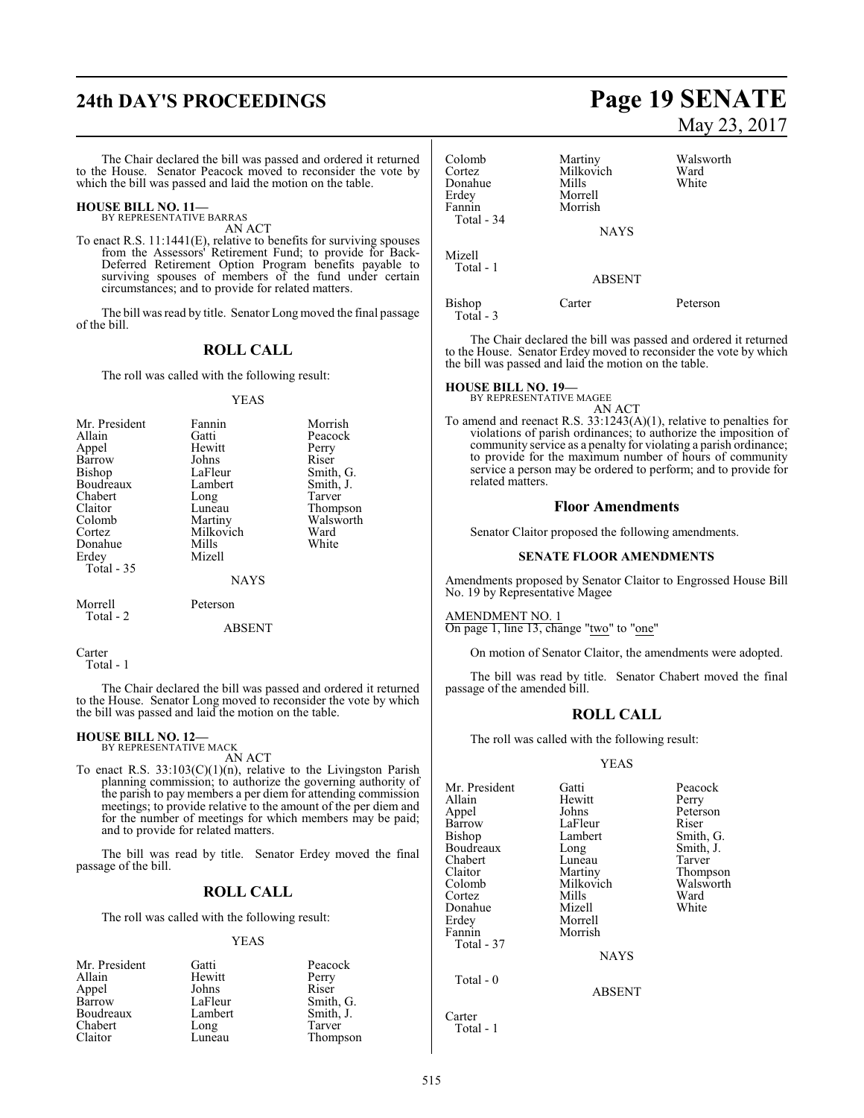# **24th DAY'S PROCEEDINGS Page 19 SENATE**

The Chair declared the bill was passed and ordered it returned to the House. Senator Peacock moved to reconsider the vote by which the bill was passed and laid the motion on the table.

#### **HOUSE BILL NO. 11—** BY REPRESENTATIVE BARRAS

AN ACT

To enact R.S. 11:1441(E), relative to benefits for surviving spouses from the Assessors' Retirement Fund; to provide for Back-Deferred Retirement Option Program benefits payable to surviving spouses of members of the fund under certain circumstances; and to provide for related matters.

The bill was read by title. Senator Long moved the final passage of the bill.

#### **ROLL CALL**

The roll was called with the following result:

#### YEAS

| Mr. President | Fannin      | Morrish   |
|---------------|-------------|-----------|
| Allain        | Gatti       | Peacock   |
| Appel         | Hewitt      | Perry     |
| Barrow        | Johns       | Riser     |
| <b>Bishop</b> | LaFleur     | Smith, G. |
| Boudreaux     | Lambert     | Smith, J. |
| Chabert       | Long        | Tarver    |
| Claitor       | Luneau      | Thompson  |
| Colomb        | Martiny     | Walsworth |
| Cortez        | Milkovich   | Ward      |
| Donahue       | Mills       | White     |
| Erdey         | Mizell      |           |
| Total - 35    |             |           |
|               | <b>NAYS</b> |           |

| Morrell |  |
|---------|--|
| Total - |  |

ABSENT

Peterson

Carter Total - 1

The Chair declared the bill was passed and ordered it returned to the House. Senator Long moved to reconsider the vote by which the bill was passed and laid the motion on the table.

# **HOUSE BILL NO. 12—** BY REPRESENTATIVE MACK

AN ACT

To enact R.S.  $33:103(C)(1)(n)$ , relative to the Livingston Parish planning commission; to authorize the governing authority of the parish to pay members a per diem for attending commission meetings; to provide relative to the amount of the per diem and for the number of meetings for which members may be paid; and to provide for related matters.

The bill was read by title. Senator Erdey moved the final passage of the bill.

### **ROLL CALL**

The roll was called with the following result:

#### YEAS

| Mr. President | Gatti   | Peacock   |
|---------------|---------|-----------|
| Allain        | Hewitt  | Perry     |
| Appel         | Johns   | Riser     |
| Barrow        | LaFleur | Smith, G. |
| Boudreaux     | Lambert | Smith, J. |
| Chabert       | Long    | Tarver    |
| Claitor       | Luneau  | Thompson  |

# May 23, 2017

| Colomb<br>Cortez<br>Donahue<br>Erdey<br>Fannin<br>Total - 34 | Martiny<br>Milkovich<br>Mills<br>Morrell<br>Morrish<br><b>NAYS</b> | Walsworth<br>Ward<br>White |
|--------------------------------------------------------------|--------------------------------------------------------------------|----------------------------|
| Mizell<br>Total - 1                                          | <b>ABSENT</b>                                                      |                            |
| Bishop<br>Total - 3                                          | Carter                                                             | Peterson                   |

The Chair declared the bill was passed and ordered it returned to the House. Senator Erdey moved to reconsider the vote by which the bill was passed and laid the motion on the table.

#### **HOUSE BILL NO. 19—**

BY REPRESENTATIVE MAGEE AN ACT

To amend and reenact R.S. 33:1243(A)(1), relative to penalties for violations of parish ordinances; to authorize the imposition of community service as a penalty for violating a parish ordinance; to provide for the maximum number of hours of community service a person may be ordered to perform; and to provide for related matters.

#### **Floor Amendments**

Senator Claitor proposed the following amendments.

#### **SENATE FLOOR AMENDMENTS**

Amendments proposed by Senator Claitor to Engrossed House Bill No. 19 by Representative Magee

#### AMENDMENT NO. 1

On page 1, line 13, change "two" to "one"

On motion of Senator Claitor, the amendments were adopted.

The bill was read by title. Senator Chabert moved the final passage of the amended bill.

#### **ROLL CALL**

The roll was called with the following result:

#### YEAS

| Mr. President<br>Allain<br>Appel<br>Barrow<br>Bishop<br>Boudreaux<br>Chabert<br>Claitor<br>Colomb<br>Cortez<br>Donahue<br>Erdey | Gatti<br>Hewitt<br>Johns<br>LaFleur<br>Lambert<br>Long<br>Luneau<br>Martiny<br>Milkovich<br>Mills<br>Mizell<br>Morrell | Peacock<br>Perry<br>Peterson<br>Riser<br>Smith, G.<br>Smith, J.<br>Tarver<br>Thompson<br>Walsworth<br>Ward<br>White |
|---------------------------------------------------------------------------------------------------------------------------------|------------------------------------------------------------------------------------------------------------------------|---------------------------------------------------------------------------------------------------------------------|
| Fannin<br>Total - 37<br>Total - 0                                                                                               | Morrish<br><b>NAYS</b>                                                                                                 |                                                                                                                     |
| Carter<br>Total - 1                                                                                                             | <b>ABSENT</b>                                                                                                          |                                                                                                                     |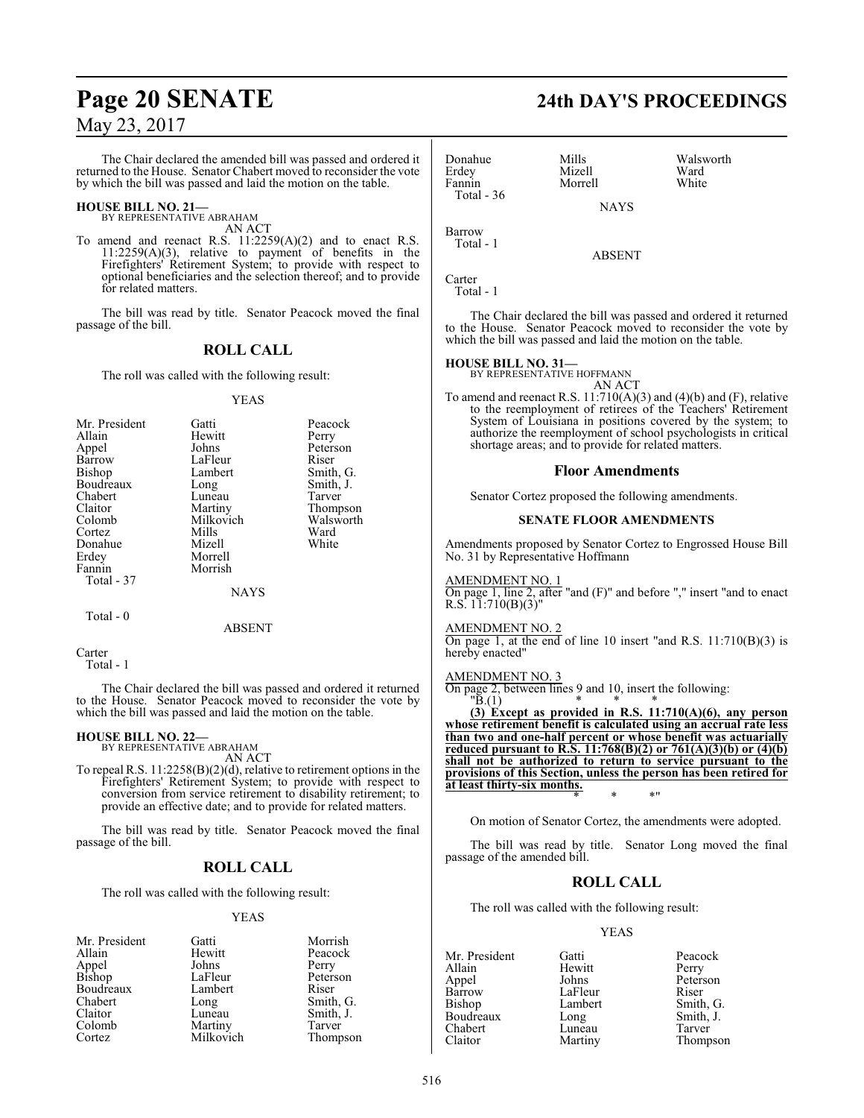The Chair declared the amended bill was passed and ordered it returned to the House. Senator Chabert moved to reconsider the vote by which the bill was passed and laid the motion on the table.

#### **HOUSE BILL NO. 21—** BY REPRESENTATIVE ABRAHAM

AN ACT

To amend and reenact R.S. 11:2259(A)(2) and to enact R.S. 11:2259(A)(3), relative to payment of benefits in the Firefighters' Retirement System; to provide with respect to optional beneficiaries and the selection thereof; and to provide for related matters.

The bill was read by title. Senator Peacock moved the final passage of the bill.

## **ROLL CALL**

The roll was called with the following result:

#### YEAS

| Mr. President | Gatti     | Peacock   |
|---------------|-----------|-----------|
| Allain        | Hewitt    | Perry     |
| Appel         | Johns     | Peterson  |
| Barrow        | LaFleur   | Riser     |
| <b>Bishop</b> | Lambert   | Smith, G. |
| Boudreaux     | Long      | Smith, J. |
| Chabert       | Luneau    | Tarver    |
| Claitor       | Martiny   | Thompson  |
| Colomb        | Milkovich | Walsworth |
| Cortez        | Mills     | Ward      |
| Donahue       | Mizell    | White     |
| Erdey         | Morrell   |           |
| Fannin        | Morrish   |           |
| Total - 37    |           |           |
|               | NAYS      |           |

Total - 0

#### ABSENT

Carter Total - 1

The Chair declared the bill was passed and ordered it returned to the House. Senator Peacock moved to reconsider the vote by which the bill was passed and laid the motion on the table.

# **HOUSE BILL NO. 22—** BY REPRESENTATIVE ABRAHAM

AN ACT

To repeal R.S. 11:2258(B)(2)(d), relative to retirement options in the

Firefighters' Retirement System; to provide with respect to conversion from service retirement to disability retirement; to provide an effective date; and to provide for related matters.

The bill was read by title. Senator Peacock moved the final passage of the bill.

#### **ROLL CALL**

The roll was called with the following result:

#### YEAS

| Mr. President   | Gatti     | Morrish   |
|-----------------|-----------|-----------|
| Allain          | Hewitt    | Peacock   |
|                 | Johns     | Perry     |
| Appel<br>Bishop | LaFleur   | Peterson  |
| Boudreaux       | Lambert   | Riser     |
| Chabert         | Long      | Smith, G. |
| Claitor         | Luneau    | Smith, J. |
| Colomb          | Martiny   | Tarver    |
| Cortez          | Milkovich | Thompson  |

# **Page 20 SENATE 24th DAY'S PROCEEDINGS**

| Donahue<br>Erdey<br>Fannin | Mills<br>Mizell<br>Morrell | Walsworth<br>Ward<br>White |
|----------------------------|----------------------------|----------------------------|
| Total $-36$                | <b>NAYS</b>                |                            |
| Barrow<br>Total - 1        | <b>ABSENT</b>              |                            |
| Carter                     |                            |                            |

Total - 1

The Chair declared the bill was passed and ordered it returned to the House. Senator Peacock moved to reconsider the vote by which the bill was passed and laid the motion on the table.

# **HOUSE BILL NO. 31—** BY REPRESENTATIVE HOFFMANN

AN ACT

To amend and reenact R.S.  $11:710(A)(3)$  and  $(4)(b)$  and  $(F)$ , relative to the reemployment of retirees of the Teachers' Retirement System of Louisiana in positions covered by the system; to authorize the reemployment of school psychologists in critical shortage areas; and to provide for related matters.

#### **Floor Amendments**

Senator Cortez proposed the following amendments.

#### **SENATE FLOOR AMENDMENTS**

Amendments proposed by Senator Cortez to Engrossed House Bill No. 31 by Representative Hoffmann

#### AMENDMENT NO. 1

On page 1, line 2, after "and (F)" and before "," insert "and to enact R.S.  $11:710(B)(3)$ "

#### AMENDMENT NO. 2

On page 1, at the end of line 10 insert "and R.S.  $11:710(B)(3)$  is hereby enacted"

#### AMENDMENT NO. 3

On page 2, between lines 9 and 10, insert the following:<br>"B.(1)  $*$ 

 $\mathbf{B}.(1)$  \* \* \* **(3) Except as provided in R.S. 11:710(A)(6), any person whose retirement benefit is calculated using an accrual rate less than two and one-half percent or whose benefit was actuarially reduced pursuant to R.S. 11:768(B)(2) or 761(A)(3)(b) or (4)(b) shall not be authorized to return to service pursuant to the provisions of this Section, unless the person has been retired for at least thirty-six months.** \* \* \*"

On motion of Senator Cortez, the amendments were adopted.

The bill was read by title. Senator Long moved the final passage of the amended bill.

## **ROLL CALL**

The roll was called with the following result:

#### YEAS

Allain Hewitt<br>
Appel Johns Appel Johns Peterson Barrow LaFleur<br>Bishop Lambert Boudreaux Long Smith,<br>
Chabert Luneau Tarver Chabert Luneau<br>Claitor Martiny

Mr. President Gatti Beacock<br>
Allain Hewitt Perry Lambert Smith, G.<br>
Long Smith, J. Thompson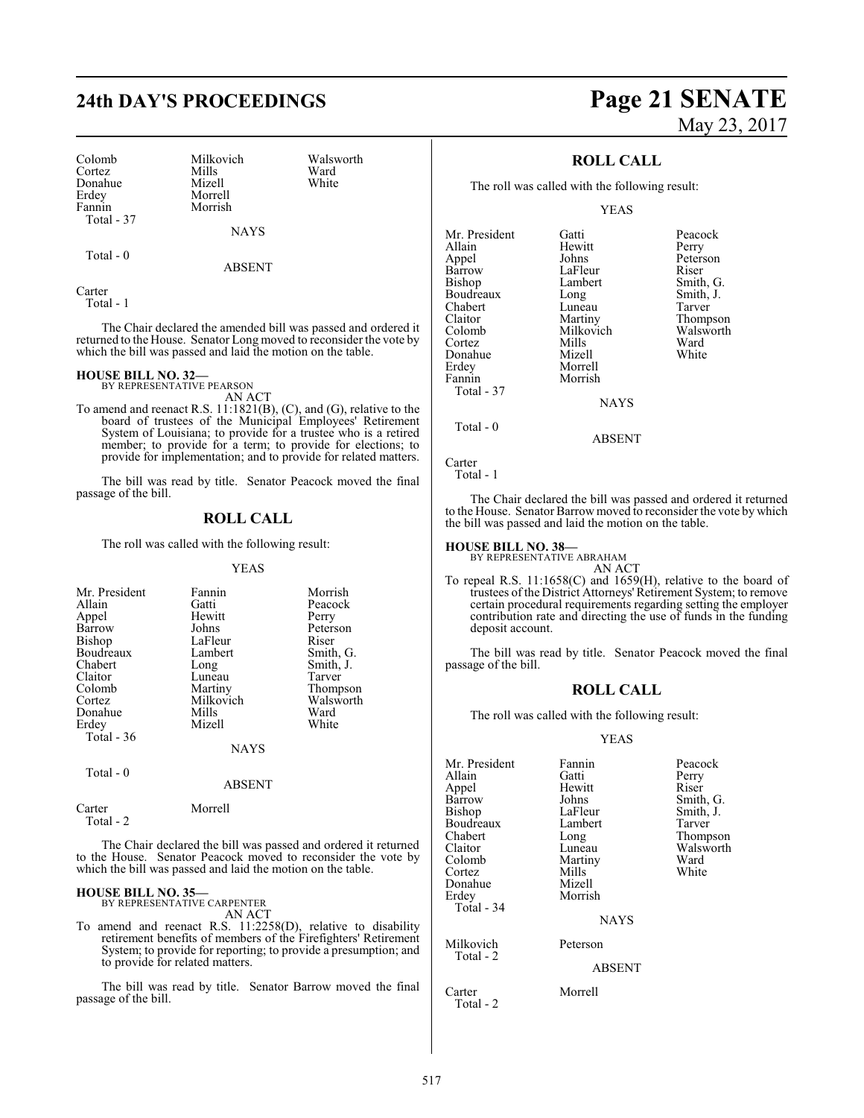Colomb Milkovich Walsworth Cortez Mills Ward Donahue<br>Erdev Erdey Morrell Total - 37

Total - 0

Morrish

NAYS

ABSENT

**Carter** Total - 1

The Chair declared the amended bill was passed and ordered it returned to the House. Senator Long moved to reconsider the vote by which the bill was passed and laid the motion on the table.

#### **HOUSE BILL NO. 32—**

BY REPRESENTATIVE PEARSON

AN ACT To amend and reenact R.S. 11:1821(B), (C), and (G), relative to the board of trustees of the Municipal Employees' Retirement System of Louisiana; to provide for a trustee who is a retired member; to provide for a term; to provide for elections; to provide for implementation; and to provide for related matters.

The bill was read by title. Senator Peacock moved the final passage of the bill.

### **ROLL CALL**

The roll was called with the following result:

#### YEAS

| Mr. President<br>Allain<br>Appel<br>Barrow<br>Bishop<br>Boudreaux<br>Chabert<br>Claitor<br>Colomb<br>Cortez<br>Donahue | Fannin<br>Gatti<br>Hewitt<br>Johns<br>LaFleur<br>Lambert<br>Long<br>Luneau<br>Martiny<br>Milkovich<br>Mills | Morrish<br>Peacock<br>Perry<br>Peterson<br>Riser<br>Smith, G.<br>Smith, J.<br>Tarver<br>Thompson<br>Walsworth<br>Ward |
|------------------------------------------------------------------------------------------------------------------------|-------------------------------------------------------------------------------------------------------------|-----------------------------------------------------------------------------------------------------------------------|
| Erdey                                                                                                                  | Mizell                                                                                                      | White                                                                                                                 |
| Total - 36                                                                                                             |                                                                                                             |                                                                                                                       |
|                                                                                                                        | <b>NAYS</b>                                                                                                 |                                                                                                                       |
| Total - 0                                                                                                              | <b>ABSENT</b>                                                                                               |                                                                                                                       |

| Carter    | Morrell |
|-----------|---------|
| Total - 2 |         |

The Chair declared the bill was passed and ordered it returned to the House. Senator Peacock moved to reconsider the vote by which the bill was passed and laid the motion on the table.

#### **HOUSE BILL NO. 35—** BY REPRESENTATIVE CARPENTER

AN ACT

To amend and reenact R.S. 11:2258(D), relative to disability retirement benefits of members of the Firefighters' Retirement System; to provide for reporting; to provide a presumption; and to provide for related matters.

The bill was read by title. Senator Barrow moved the final passage of the bill.

# **24th DAY'S PROCEEDINGS Page 21 SENATE** May 23, 2017

### **ROLL CALL**

The roll was called with the following result:

YEAS

| Mr. President<br>Allain<br>Appel<br>Barrow<br>Bishop<br>Boudreaux<br>Chabert<br>Claitor<br>Colomb<br>Cortez<br>Donahue<br>Erdey<br>Fannin<br>Total - 37 | Gatti<br>Hewitt<br>Johns<br>LaFleur<br>Lambert<br>Long<br>Luneau<br>Martiny<br>Milkovich<br>Mills<br>Mizell<br>Morrell<br>Morrish<br>NAYS | Peacock<br>Perry<br>Peterson<br>Riser<br>Smith, G.<br>Smith, J.<br>Tarver<br>Thompson<br>Walsworth<br>Ward<br>White |
|---------------------------------------------------------------------------------------------------------------------------------------------------------|-------------------------------------------------------------------------------------------------------------------------------------------|---------------------------------------------------------------------------------------------------------------------|
|---------------------------------------------------------------------------------------------------------------------------------------------------------|-------------------------------------------------------------------------------------------------------------------------------------------|---------------------------------------------------------------------------------------------------------------------|

Carter

Total - 0

Total - 1

The Chair declared the bill was passed and ordered it returned to the House. Senator Barrow moved to reconsider the vote by which the bill was passed and laid the motion on the table.

ABSENT

#### **HOUSE BILL NO. 38—**

BY REPRESENTATIVE ABRAHAM

AN ACT To repeal R.S. 11:1658(C) and 1659(H), relative to the board of trustees of the District Attorneys'Retirement System; to remove certain procedural requirements regarding setting the employer contribution rate and directing the use of funds in the funding deposit account.

The bill was read by title. Senator Peacock moved the final passage of the bill.

#### **ROLL CALL**

The roll was called with the following result:

#### YEAS

| Mr. President<br>Allain<br>Appel<br>Barrow<br>Bishop<br>Boudreaux<br>Chabert<br>Claitor<br>Colomb<br>Cortez<br>Donahue<br>Erdey<br>Total - 34 | Fannin<br>Gatti<br>Hewitt<br>Johns<br>LaFleur<br>Lambert<br>Long<br>Luneau<br>Martiny<br>Mills<br>Mizell<br>Morrish<br><b>NAYS</b> | Peacock<br>Perry<br>Riser<br>Smith, G.<br>Smith, J.<br>Tarver<br>Thompson<br>Walsworth<br>Ward<br>White |
|-----------------------------------------------------------------------------------------------------------------------------------------------|------------------------------------------------------------------------------------------------------------------------------------|---------------------------------------------------------------------------------------------------------|
| Milkovich<br>Total - 2                                                                                                                        | Peterson<br><b>ABSENT</b>                                                                                                          |                                                                                                         |
| Carter<br>Total - 2                                                                                                                           | Morrell                                                                                                                            |                                                                                                         |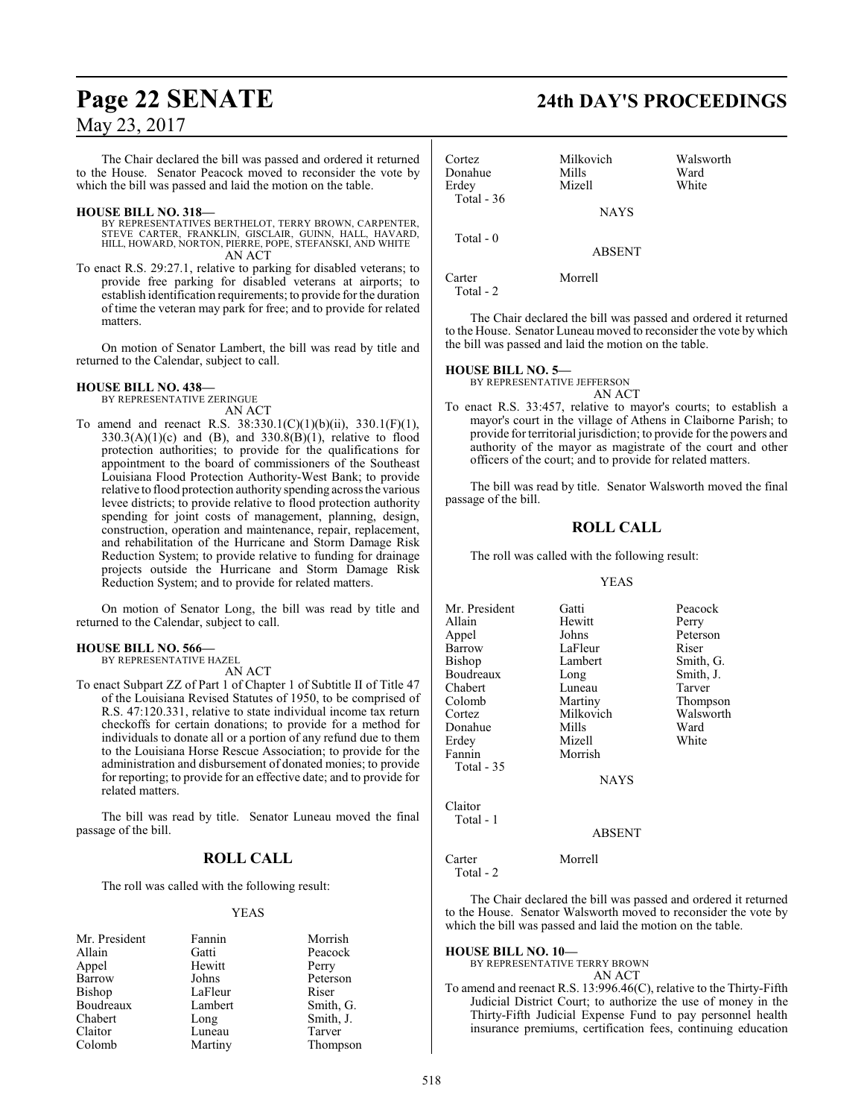The Chair declared the bill was passed and ordered it returned to the House. Senator Peacock moved to reconsider the vote by which the bill was passed and laid the motion on the table.

#### **HOUSE BILL NO. 318—**

- BY REPRESENTATIVES BERTHELOT, TERRY BROWN, CARPENTER, STEVE CARTER, FRANKLIN, GISCLAIR, GUINN, HALL, HAVARD, HILL, HOWARD, NORTON, PIERRE, POPE, STEFANSKI, AND WHITE AN ACT
- To enact R.S. 29:27.1, relative to parking for disabled veterans; to provide free parking for disabled veterans at airports; to establish identification requirements; to provide for the duration of time the veteran may park for free; and to provide for related matters.

On motion of Senator Lambert, the bill was read by title and returned to the Calendar, subject to call.

#### **HOUSE BILL NO. 438—**

BY REPRESENTATIVE ZERINGUE AN ACT

To amend and reenact R.S. 38:330.1(C)(1)(b)(ii), 330.1(F)(1),  $330.3(A)(1)(c)$  and (B), and  $330.8(B)(1)$ , relative to flood protection authorities; to provide for the qualifications for appointment to the board of commissioners of the Southeast Louisiana Flood Protection Authority-West Bank; to provide relative to flood protection authority spending across the various levee districts; to provide relative to flood protection authority spending for joint costs of management, planning, design, construction, operation and maintenance, repair, replacement, and rehabilitation of the Hurricane and Storm Damage Risk Reduction System; to provide relative to funding for drainage projects outside the Hurricane and Storm Damage Risk Reduction System; and to provide for related matters.

On motion of Senator Long, the bill was read by title and returned to the Calendar, subject to call.

#### **HOUSE BILL NO. 566—**

BY REPRESENTATIVE HAZEL AN ACT

To enact Subpart ZZ of Part 1 of Chapter 1 of Subtitle II of Title 47 of the Louisiana Revised Statutes of 1950, to be comprised of R.S. 47:120.331, relative to state individual income tax return checkoffs for certain donations; to provide for a method for individuals to donate all or a portion of any refund due to them to the Louisiana Horse Rescue Association; to provide for the administration and disbursement of donated monies; to provide for reporting; to provide for an effective date; and to provide for related matters.

The bill was read by title. Senator Luneau moved the final passage of the bill.

## **ROLL CALL**

The roll was called with the following result:

#### YEAS

| Mr. President | Fannin  | Morrish   |
|---------------|---------|-----------|
| Allain        | Gatti   | Peacock   |
| Appel         | Hewitt  | Perry     |
| Barrow        | Johns   | Peterson  |
| <b>Bishop</b> | LaFleur | Riser     |
| Boudreaux     | Lambert | Smith, G. |
| Chabert       | Long    | Smith, J. |
| Claitor       | Luneau  | Tarver    |
| Colomb        | Martiny | Thompson  |

# **Page 22 SENATE 24th DAY'S PROCEEDINGS**

| Cortez<br>Donahue<br>Erdey | Milkovich<br>Mills<br>Mizell | Walsworth<br>Ward<br>White |
|----------------------------|------------------------------|----------------------------|
| Total $-36$                | <b>NAYS</b>                  |                            |
| Total $-0$                 | <b>ABSENT</b>                |                            |
| Carter                     | Morrell                      |                            |

Total - 2

The Chair declared the bill was passed and ordered it returned to the House. Senator Luneau moved to reconsider the vote by which the bill was passed and laid the motion on the table.

#### **HOUSE BILL NO. 5—**

BY REPRESENTATIVE JEFFERSON AN ACT

To enact R.S. 33:457, relative to mayor's courts; to establish a mayor's court in the village of Athens in Claiborne Parish; to provide for territorial jurisdiction; to provide for the powers and authority of the mayor as magistrate of the court and other officers of the court; and to provide for related matters.

The bill was read by title. Senator Walsworth moved the final passage of the bill.

## **ROLL CALL**

The roll was called with the following result:

#### YEAS

| Mr. President | Gatti       | Peacock   |
|---------------|-------------|-----------|
| Allain        | Hewitt      | Perry     |
| Appel         | Johns       | Peterson  |
| Barrow        | LaFleur     | Riser     |
| Bishop        | Lambert     | Smith, G. |
| Boudreaux     | Long        | Smith, J. |
| Chabert       | Luneau      | Tarver    |
| Colomb        | Martiny     | Thompson  |
| Cortez        | Milkovich   | Walsworth |
| Donahue       | Mills       | Ward      |
| Erdey         | Mizell      | White     |
| Fannin        | Morrish     |           |
| Total - 35    |             |           |
|               | <b>NAYS</b> |           |
|               |             |           |

Claitor Total - 1

#### ABSENT

Carter Morrell Total - 2

The Chair declared the bill was passed and ordered it returned to the House. Senator Walsworth moved to reconsider the vote by which the bill was passed and laid the motion on the table.

#### **HOUSE BILL NO. 10—** BY REPRESENTATIVE TERRY BROWN

AN ACT

To amend and reenact R.S. 13:996.46(C), relative to the Thirty-Fifth Judicial District Court; to authorize the use of money in the Thirty-Fifth Judicial Expense Fund to pay personnel health insurance premiums, certification fees, continuing education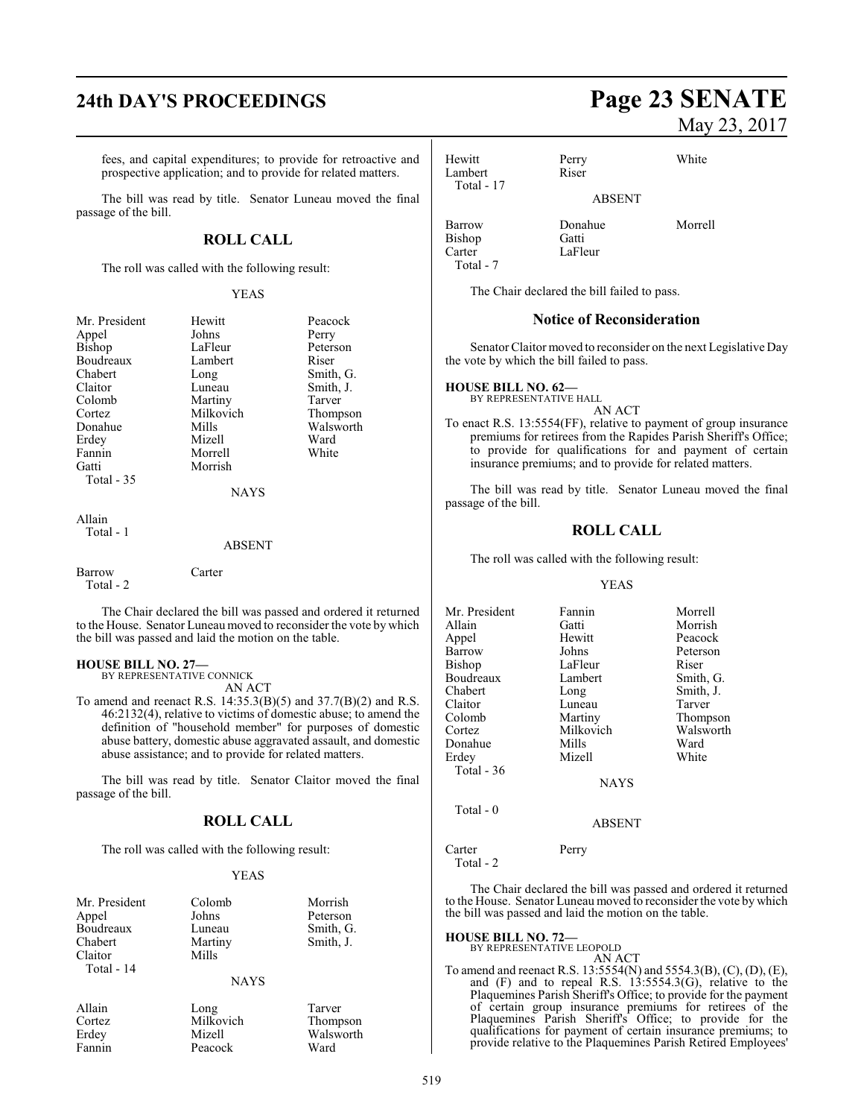# **24th DAY'S PROCEEDINGS Page 23 SENATE**

fees, and capital expenditures; to provide for retroactive and prospective application; and to provide for related matters.

The bill was read by title. Senator Luneau moved the final passage of the bill.

#### **ROLL CALL**

The roll was called with the following result:

#### YEAS

| Mr. President | Hewitt      | Peacock   |
|---------------|-------------|-----------|
| Appel         | Johns       | Perry     |
| <b>Bishop</b> | LaFleur     | Peterson  |
| Boudreaux     | Lambert     | Riser     |
| Chabert       | Long        | Smith, G. |
| Claitor       | Luneau      | Smith, J. |
| Colomb        | Martiny     | Tarver    |
| Cortez        | Milkovich   | Thompson  |
| Donahue       | Mills       | Walsworth |
| Erdey         | Mizell      | Ward      |
| Fannin        | Morrell     | White     |
| Gatti         | Morrish     |           |
| Total $-35$   |             |           |
|               | <b>NAYS</b> |           |
| Allain        |             |           |
| Total - 1     |             |           |

ABSENT

Barrow Carter Total - 2

The Chair declared the bill was passed and ordered it returned to the House. Senator Luneau moved to reconsider the vote by which the bill was passed and laid the motion on the table.

#### **HOUSE BILL NO. 27—**

BY REPRESENTATIVE CONNICK AN ACT

To amend and reenact R.S. 14:35.3(B)(5) and 37.7(B)(2) and R.S. 46:2132(4), relative to victims of domestic abuse; to amend the definition of "household member" for purposes of domestic abuse battery, domestic abuse aggravated assault, and domestic abuse assistance; and to provide for related matters.

The bill was read by title. Senator Claitor moved the final passage of the bill.

#### **ROLL CALL**

The roll was called with the following result:

#### YEAS

| Mr. President<br>Appel | Colomb<br>Johns   | Morrish<br>Peterson |
|------------------------|-------------------|---------------------|
| Boudreaux              | Luneau            | Smith, G.           |
| Chabert<br>Claitor     | Martiny<br>Mills  | Smith, J.           |
| Total - 14             | <b>NAYS</b>       |                     |
| Allain<br>Cortez       | Long<br>Milkovich | Tarver<br>Thompson  |

Peacock

| Анаш   |
|--------|
| Cortez |
| Erdey  |
| Fannin |

Mizell Walsworth<br>Peacock Ward

May 23, 2017

Hewitt Perry White Lambert Riser Total - 17

Bishop<br>Carter Total - 7

Barrow Donahue Morrell<br>Bishon Gatti LaFleur

The Chair declared the bill failed to pass.

#### **Notice of Reconsideration**

ABSENT

Senator Claitor moved to reconsider on the next Legislative Day the vote by which the bill failed to pass.

**HOUSE BILL NO. 62—**

BY REPRESENTATIVE HALL AN ACT

To enact R.S. 13:5554(FF), relative to payment of group insurance premiums for retirees from the Rapides Parish Sheriff's Office; to provide for qualifications for and payment of certain insurance premiums; and to provide for related matters.

The bill was read by title. Senator Luneau moved the final passage of the bill.

#### **ROLL CALL**

The roll was called with the following result:

#### YEAS

| Mr. President | Fannin      | Morrell   |
|---------------|-------------|-----------|
| Allain        | Gatti       | Morrish   |
| Appel         | Hewitt      | Peacock   |
| Barrow        | Johns       | Peterson  |
| Bishop        | LaFleur     | Riser     |
| Boudreaux     | Lambert     | Smith, G. |
| Chabert       | Long        | Smith, J. |
| Claitor       | Luneau      | Tarver    |
| Colomb        | Martiny     | Thompson  |
| Cortez        | Milkovich   | Walsworth |
| Donahue       | Mills       | Ward      |
| Erdey         | Mizell      | White     |
| Total $-36$   |             |           |
|               | <b>NAYS</b> |           |

Total - 0

ABSENT

Carter Perry

Total - 2

The Chair declared the bill was passed and ordered it returned to the House. Senator Luneau moved to reconsider the vote by which the bill was passed and laid the motion on the table.

**HOUSE BILL NO. 72—** BY REPRESENTATIVE LEOPOLD AN ACT

To amend and reenact R.S. 13:5554(N) and 5554.3(B), (C), (D), (E), and (F) and to repeal R.S. 13:5554.3(G), relative to the Plaquemines Parish Sheriff's Office; to provide for the payment of certain group insurance premiums for retirees of the Plaquemines Parish Sheriff's Office; to provide for the qualifications for payment of certain insurance premiums; to provide relative to the Plaquemines Parish Retired Employees'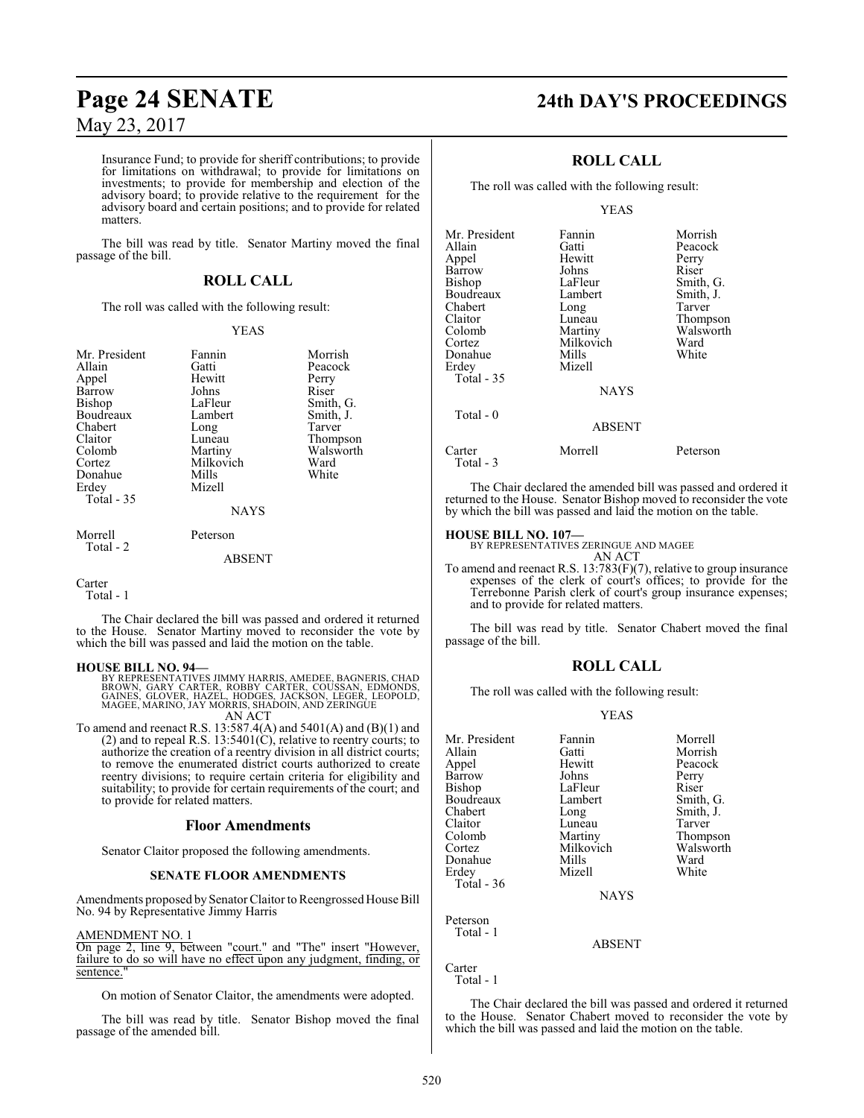Insurance Fund; to provide for sheriff contributions; to provide for limitations on withdrawal; to provide for limitations on investments; to provide for membership and election of the advisory board; to provide relative to the requirement for the advisory board and certain positions; and to provide for related matters.

The bill was read by title. Senator Martiny moved the final passage of the bill.

## **ROLL CALL**

The roll was called with the following result:

#### YEAS

Morrish Peacock<br>Perry

Smith, G. Smith, J. Tarver Thompson Walsworth<br>Ward

| Mr. President<br>Allain<br>Appel<br>Barrow<br>Bishop<br>Boudreaux<br>Chabert<br>Claitor<br>Colomb<br>Cortez<br>Donahue<br>Erdey<br>Total - 35 | Fannin<br>Gatti<br>Hewitt<br>Johns<br>LaFleur<br>Lambert<br>Long<br>Luneau<br>Martiny<br>Milkovich<br>Mills<br>Mizell<br><b>NAYS</b> | Morri<br>Peaco<br>Perry<br>Riser<br>Smith<br>Smith<br>Tarver<br>Thom<br>Walsy<br>Ward<br>White |
|-----------------------------------------------------------------------------------------------------------------------------------------------|--------------------------------------------------------------------------------------------------------------------------------------|------------------------------------------------------------------------------------------------|
| Morrell                                                                                                                                       | Peterson                                                                                                                             |                                                                                                |

Total - 2

#### ABSENT

#### Carter Total - 1

The Chair declared the bill was passed and ordered it returned to the House. Senator Martiny moved to reconsider the vote by which the bill was passed and laid the motion on the table.

#### **HOUSE BILL NO. 94—**

BY REPRESENTATIVES JIMMY HARRIS, AMEDEE, BAGNERIS, CHAD<br>BROWN, GARY CARTER, ROBBY CARTER, COUSSAN, EDMONDS,<br>GAINES, GLOVER, HAZEL, HODGES, JACKSON, LEGER, LEOPOLD,<br>MAGEE, MARINO, JAY MORRIS, SHADOIN, AND ZERINGUE AN ACT

To amend and reenact R.S. 13:587.4(A) and 5401(A) and (B)(1) and (2) and to repeal R.S.  $13:5401(C)$ , relative to reentry courts; to authorize the creation of a reentry division in all district courts; to remove the enumerated district courts authorized to create reentry divisions; to require certain criteria for eligibility and suitability; to provide for certain requirements of the court; and to provide for related matters.

#### **Floor Amendments**

Senator Claitor proposed the following amendments.

#### **SENATE FLOOR AMENDMENTS**

Amendments proposed by Senator Claitor to Reengrossed House Bill No. 94 by Representative Jimmy Harris

#### AMENDMENT NO. 1

On page 2, line 9, between "court." and "The" insert "However, failure to do so will have no effect upon any judgment, finding, or sentence.

On motion of Senator Claitor, the amendments were adopted.

The bill was read by title. Senator Bishop moved the final passage of the amended bill.

# **Page 24 SENATE 24th DAY'S PROCEEDINGS**

## **ROLL CALL**

The roll was called with the following result:

#### YEAS

| Mr. President        | Fannin        | Morrish   |
|----------------------|---------------|-----------|
| Allain               | Gatti         | Peacock   |
| Appel                | Hewitt        | Perry     |
| Barrow               | Johns         | Riser     |
| Bishop               | LaFleur       | Smith, G. |
| Boudreaux            | Lambert       | Smith, J. |
| Chabert              | Long          | Tarver    |
| Claitor              | Luneau        | Thompson  |
| Colomb               | Martiny       | Walsworth |
| Cortez               | Milkovich     | Ward      |
| Donahue              | Mills         | White     |
| Erdev                | Mizell        |           |
| Total - 35           |               |           |
|                      | <b>NAYS</b>   |           |
| Total $-0$           |               |           |
|                      | <b>ABSENT</b> |           |
| Carter<br>Total $-3$ | Morrell       | Peterson  |

The Chair declared the amended bill was passed and ordered it returned to the House. Senator Bishop moved to reconsider the vote by which the bill was passed and laid the motion on the table.

#### **HOUSE BILL NO. 107—**

BY REPRESENTATIVES ZERINGUE AND MAGEE AN ACT

To amend and reenact R.S. 13:783(F)(7), relative to group insurance expenses of the clerk of court's offices; to provide for the Terrebonne Parish clerk of court's group insurance expenses; and to provide for related matters.

The bill was read by title. Senator Chabert moved the final passage of the bill.

#### **ROLL CALL**

The roll was called with the following result:

#### YEAS

| Mr. President | Fannin      | Morrell   |
|---------------|-------------|-----------|
| Allain        | Gatti       | Morrish   |
| Appel         | Hewitt      | Peacock   |
| Barrow        | Johns       | Perry     |
| Bishop        | LaFleur     | Riser     |
| Boudreaux     | Lambert     | Smith, G. |
| Chabert       | Long        | Smith, J. |
| Claitor       | Luneau      | Tarver    |
| Colomb        | Martiny     | Thompson  |
| Cortez        | Milkovich   | Walsworth |
| Donahue       | Mills       | Ward      |
| Erdev         | Mizell      | White     |
| Total - 36    |             |           |
|               | <b>NAYS</b> |           |
| Peterson      |             |           |
| Total - 1     |             |           |

ABSENT

Carter Total - 1

The Chair declared the bill was passed and ordered it returned to the House. Senator Chabert moved to reconsider the vote by which the bill was passed and laid the motion on the table.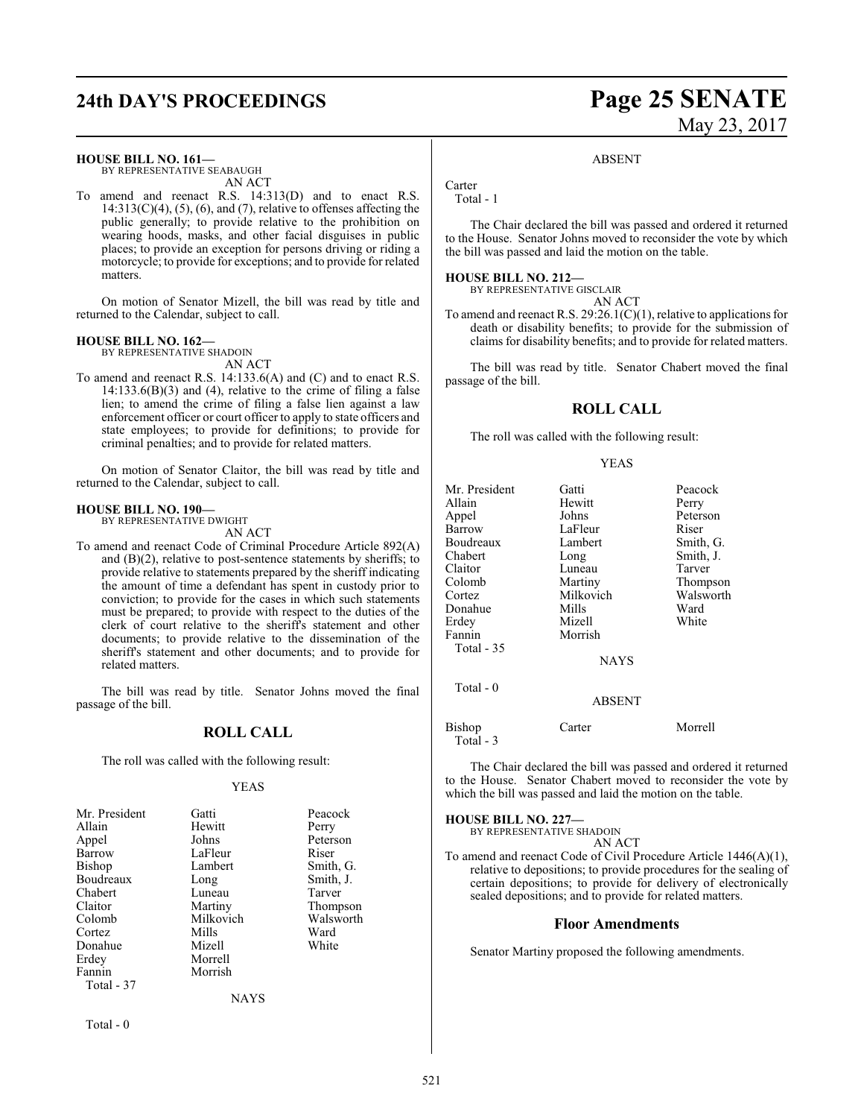# **24th DAY'S PROCEEDINGS Page 25 SENATE**

#### **HOUSE BILL NO. 161—**

BY REPRESENTATIVE SEABAUGH AN ACT

To amend and reenact R.S. 14:313(D) and to enact R.S.  $14:313(C)(4)$ ,  $(5)$ ,  $(6)$ , and  $(7)$ , relative to offenses affecting the public generally; to provide relative to the prohibition on wearing hoods, masks, and other facial disguises in public places; to provide an exception for persons driving or riding a motorcycle; to provide for exceptions; and to provide for related matters.

On motion of Senator Mizell, the bill was read by title and returned to the Calendar, subject to call.

#### **HOUSE BILL NO. 162—**

BY REPRESENTATIVE SHADOIN AN ACT

To amend and reenact R.S. 14:133.6(A) and (C) and to enact R.S.  $14:133.6(B)(3)$  and (4), relative to the crime of filing a false lien; to amend the crime of filing a false lien against a law enforcement officer or court officer to apply to state officers and state employees; to provide for definitions; to provide for criminal penalties; and to provide for related matters.

On motion of Senator Claitor, the bill was read by title and returned to the Calendar, subject to call.

#### **HOUSE BILL NO. 190—**

BY REPRESENTATIVE DWIGHT AN ACT

To amend and reenact Code of Criminal Procedure Article 892(A) and (B)(2), relative to post-sentence statements by sheriffs; to provide relative to statements prepared by the sheriff indicating the amount of time a defendant has spent in custody prior to conviction; to provide for the cases in which such statements must be prepared; to provide with respect to the duties of the clerk of court relative to the sheriff's statement and other documents; to provide relative to the dissemination of the sheriff's statement and other documents; and to provide for related matters.

The bill was read by title. Senator Johns moved the final passage of the bill.

#### **ROLL CALL**

The roll was called with the following result:

#### YEAS

| Mr. President | Gatti     | Peacock   |
|---------------|-----------|-----------|
| Allain        | Hewitt    | Perry     |
| Appel         | Johns     | Peterson  |
| Barrow        | LaFleur   | Riser     |
| Bishop        | Lambert   | Smith, G. |
| Boudreaux     | Long      | Smith, J. |
| Chabert       | Luneau    | Tarver    |
| Claitor       | Martiny   | Thompson  |
| Colomb        | Milkovich | Walsworth |
| Cortez        | Mills     | Ward      |
| Donahue       | Mizell    | White     |
| Erdey         | Morrell   |           |
| Fannin        | Morrish   |           |
| Total - 37    |           |           |
|               | NAYS      |           |

Total - 0

# May 23, 2017

#### ABSENT

Carter Total - 1

The Chair declared the bill was passed and ordered it returned to the House. Senator Johns moved to reconsider the vote by which the bill was passed and laid the motion on the table.

#### **HOUSE BILL NO. 212—**

BY REPRESENTATIVE GISCLAIR

AN ACT

To amend and reenact R.S. 29:26.1(C)(1), relative to applications for death or disability benefits; to provide for the submission of claims for disability benefits; and to provide for related matters.

The bill was read by title. Senator Chabert moved the final passage of the bill.

#### **ROLL CALL**

The roll was called with the following result:

#### YEAS

| Mr. President | Gatti         | Peacock   |
|---------------|---------------|-----------|
| Allain        | Hewitt        | Perry     |
| Appel         | Johns         | Peterson  |
| Barrow        | LaFleur       | Riser     |
| Boudreaux     | Lambert       | Smith, G. |
| Chabert       | Long          | Smith, J. |
| Claitor       | Luneau        | Tarver    |
| Colomb        | Martiny       | Thompson  |
| Cortez        | Milkovich     | Walsworth |
| Donahue       | Mills         | Ward      |
| Erdey         | Mizell        | White     |
| Fannin        | Morrish       |           |
| Total - 35    |               |           |
|               | <b>NAYS</b>   |           |
| Total $-0$    |               |           |
|               | <b>ABSENT</b> |           |
| Bishop        | Carter        | Morrell   |

Total - 3

The Chair declared the bill was passed and ordered it returned to the House. Senator Chabert moved to reconsider the vote by which the bill was passed and laid the motion on the table.

#### **HOUSE BILL NO. 227—**

BY REPRESENTATIVE SHADOIN AN ACT

To amend and reenact Code of Civil Procedure Article 1446(A)(1), relative to depositions; to provide procedures for the sealing of certain depositions; to provide for delivery of electronically sealed depositions; and to provide for related matters.

#### **Floor Amendments**

Senator Martiny proposed the following amendments.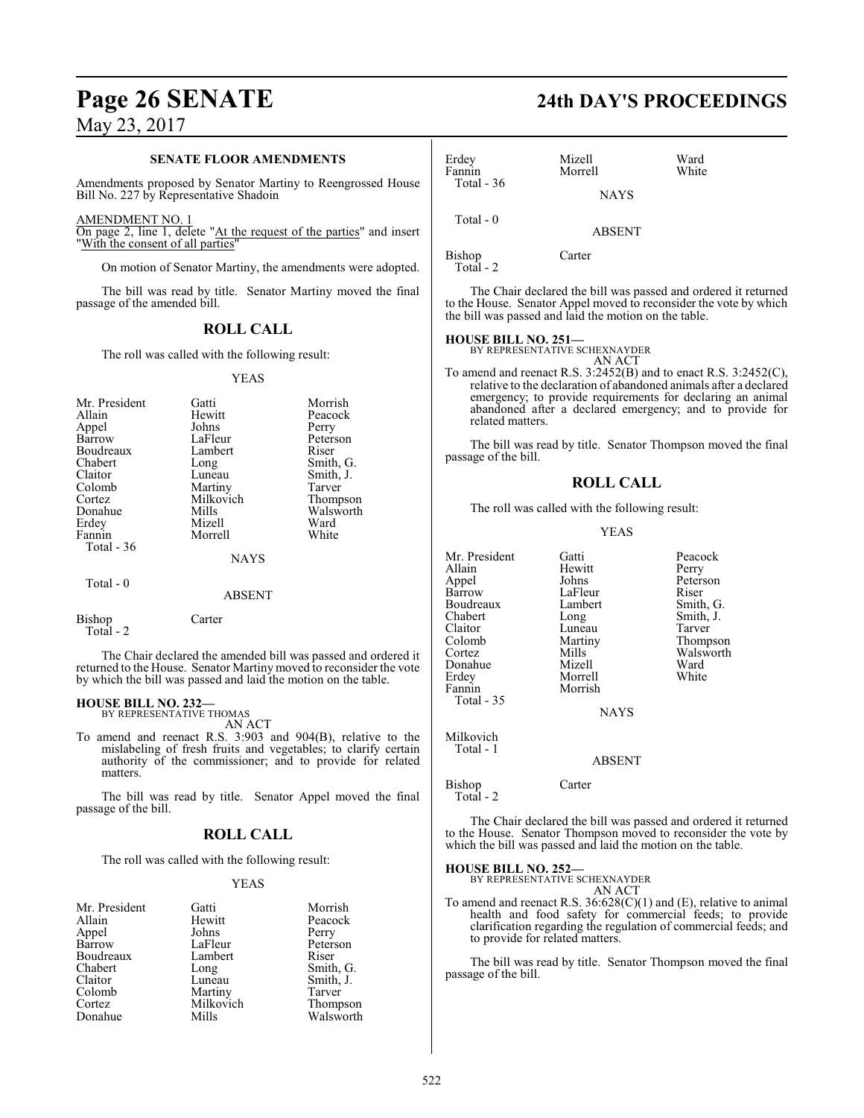# **Page 26 SENATE 24th DAY'S PROCEEDINGS**

May 23, 2017

#### **SENATE FLOOR AMENDMENTS**

Amendments proposed by Senator Martiny to Reengrossed House Bill No. 227 by Representative Shadoin

#### AMENDMENT NO. 1

On page 2, line 1, delete "At the request of the parties" and insert "With the consent of all parties"

On motion of Senator Martiny, the amendments were adopted.

The bill was read by title. Senator Martiny moved the final passage of the amended bill.

## **ROLL CALL**

The roll was called with the following result:

#### YEAS

| Mr. President<br>Allain<br>Appel<br>Barrow<br>Boudreaux<br>Chabert<br>Claitor<br>Colomb<br>Cortez<br>Donahue<br>Erdey<br>Fannin<br>Total $-36$ | Gatti<br>Hewitt<br>Johns<br>LaFleur<br>Lambert<br>Long<br>Luneau<br>Martiny<br>Milkovich<br>Mills<br>Mizell<br>Morrell<br><b>NAYS</b> | Morrish<br>Peacock<br>Perry<br>Peterson<br>Riser<br>Smith, G.<br>Smith, J.<br>Tarver<br>Thompson<br>Walsworth<br>Ward<br>White |
|------------------------------------------------------------------------------------------------------------------------------------------------|---------------------------------------------------------------------------------------------------------------------------------------|--------------------------------------------------------------------------------------------------------------------------------|
| Total $-0$                                                                                                                                     | <b>ABSENT</b>                                                                                                                         |                                                                                                                                |
| <b>Bishop</b>                                                                                                                                  | Carter                                                                                                                                |                                                                                                                                |

Total - 2

The Chair declared the amended bill was passed and ordered it returned to the House. Senator Martinymoved to reconsider the vote by which the bill was passed and laid the motion on the table.

#### **HOUSE BILL NO. 232—**

BY REPRESENTATIVE THOMAS AN ACT

To amend and reenact R.S. 3:903 and 904(B), relative to the mislabeling of fresh fruits and vegetables; to clarify certain authority of the commissioner; and to provide for related matters.

The bill was read by title. Senator Appel moved the final passage of the bill.

#### **ROLL CALL**

The roll was called with the following result:

#### YEAS

| Mr. President | Gatti     | Morrish   |
|---------------|-----------|-----------|
| Allain        | Hewitt    | Peacock   |
| Appel         | Johns     | Perry     |
| Barrow        | LaFleur   | Peterson  |
| Boudreaux     | Lambert   | Riser     |
| Chabert       | Long      | Smith, G. |
| Claitor       | Luneau    | Smith, J. |
| Colomb        | Martiny   | Tarver    |
| Cortez        | Milkovich | Thompson  |
| Donahue       | Mills     | Walsworth |

| Erdey<br>Fannin | Mizell<br>Morrell | Ward<br>White |
|-----------------|-------------------|---------------|
| Total - $36$    | <b>NAYS</b>       |               |
| Total - 0       | <b>ABSENT</b>     |               |
| Bishop          | Carter            |               |

Total - 2

The Chair declared the bill was passed and ordered it returned to the House. Senator Appel moved to reconsider the vote by which the bill was passed and laid the motion on the table.

#### **HOUSE BILL NO. 251—**

BY REPRESENTATIVE SCHEXNAYDER AN ACT

To amend and reenact R.S. 3:2452(B) and to enact R.S. 3:2452(C), relative to the declaration of abandoned animals after a declared emergency; to provide requirements for declaring an animal abandoned after a declared emergency; and to provide for related matters.

The bill was read by title. Senator Thompson moved the final passage of the bill.

#### **ROLL CALL**

The roll was called with the following result:

#### YEAS

| Mr. President | Gatti       | Peacock   |
|---------------|-------------|-----------|
| Allain        | Hewitt      | Perry     |
| Appel         | Johns       | Peterson  |
| Barrow        | LaFleur     | Riser     |
| Boudreaux     | Lambert     | Smith, G. |
| Chabert       | Long        | Smith, J. |
| Claitor       | Luneau      | Tarver    |
| Colomb        | Martiny     | Thompson  |
| Cortez        | Mills       | Walsworth |
| Donahue       | Mizell      | Ward      |
| Erdey         | Morrell     | White     |
| Fannin        | Morrish     |           |
| Total - 35    |             |           |
|               | <b>NAYS</b> |           |
| Milkovich     |             |           |
| Total - 1     |             |           |
|               | ABSENT      |           |
| Bishop        | Carter      |           |

Total - 2

The Chair declared the bill was passed and ordered it returned to the House. Senator Thompson moved to reconsider the vote by which the bill was passed and laid the motion on the table.

#### **HOUSE BILL NO. 252—**

BY REPRESENTATIVE SCHEXNAYDER

AN ACT To amend and reenact R.S. 36:628(C)(1) and (E), relative to animal health and food safety for commercial feeds; to provide clarification regarding the regulation of commercial feeds; and to provide for related matters.

The bill was read by title. Senator Thompson moved the final passage of the bill.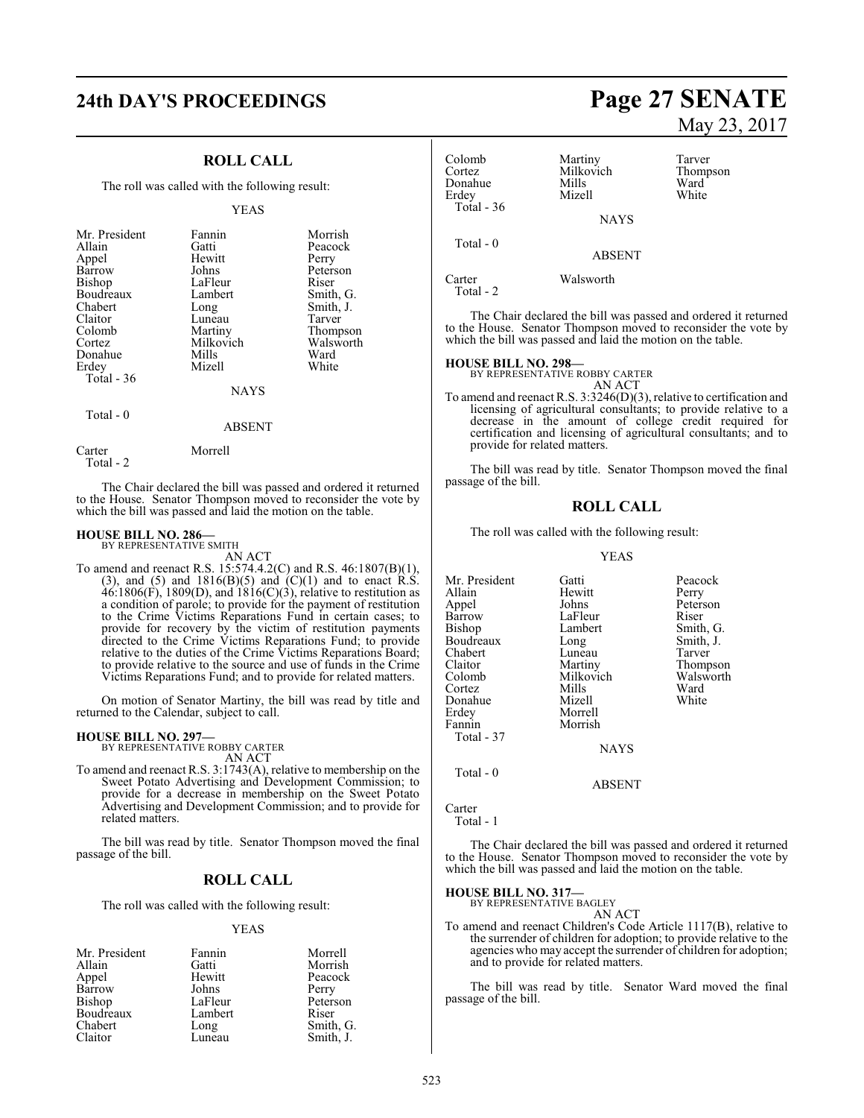# **24th DAY'S PROCEEDINGS Page 27 SENATE**

#### **ROLL CALL**

The roll was called with the following result:

#### YEAS

| Mr. President<br>Allain<br>Appel<br>Barrow<br>Bishop<br>Boudreaux<br>Chabert<br>Claitor<br>Colomb<br>Cortez<br>Donahue | Fannin<br>Gatti<br>Hewitt<br>Johns<br>LaFleur<br>Lambert<br>Long<br>Luneau<br>Martiny<br>Milkovich<br>Mills | Morrish<br>Peacock<br>Perry<br>Peterson<br>Riser<br>Smith, G.<br>Smith, J.<br>Tarver<br>Thompson<br>Walsworth<br>Ward |
|------------------------------------------------------------------------------------------------------------------------|-------------------------------------------------------------------------------------------------------------|-----------------------------------------------------------------------------------------------------------------------|
|                                                                                                                        |                                                                                                             |                                                                                                                       |
| Erdey                                                                                                                  | Mizell                                                                                                      | White                                                                                                                 |
| Total $-36$                                                                                                            | <b>NAYS</b>                                                                                                 |                                                                                                                       |

Total - 0

#### ABSENT

Carter Morrell

Total - 2

The Chair declared the bill was passed and ordered it returned to the House. Senator Thompson moved to reconsider the vote by which the bill was passed and laid the motion on the table.

#### **HOUSE BILL NO. 286—**

BY REPRESENTATIVE SMITH AN ACT

To amend and reenact R.S. 15:574.4.2(C) and R.S. 46:1807(B)(1), (3), and (5) and  $1816(B)(5)$  and  $(C)(1)$  and to enact R.S.  $46:1806(F)$ , 1809(D), and  $1816(C)(3)$ , relative to restitution as a condition of parole; to provide for the payment of restitution to the Crime Victims Reparations Fund in certain cases; to provide for recovery by the victim of restitution payments directed to the Crime Victims Reparations Fund; to provide relative to the duties of the Crime Victims Reparations Board; to provide relative to the source and use of funds in the Crime Victims Reparations Fund; and to provide for related matters.

On motion of Senator Martiny, the bill was read by title and returned to the Calendar, subject to call.

#### **HOUSE BILL NO. 297—**

BY REPRESENTATIVE ROBBY CARTER AN ACT

To amend and reenact R.S. 3:1743(A), relative to membership on the Sweet Potato Advertising and Development Commission; to provide for a decrease in membership on the Sweet Potato Advertising and Development Commission; and to provide for related matters.

The bill was read by title. Senator Thompson moved the final passage of the bill.

#### **ROLL CALL**

The roll was called with the following result:

#### YEAS

| Mr. President | Fannin  | Morrell   |
|---------------|---------|-----------|
| Allain        | Gatti   | Morrish   |
| Appel         | Hewitt  | Peacock   |
| Barrow        | Johns   | Perry     |
| Bishop        | LaFleur | Peterson  |
| Boudreaux     | Lambert | Riser     |
| Chabert       | Long    | Smith, G. |
| Claitor       | Luneau  | Smith, J. |

# May 23, 2017

Colomb Martiny Tarver<br>
Cortez Milkovich Thompson Milkovich Thom<br>
Mills Ward Donahue Mills Ward<br>
Erdev Mizell White Erdey Mizell White Total - 36 NAYS Total - 0 ABSENT Carter Walsworth

Total - 2

The Chair declared the bill was passed and ordered it returned to the House. Senator Thompson moved to reconsider the vote by which the bill was passed and laid the motion on the table.

## **HOUSE BILL NO. 298—** BY REPRESENTATIVE ROBBY CARTER

AN ACT

To amend and reenact R.S. 3:3246(D)(3), relative to certification and licensing of agricultural consultants; to provide relative to a decrease in the amount of college credit required for certification and licensing of agricultural consultants; and to provide for related matters.

The bill was read by title. Senator Thompson moved the final passage of the bill.

#### **ROLL CALL**

The roll was called with the following result:

#### YEAS

Mr. President Gatti Beacock<br>Allain Hewitt Perry Hewitt Perry<br>
Johns Peterson Appel Barrow LaFleur Riser<br>Bishop Lambert Smith Lambert Smith, G.<br>
Long Smith, J. Boudreaux Long Smith,<br>
Chabert Luneau Tarver Chabert Luneau<br>Claitor Martiny Claitor Martiny Thompson Milkovich Walsw<br>Mills Ward Cortez Mills Ward<br>
Mizell White<br>
Mizell White Donahue<br>Erdev Morrell Fannin Morrish Total - 37 **NAYS** Total - 0

Carter

Total - 1

The Chair declared the bill was passed and ordered it returned to the House. Senator Thompson moved to reconsider the vote by which the bill was passed and laid the motion on the table.

ABSENT

```
HOUSE BILL NO. 317—
   BY REPRESENTATIVE BAGLEY
```
AN ACT

To amend and reenact Children's Code Article 1117(B), relative to the surrender of children for adoption; to provide relative to the agencies who may accept the surrender of children for adoption; and to provide for related matters.

The bill was read by title. Senator Ward moved the final passage of the bill.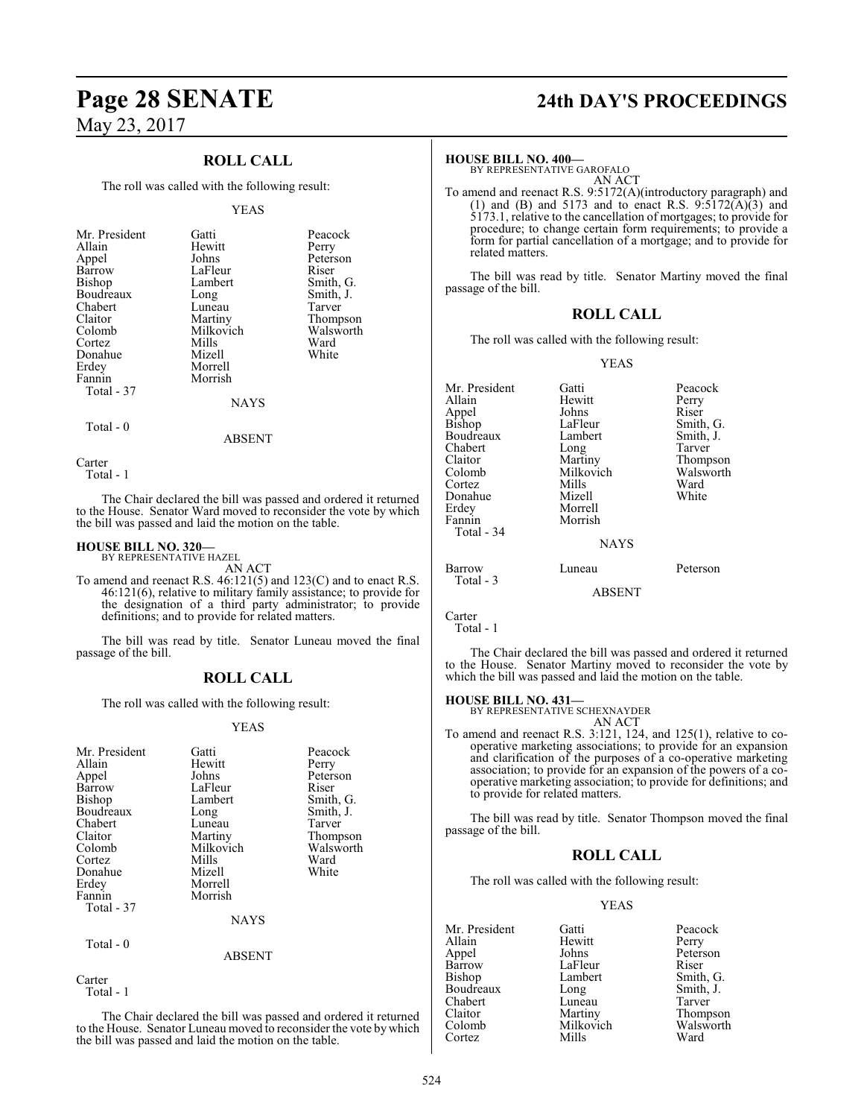## **ROLL CALL**

The roll was called with the following result:

#### YEAS

| Mr. President<br>Allain<br>Appel<br>Barrow<br>Bishop<br>Boudreaux<br>Chabert<br>Claitor<br>Colomb<br>Cortez<br>Donahue<br>Erdey<br>Fannin<br>Total - 37 | Gatti<br>Hewitt<br>Johns<br>LaFleur<br>Lambert<br>Long<br>Luneau<br>Martiny<br>Milkovich<br>Mills<br>Mizell<br>Morrell<br>Morrish<br><b>NAYS</b> | Peacock<br>Perry<br>Peterson<br>Riser<br>Smith, G.<br>Smith, J.<br>Tarver<br>Thompson<br>Walsworth<br>Ward<br>White |
|---------------------------------------------------------------------------------------------------------------------------------------------------------|--------------------------------------------------------------------------------------------------------------------------------------------------|---------------------------------------------------------------------------------------------------------------------|
|                                                                                                                                                         |                                                                                                                                                  |                                                                                                                     |

Total - 0

ABSENT

**Carter** 

Total - 1

The Chair declared the bill was passed and ordered it returned to the House. Senator Ward moved to reconsider the vote by which the bill was passed and laid the motion on the table.

#### **HOUSE BILL NO. 320—** BY REPRESENTATIVE HAZEL

AN ACT

To amend and reenact R.S. 46:121(5) and 123(C) and to enact R.S. 46:121(6), relative to military family assistance; to provide for the designation of a third party administrator; to provide definitions; and to provide for related matters.

The bill was read by title. Senator Luneau moved the final passage of the bill.

#### **ROLL CALL**

The roll was called with the following result:

#### YEAS

| Mr. President<br>Allain<br>Appel<br>Barrow<br><b>Bishop</b><br>Boudreaux<br>Chabert<br>Claitor<br>Colomb<br>Cortez<br>Donahue<br>Erdey<br>Fannin<br>Total - 37 | Gatti<br>Hewitt<br>Johns<br>LaFleur<br>Lambert<br>Long<br>Luneau<br>Martiny<br>Milkovich<br>Mills<br>Mizell<br>Morrell<br>Morrish | Peacock<br>Perry<br>Peterson<br>Riser<br>Smith, G.<br>Smith, J.<br>Tarver<br>Thompson<br>Walsworth<br>Ward<br>White |
|----------------------------------------------------------------------------------------------------------------------------------------------------------------|-----------------------------------------------------------------------------------------------------------------------------------|---------------------------------------------------------------------------------------------------------------------|
|                                                                                                                                                                | <b>NAYS</b>                                                                                                                       |                                                                                                                     |
| Total - 0                                                                                                                                                      | ABSENT                                                                                                                            |                                                                                                                     |

Carter Total - 1

The Chair declared the bill was passed and ordered it returned to the House. Senator Luneau moved to reconsider the vote by which the bill was passed and laid the motion on the table.

# **Page 28 SENATE 24th DAY'S PROCEEDINGS**

#### **HOUSE BILL NO. 400—**

BY REPRESENTATIVE GAROFALO AN ACT

To amend and reenact R.S. 9:5172(A)(introductory paragraph) and (1) and (B) and 5173 and to enact R.S.  $9:5172(A)(3)$  and 5173.1, relative to the cancellation of mortgages; to provide for procedure; to change certain form requirements; to provide a form for partial cancellation of a mortgage; and to provide for related matters.

The bill was read by title. Senator Martiny moved the final passage of the bill.

#### **ROLL CALL**

The roll was called with the following result:

#### YEAS

| Mr. President<br>Allain<br>Appel<br>Bishop<br>Boudreaux<br>Chabert<br>Claitor<br>Colomb<br>Cortez<br>Donahue<br>Erdey<br>Fannin<br>Total - 34 | Gatti<br>Hewitt<br>Johns<br>LaFleur<br>Lambert<br>Long<br>Martiny<br>Milkovich<br>Mills<br>Mizell<br>Morrell<br>Morrish<br><b>NAYS</b> | Peacock<br>Perry<br>Riser<br>Smith, G.<br>Smith, J.<br>Tarver<br>Thompson<br>Walsworth<br>Ward<br>White |
|-----------------------------------------------------------------------------------------------------------------------------------------------|----------------------------------------------------------------------------------------------------------------------------------------|---------------------------------------------------------------------------------------------------------|
| Barrow<br>Total - 3                                                                                                                           | Luneau                                                                                                                                 | Peterson                                                                                                |
|                                                                                                                                               | ABSENT                                                                                                                                 |                                                                                                         |

Carter

Total - 1

The Chair declared the bill was passed and ordered it returned to the House. Senator Martiny moved to reconsider the vote by which the bill was passed and laid the motion on the table.

**HOUSE BILL NO. 431—**

BY REPRESENTATIVE SCHEXNAYDER AN ACT

To amend and reenact R.S. 3:121, 124, and 125(1), relative to cooperative marketing associations; to provide for an expansion and clarification of the purposes of a co-operative marketing association; to provide for an expansion of the powers of a cooperative marketing association; to provide for definitions; and to provide for related matters.

The bill was read by title. Senator Thompson moved the final passage of the bill.

#### **ROLL CALL**

The roll was called with the following result:

#### YEAS

| Mr. President | Gatti     | Peacock   |
|---------------|-----------|-----------|
| Allain        | Hewitt    | Perry     |
| Appel         | Johns     | Peterson  |
| Barrow        | LaFleur   | Riser     |
| Bishop        | Lambert   | Smith, G. |
| Boudreaux     | Long      | Smith, J. |
| Chabert       | Luneau    | Tarver    |
| Claitor       | Martiny   | Thompson  |
| Colomb        | Milkovich | Walsworth |
| Cortez        | Mills     | Ward      |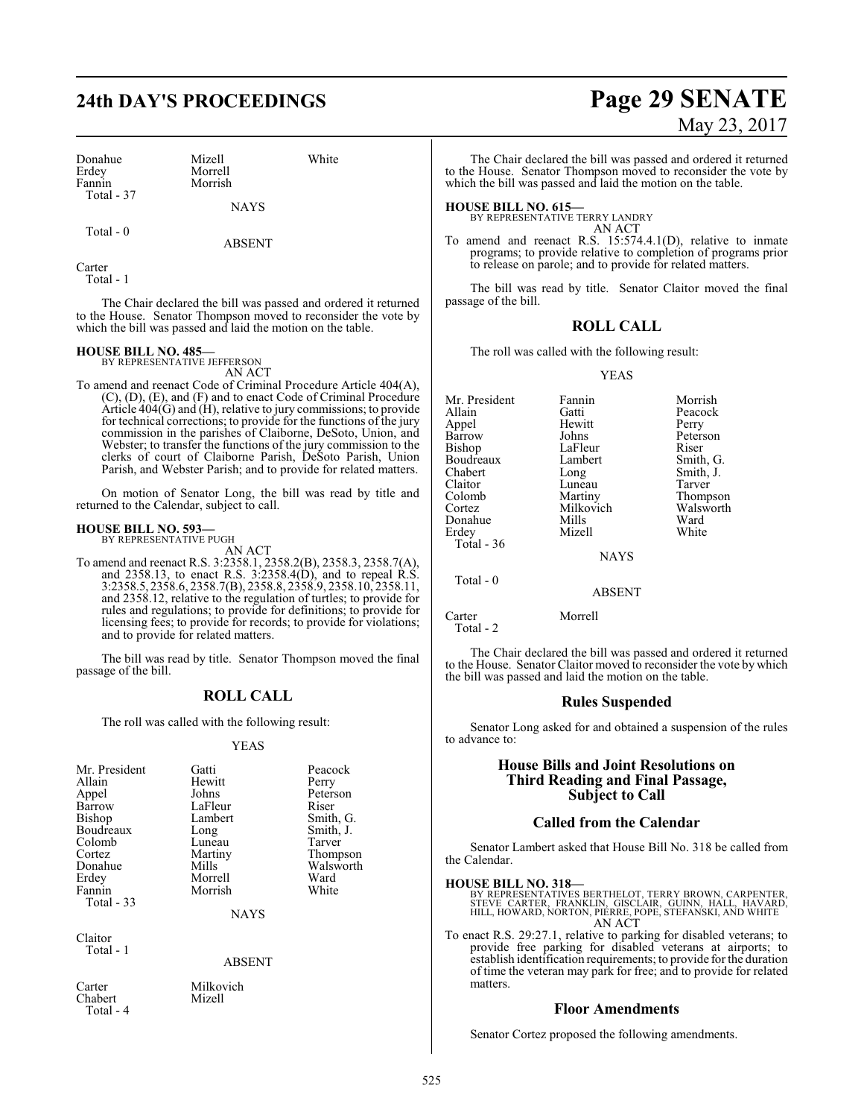# **24th DAY'S PROCEEDINGS Page 29 SENATE**

Donahue Mizell White<br>Erdey Morrell White Erdey Morrell<br>Fannin Morrish Total - 37

Morrish

**NAYS** 

Total - 0

ABSENT

Carter

Total - 1

The Chair declared the bill was passed and ordered it returned to the House. Senator Thompson moved to reconsider the vote by which the bill was passed and laid the motion on the table.

# **HOUSE BILL NO. 485—** BY REPRESENTATIVE JEFFERSON

AN ACT

To amend and reenact Code of Criminal Procedure Article 404(A), (C), (D), (E), and (F) and to enact Code of Criminal Procedure Article  $404(G)$  and (H), relative to jury commissions; to provide for technical corrections; to provide for the functions of the jury commission in the parishes of Claiborne, DeSoto, Union, and Webster; to transfer the functions of the jury commission to the clerks of court of Claiborne Parish, DeSoto Parish, Union Parish, and Webster Parish; and to provide for related matters.

On motion of Senator Long, the bill was read by title and returned to the Calendar, subject to call.

#### **HOUSE BILL NO. 593—** BY REPRESENTATIVE PUGH

AN ACT

To amend and reenact R.S. 3:2358.1, 2358.2(B), 2358.3, 2358.7(A), and 2358.13, to enact R.S. 3:2358.4(D), and to repeal R.S. 3:2358.5, 2358.6, 2358.7(B), 2358.8, 2358.9, 2358.10, 2358.11, and 2358.12, relative to the regulation of turtles; to provide for rules and regulations; to provide for definitions; to provide for licensing fees; to provide for records; to provide for violations; and to provide for related matters.

The bill was read by title. Senator Thompson moved the final passage of the bill.

#### **ROLL CALL**

The roll was called with the following result:

#### YEAS

| Mr. President<br>Allain<br>Appel<br>Barrow<br><b>Bishop</b><br>Boudreaux<br>Colomb<br>Cortez<br>Donahue | Gatti<br>Hewitt<br>Johns<br>LaFleur<br>Lambert<br>Long<br>Luneau<br>Martiny<br>Mills | Peacock<br>Perry<br>Peterson<br>Riser<br>Smith, G.<br>Smith, J.<br>Tarver<br>Thompson<br>Walsworth |
|---------------------------------------------------------------------------------------------------------|--------------------------------------------------------------------------------------|----------------------------------------------------------------------------------------------------|
|                                                                                                         |                                                                                      |                                                                                                    |
| Erdey                                                                                                   | Morrell                                                                              | Ward                                                                                               |
| Fannin<br>Total - 33                                                                                    | Morrish                                                                              | White                                                                                              |
|                                                                                                         | <b>NAYS</b>                                                                          |                                                                                                    |

Claitor Total - 1

ABSENT

Carter Milkovich<br>Chabert Mizell Chabert Total - 4

May 23, 2017

The Chair declared the bill was passed and ordered it returned to the House. Senator Thompson moved to reconsider the vote by which the bill was passed and laid the motion on the table.

## **HOUSE BILL NO. 615—**

BY REPRESENTATIVE TERRY LANDRY AN ACT

To amend and reenact R.S. 15:574.4.1(D), relative to inmate programs; to provide relative to completion of programs prior to release on parole; and to provide for related matters.

The bill was read by title. Senator Claitor moved the final passage of the bill.

## **ROLL CALL**

The roll was called with the following result:

YEAS

Mr. President Fannin Morrish<br>Allain Gatti Peacock Appel Hewit<br>Barrow Johns Bishop LaFleur<br>Boudreaux Lambert Boudreaux Lambert Smith, G.<br>
Chabert Long Smith, J. Chabert Long Smith, J.<br>Claitor Luneau Tarver Claitor Luneau<br>Colomb Martiny Colomb Martiny Thompson<br>Cortez Milkovich Walsworth Donahue Mills Ward<br>
Erdey Mizell White Total - 36

Gatti Peacock<br>
Hewitt Perry Johns Peterson<br>LaFleur Riser Milkovich Walsworth<br>Mills Ward

**NAYS** 

ABSENT

Mizell

Carter Morrell

Total - 2

Total - 0

The Chair declared the bill was passed and ordered it returned to the House. Senator Claitor moved to reconsider the vote by which the bill was passed and laid the motion on the table.

#### **Rules Suspended**

Senator Long asked for and obtained a suspension of the rules to advance to:

#### **House Bills and Joint Resolutions on Third Reading and Final Passage, Subject to Call**

#### **Called from the Calendar**

Senator Lambert asked that House Bill No. 318 be called from the Calendar.

**HOUSE BILL NO. 318—**<br>BY REPRESENTATIVES BERTHELOT, TERRY BROWN, CARPENTER,<br>STEVE CARTER, FRANKLIN, GISCLAIR, GUINN, HALL, HAVARD,<br>HILL, HOWARD, NORTON, PIERRE, POPE, STEFANSKI, AND WHITE AN ACT

To enact R.S. 29:27.1, relative to parking for disabled veterans; to provide free parking for disabled veterans at airports; to establish identification requirements; to provide for the duration of time the veteran may park for free; and to provide for related matters.

#### **Floor Amendments**

Senator Cortez proposed the following amendments.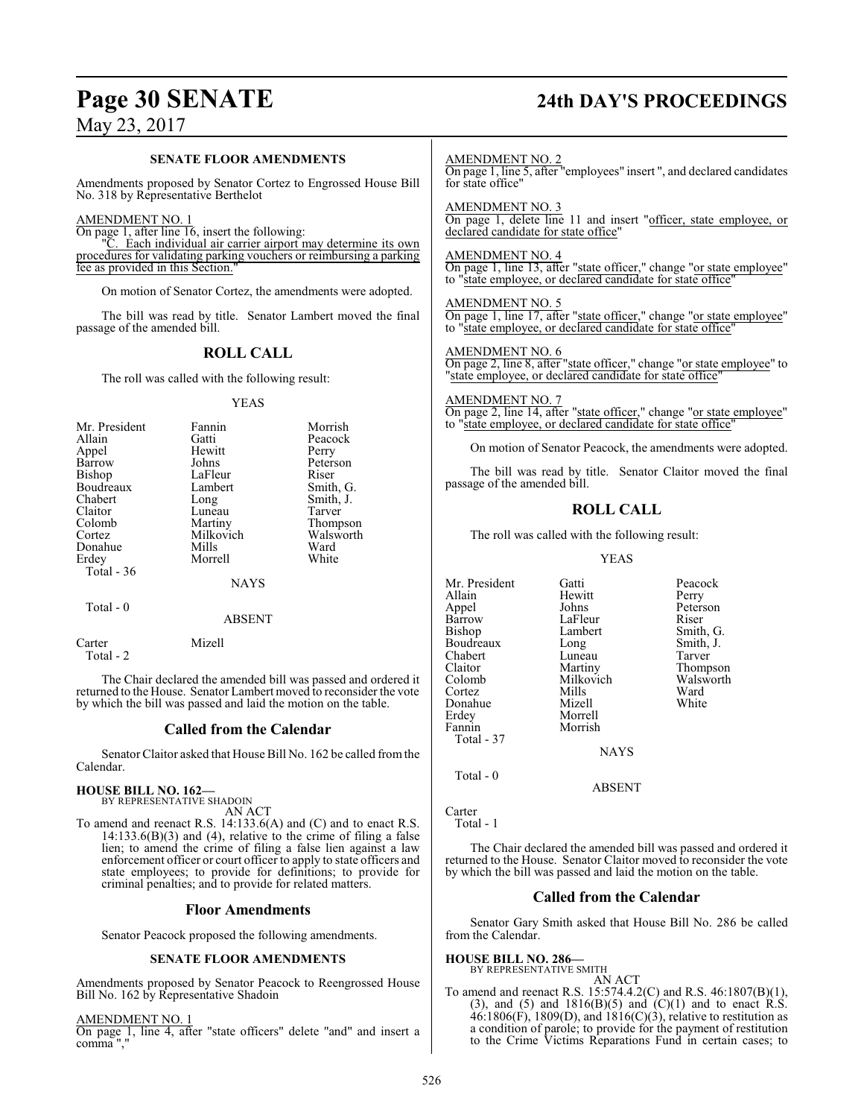# **Page 30 SENATE 24th DAY'S PROCEEDINGS**

May 23, 2017

#### **SENATE FLOOR AMENDMENTS**

Amendments proposed by Senator Cortez to Engrossed House Bill No. 318 by Representative Berthelot

#### AMENDMENT NO. 1

On page 1, after line 16, insert the following:<br>"C. Each individual air comics

Each individual air carrier airport may determine its own procedures for validating parking vouchers or reimbursing a parking fee as provided in this Section.

On motion of Senator Cortez, the amendments were adopted.

The bill was read by title. Senator Lambert moved the final passage of the amended bill.

## **ROLL CALL**

The roll was called with the following result:

#### YEAS

| Mr. President | Fannin      | Morrish   |
|---------------|-------------|-----------|
| Allain        | Gatti       | Peacock   |
| Appel         | Hewitt      | Perry     |
| Barrow        | Johns       | Peterson  |
| <b>Bishop</b> | LaFleur     | Riser     |
| Boudreaux     | Lambert     | Smith, G. |
| Chabert       | Long        | Smith, J. |
| Claitor       | Luneau      | Tarver    |
| Colomb        | Martiny     | Thompson  |
| Cortez        | Milkovich   | Walsworth |
| Donahue       | Mills       | Ward      |
| Erdey         | Morrell     | White     |
| Total $-36$   |             |           |
|               | <b>NAYS</b> |           |
| Total - 0     |             |           |
|               | ABSENT      |           |

The Chair declared the amended bill was passed and ordered it returned to the House. Senator Lambert moved to reconsider the vote by which the bill was passed and laid the motion on the table.

#### **Called from the Calendar**

Senator Claitor asked that House Bill No. 162 be called fromthe Calendar.

# **HOUSE BILL NO. 162—** BY REPRESENTATIVE SHADOIN

Carter Mizell

Total - 2

AN ACT

To amend and reenact R.S. 14:133.6(A) and (C) and to enact R.S. 14:133.6(B)(3) and (4), relative to the crime of filing a false lien; to amend the crime of filing a false lien against a law enforcement officer or court officer to apply to state officers and state employees; to provide for definitions; to provide for criminal penalties; and to provide for related matters.

#### **Floor Amendments**

Senator Peacock proposed the following amendments.

#### **SENATE FLOOR AMENDMENTS**

Amendments proposed by Senator Peacock to Reengrossed House Bill No. 162 by Representative Shadoin

AMENDMENT NO. 1 On page 1, line 4, after "state officers" delete "and" and insert a comma ","

#### AMENDMENT NO. 2

On page 1, line 5, after "employees" insert ", and declared candidates for state office"

AMENDMENT NO. 3

On page 1, delete line 11 and insert "officer, state employee, or declared candidate for state office"

#### AMENDMENT NO. 4

On page 1, line 13, after "state officer," change "or state employee" to "state employee, or declared candidate for state office"

#### AMENDMENT NO. 5

On page 1, line 17, after "state officer," change "or state employee" to "state employee, or declared candidate for state office"

#### AMENDMENT NO. 6

On page 2, line 8, after "state officer," change "or state employee" to "state employee, or declared candidate for state office"

#### AMENDMENT NO. 7

On page 2, line 14, after "state officer," change "or state employee" to "state employee, or declared candidate for state office"

On motion of Senator Peacock, the amendments were adopted.

The bill was read by title. Senator Claitor moved the final passage of the amended bill.

## **ROLL CALL**

The roll was called with the following result:

Morrish

YEAS

Lambert Smith, G.<br>
Long Smith, J.

Milkovich Walsworth<br>
Mills Ward

Mr. President Gatti Peacock<br>Allain Hewitt Perry Allain Hewitt<br>
Appel Johns Appel Johns Peterson<br>Barrow LaFleur Riser Barrow LaFleur<br>Bishop Lambert Boudreaux Long Smith,<br>
Chabert Luneau Tarver Chabert Luneau<br>Claitor Martiny Claitor Martiny Thompson Cortez Mills Ward Donahue<br>Erdey Erdey Morrell<br>Fannin Morrish Total - 37

Total - 0

```
Carter
```
Total - 1

The Chair declared the amended bill was passed and ordered it returned to the House. Senator Claitor moved to reconsider the vote by which the bill was passed and laid the motion on the table.

**NAYS** 

ABSENT

#### **Called from the Calendar**

Senator Gary Smith asked that House Bill No. 286 be called from the Calendar.

# **HOUSE BILL NO. 286—** BY REPRESENTATIVE SMITH

AN ACT To amend and reenact R.S. 15:574.4.2(C) and R.S. 46:1807(B)(1), (3), and (5) and  $1816(B)(5)$  and  $(C)(1)$  and to enact R.S.  $46:1806(F)$ , 1809(D), and  $1816(C)(3)$ , relative to restitution as a condition of parole; to provide for the payment of restitution to the Crime Victims Reparations Fund in certain cases; to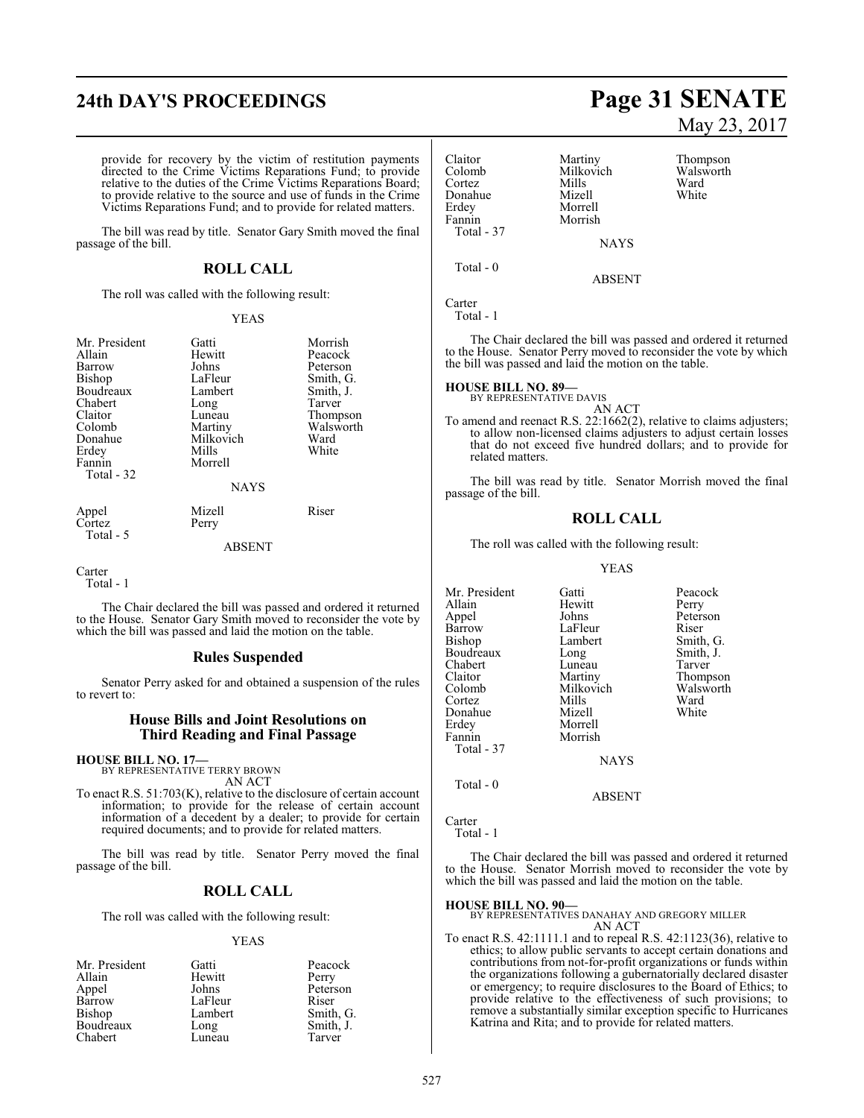# **24th DAY'S PROCEEDINGS Page 31 SENATE**

provide for recovery by the victim of restitution payments directed to the Crime Victims Reparations Fund; to provide relative to the duties of the Crime Victims Reparations Board; to provide relative to the source and use of funds in the Crime Victims Reparations Fund; and to provide for related matters.

The bill was read by title. Senator Gary Smith moved the final passage of the bill.

#### **ROLL CALL**

The roll was called with the following result:

#### YEAS

| Mr. President | Gatti       | Morrish   |
|---------------|-------------|-----------|
| Allain        | Hewitt      | Peacock   |
| Barrow        | Johns       | Peterson  |
| <b>Bishop</b> | LaFleur     | Smith, G. |
| Boudreaux     | Lambert     | Smith, J. |
| Chabert       | Long        | Tarver    |
| Claitor       | Luneau      | Thompson  |
| Colomb        | Martiny     | Walsworth |
| Donahue       | Milkovich   | Ward      |
| Erdey         | Mills       | White     |
| Fannin        | Morrell     |           |
| Total - 32    |             |           |
|               | <b>NAYS</b> |           |
| Appel         | Mizell      | Riser     |
| Cortez        | Perry       |           |
| Total - 5     |             |           |

ABSENT

Carter Total - 1

The Chair declared the bill was passed and ordered it returned to the House. Senator Gary Smith moved to reconsider the vote by which the bill was passed and laid the motion on the table.

#### **Rules Suspended**

Senator Perry asked for and obtained a suspension of the rules to revert to:

#### **House Bills and Joint Resolutions on Third Reading and Final Passage**

# **HOUSE BILL NO. 17—** BY REPRESENTATIVE TERRY BROWN

AN ACT

To enact R.S. 51:703(K), relative to the disclosure of certain account information; to provide for the release of certain account information of a decedent by a dealer; to provide for certain required documents; and to provide for related matters.

The bill was read by title. Senator Perry moved the final passage of the bill.

### **ROLL CALL**

The roll was called with the following result:

#### YEAS

| Gatti   | Peacock   |
|---------|-----------|
| Hewitt  | Perry     |
| Johns   | Peterson  |
| LaFleur | Riser     |
| Lambert | Smith, G. |
| Long    | Smith, J. |
| Luneau  | Tarver    |
|         |           |

# May 23, 2017

| Claitor<br>Colomb<br>Cortez<br>Donahue<br>Erdey<br>Fannin | Martiny<br>Milkovich<br>Mills<br>Mizell<br>Morrell<br>Morrish | Thompson<br>Walsworth<br>Ward<br>White |
|-----------------------------------------------------------|---------------------------------------------------------------|----------------------------------------|
| Total - 37                                                | <b>NAYS</b>                                                   |                                        |
| Total $-0$                                                | <b>ABSENT</b>                                                 |                                        |
| Carter<br>Total - 1                                       |                                                               |                                        |

The Chair declared the bill was passed and ordered it returned to the House. Senator Perry moved to reconsider the vote by which the bill was passed and laid the motion on the table.

#### **HOUSE BILL NO. 89—**

BY REPRESENTATIVE DAVIS AN ACT

To amend and reenact R.S. 22:1662(2), relative to claims adjusters; to allow non-licensed claims adjusters to adjust certain losses that do not exceed five hundred dollars; and to provide for related matters.

The bill was read by title. Senator Morrish moved the final passage of the bill.

### **ROLL CALL**

The roll was called with the following result:

#### YEAS

| Mr. President | Gatti       | Peacock   |
|---------------|-------------|-----------|
| Allain        | Hewitt      | Perry     |
| Appel         | Johns       | Peterson  |
| Barrow        | LaFleur     | Riser     |
| Bishop        | Lambert     | Smith, G. |
| Boudreaux     | Long        | Smith, J. |
| Chabert       | Luneau      | Tarver    |
| Claitor       | Martiny     | Thompson  |
| Colomb        | Milkovich   | Walsworth |
| Cortez        | Mills       | Ward      |
| Donahue       | Mizell      | White     |
| Erdey         | Morrell     |           |
| Fannin        | Morrish     |           |
| Total - 37    |             |           |
|               | <b>NAYS</b> |           |
| $Total - 0$   |             |           |

ABSENT

```
Carter
```
Total - 1

The Chair declared the bill was passed and ordered it returned to the House. Senator Morrish moved to reconsider the vote by which the bill was passed and laid the motion on the table.

#### **HOUSE BILL NO. 90—**

BY REPRESENTATIVES DANAHAY AND GREGORY MILLER AN ACT

To enact R.S. 42:1111.1 and to repeal R.S. 42:1123(36), relative to ethics; to allow public servants to accept certain donations and contributions from not-for-profit organizations or funds within the organizations following a gubernatorially declared disaster or emergency; to require disclosures to the Board of Ethics; to provide relative to the effectiveness of such provisions; to remove a substantially similar exception specific to Hurricanes Katrina and Rita; and to provide for related matters.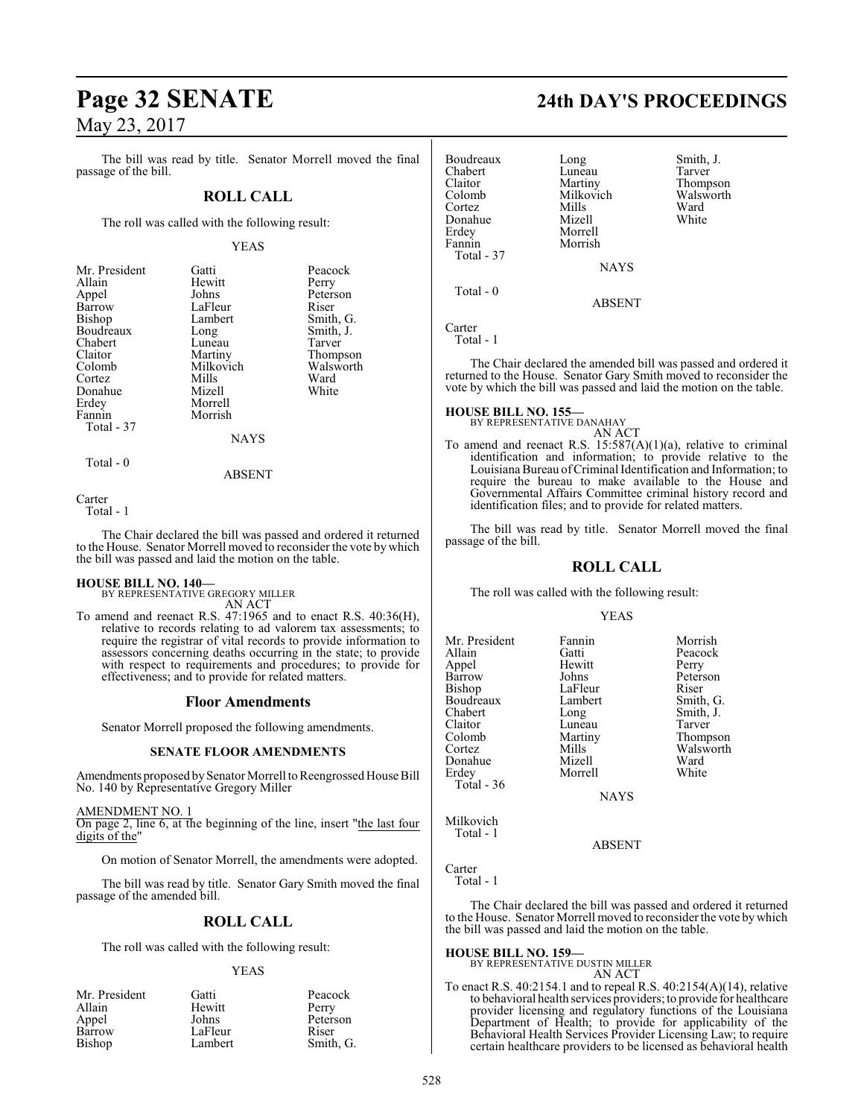The bill was read by title. Senator Morrell moved the final passage of the bill.

## **ROLL CALL**

The roll was called with the following result:

#### YEAS

| Mr. President | Gatti       | Peacock   |
|---------------|-------------|-----------|
| Allain        | Hewitt      | Perry     |
| Appel         | Johns       | Peterson  |
| Barrow        | LaFleur     | Riser     |
| Bishop        | Lambert     | Smith, G. |
| Boudreaux     | Long        | Smith, J. |
| Chabert       | Luneau      | Tarver    |
| Claitor       | Martiny     | Thompson  |
| Colomb        | Milkovich   | Walsworth |
| Cortez        | Mills       | Ward      |
| Donahue       | Mizell      | White     |
| Erdey         | Morrell     |           |
| Fannin        | Morrish     |           |
| Total - 37    |             |           |
|               | <b>NAYS</b> |           |
|               |             |           |

Carter

Total - 1

Total - 0

The Chair declared the bill was passed and ordered it returned to the House. Senator Morrell moved to reconsider the vote by which the bill was passed and laid the motion on the table.

ABSENT

**HOUSE BILL NO. 140—** BY REPRESENTATIVE GREGORY MILLER AN ACT

To amend and reenact R.S. 47:1965 and to enact R.S. 40:36(H), relative to records relating to ad valorem tax assessments; to require the registrar of vital records to provide information to assessors concerning deaths occurring in the state; to provide with respect to requirements and procedures; to provide for effectiveness; and to provide for related matters.

#### **Floor Amendments**

Senator Morrell proposed the following amendments.

#### **SENATE FLOOR AMENDMENTS**

Amendments proposed by Senator Morrell to Reengrossed House Bill No. 140 by Representative Gregory Miller

AMENDMENT NO. 1 On page 2, line 6, at the beginning of the line, insert "the last four digits of the"

On motion of Senator Morrell, the amendments were adopted.

The bill was read by title. Senator Gary Smith moved the final passage of the amended bill.

## **ROLL CALL**

The roll was called with the following result:

#### YEAS

| Mr. President | Gatti   | Peacock   |
|---------------|---------|-----------|
| Allain        | Hewitt  | Perry     |
| Appel         | Johns   | Peterson  |
| Barrow        | LaFleur | Riser     |
| Bishop        | Lambert | Smith, G. |

# **Page 32 SENATE 24th DAY'S PROCEEDINGS**

| Boudreaux<br>Chabert<br>Claitor<br>Colomb<br>Cortez<br>Donahue<br>Erdey<br>Fannin<br>Total - 37 | Long<br>Luneau<br>Martiny<br>Milkovich<br>Mills<br>Mizell<br>Morrell<br>Morrish | Smith, J.<br>Tarver<br>Thompson<br>Walsworth<br>Ward<br>White |
|-------------------------------------------------------------------------------------------------|---------------------------------------------------------------------------------|---------------------------------------------------------------|
|                                                                                                 | <b>NAYS</b>                                                                     |                                                               |
| Total $-0$                                                                                      | <b>ABSENT</b>                                                                   |                                                               |

Carter Total - 1

The Chair declared the amended bill was passed and ordered it returned to the House. Senator Gary Smith moved to reconsider the vote by which the bill was passed and laid the motion on the table.

#### **HOUSE BILL NO. 155—**

BY REPRESENTATIVE DANAHAY AN ACT

To amend and reenact R.S.  $15:587(A)(1)(a)$ , relative to criminal identification and information; to provide relative to the Louisiana Bureau ofCriminal Identification and Information; to require the bureau to make available to the House and Governmental Affairs Committee criminal history record and identification files; and to provide for related matters.

The bill was read by title. Senator Morrell moved the final passage of the bill.

#### **ROLL CALL**

The roll was called with the following result:

#### YEAS

| Mr. President | Fannin      | Morrish   |
|---------------|-------------|-----------|
|               |             |           |
| Allain        | Gatti       | Peacock   |
| Appel         | Hewitt      | Perry     |
| Barrow        | Johns       | Peterson  |
| Bishop        | LaFleur     | Riser     |
| Boudreaux     | Lambert     | Smith, G. |
| Chabert       | Long        | Smith, J. |
| Claitor       | Luneau      | Tarver    |
| Colomb        | Martiny     | Thompson  |
| Cortez        | Mills       | Walsworth |
| Donahue       | Mizell      | Ward      |
| Erdey         | Morrell     | White     |
| Total - 36    |             |           |
|               | <b>NAYS</b> |           |
| Milkovich     |             |           |

ABSENT

Carter Total - 1

Total - 1

The Chair declared the bill was passed and ordered it returned to the House. Senator Morrell moved to reconsider the vote bywhich the bill was passed and laid the motion on the table.

## **HOUSE BILL NO. 159—** BY REPRESENTATIVE DUSTIN MILLER AN ACT

To enact R.S. 40:2154.1 and to repeal R.S. 40:2154(A)(14), relative to behavioral health services providers; to provide for healthcare provider licensing and regulatory functions of the Louisiana Department of Health; to provide for applicability of the Behavioral Health Services Provider Licensing Law; to require certain healthcare providers to be licensed as behavioral health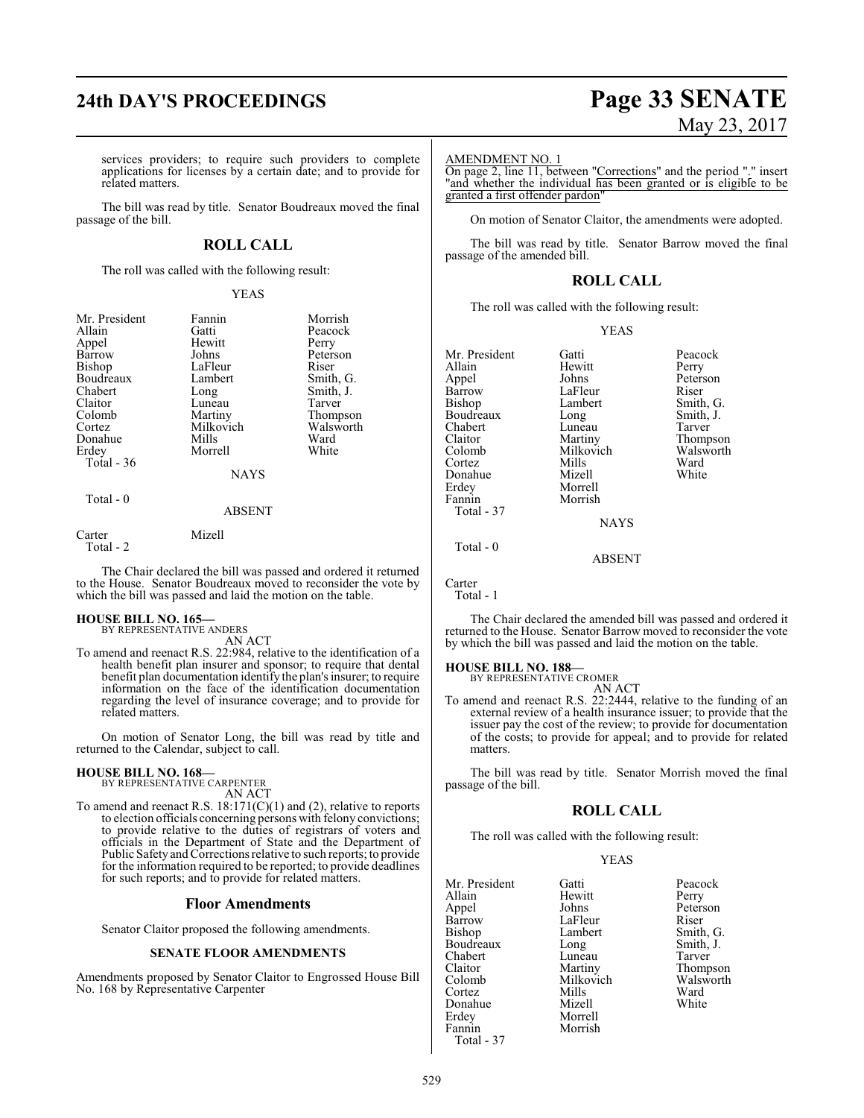# **24th DAY'S PROCEEDINGS Page 33 SENATE** May 23, 2017

services providers; to require such providers to complete applications for licenses by a certain date; and to provide for related matters.

The bill was read by title. Senator Boudreaux moved the final passage of the bill.

## **ROLL CALL**

The roll was called with the following result:

#### YEAS

| Mr. President<br>Allain<br>Appel<br>Barrow<br>Bishop<br>Boudreaux<br>Chabert<br>Claitor<br>Colomb<br>Cortez<br>Donahue<br>Erdey<br>Total $-36$ | Fannin<br>Gatti<br>Hewitt<br>Johns<br>LaFleur<br>Lambert<br>Long<br>Luneau<br>Martiny<br>Milkovich<br>Mills<br>Morrell<br><b>NAYS</b> | Morrish<br>Peacock<br>Perry<br>Peterson<br>Riser<br>Smith, G.<br>Smith, J.<br>Tarver<br>Thompson<br>Walsworth<br>Ward<br>White |
|------------------------------------------------------------------------------------------------------------------------------------------------|---------------------------------------------------------------------------------------------------------------------------------------|--------------------------------------------------------------------------------------------------------------------------------|
| Total - 0                                                                                                                                      | <b>ABSENT</b>                                                                                                                         |                                                                                                                                |
| Carter                                                                                                                                         | Mizell                                                                                                                                |                                                                                                                                |

Total - 2

The Chair declared the bill was passed and ordered it returned to the House. Senator Boudreaux moved to reconsider the vote by which the bill was passed and laid the motion on the table.

# **HOUSE BILL NO. 165—** BY REPRESENTATIVE ANDERS

AN ACT

To amend and reenact R.S. 22:984, relative to the identification of a health benefit plan insurer and sponsor; to require that dental benefit plan documentation identify the plan's insurer; to require information on the face of the identification documentation regarding the level of insurance coverage; and to provide for related matters.

On motion of Senator Long, the bill was read by title and returned to the Calendar, subject to call.

#### **HOUSE BILL NO. 168—**

BY REPRESENTATIVE CARPENTER

AN ACT To amend and reenact R.S. 18:171(C)(1) and (2), relative to reports to election officials concerning persons with felony convictions; to provide relative to the duties of registrars of voters and officials in the Department of State and the Department of Public Safety and Corrections relative to such reports; to provide for the information required to be reported; to provide deadlines for such reports; and to provide for related matters.

#### **Floor Amendments**

Senator Claitor proposed the following amendments.

#### **SENATE FLOOR AMENDMENTS**

Amendments proposed by Senator Claitor to Engrossed House Bill No. 168 by Representative Carpenter

#### AMENDMENT NO. 1

On page 2, line 11, between "Corrections" and the period "." insert and whether the individual has been granted or is eligible to be granted a first offender pardon"

On motion of Senator Claitor, the amendments were adopted.

The bill was read by title. Senator Barrow moved the final passage of the amended bill.

### **ROLL CALL**

The roll was called with the following result:

#### YEAS

Mr. President Gatti Peacock<br>Allain Hewitt Perry Allain Hewitt Perry Appel Johns Peterson<br>Barrow LaFleur Riser Barrow LaFleur<br>Bishop Lambert Boudreaux Long Smith,<br>Chabert Luneau Tarver Chabert Luneau<br>Claitor Martiny Claitor Martiny Thompson Cortez Mills Ward Donahue<br>Erdev Erdey Morrell<br>Fannin Morrish Morrish Total - 37 NAYS Total - 0 ABSENT

Lambert Smith, G.<br>
Long Smith, J. Milkovich Walsworth<br>
Mills Ward

Carter Total - 1

The Chair declared the amended bill was passed and ordered it returned to the House. Senator Barrow moved to reconsider the vote by which the bill was passed and laid the motion on the table.

#### **HOUSE BILL NO. 188—**

BY REPRESENTATIVE CROMER AN ACT

To amend and reenact R.S. 22:2444, relative to the funding of an external review of a health insurance issuer; to provide that the issuer pay the cost of the review; to provide for documentation of the costs; to provide for appeal; and to provide for related matters.

The bill was read by title. Senator Morrish moved the final passage of the bill.

#### **ROLL CALL**

The roll was called with the following result:

#### YEAS

| Mr. President | Gatti     | Peacock   |
|---------------|-----------|-----------|
| Allain        | Hewitt    | Perry     |
| Appel         | Johns     | Peterson  |
| Barrow        | LaFleur   | Riser     |
| Bishop        | Lambert   | Smith, G  |
| Boudreaux     | Long      | Smith, J. |
| Chabert       | Luneau    | Tarver    |
| Claitor       | Martiny   | Thompso   |
| Colomb        | Milkovich | Walswor   |
| Cortez        | Mills     | Ward      |
| Donahue       | Mizell    | White     |
| Erdey         | Morrell   |           |
| Fannin        | Morrish   |           |
| Total - 37    |           |           |

hert Smith, G. g Smith, J.<br>eau Tarver eau Tarver<br>
tiny Thomp Thompson<br>
Kovich Walsworth Walsworth<br>Ward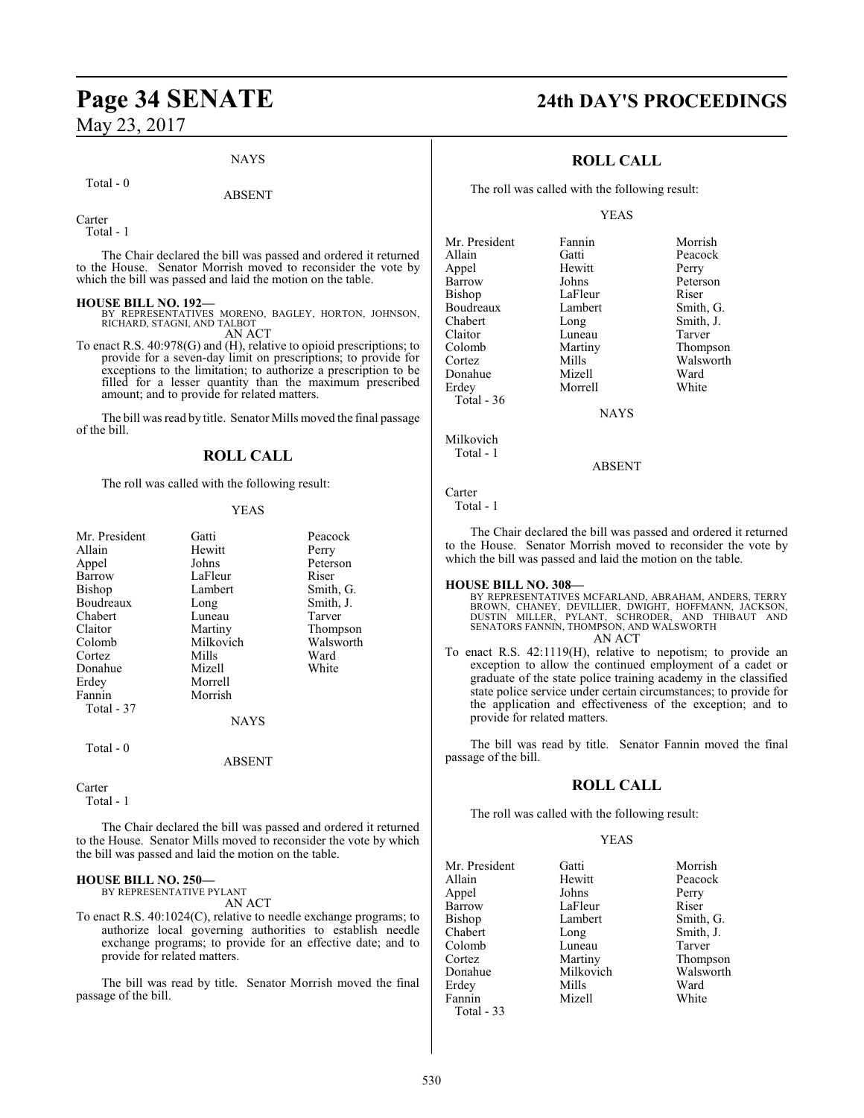#### **NAYS**

#### Total - 0

#### ABSENT

Carter

Total - 1

The Chair declared the bill was passed and ordered it returned to the House. Senator Morrish moved to reconsider the vote by which the bill was passed and laid the motion on the table.

#### **HOUSE BILL NO. 192—**

BY REPRESENTATIVES MORENO, BAGLEY, HORTON, JOHNSON, RICHARD, STAGNI, AND TALBOT AN ACT

To enact R.S. 40:978(G) and (H), relative to opioid prescriptions; to provide for a seven-day limit on prescriptions; to provide for exceptions to the limitation; to authorize a prescription to be filled for a lesser quantity than the maximum prescribed amount; and to provide for related matters.

The bill was read by title. Senator Mills moved the final passage of the bill.

#### **ROLL CALL**

The roll was called with the following result:

#### YEAS

|             | Peacock         |
|-------------|-----------------|
|             | Perry           |
| Johns       | Peterson        |
| LaFleur     | Riser           |
| Lambert     | Smith, G.       |
| Long        | Smith, J.       |
| Luneau      | Tarver          |
| Martiny     | Thompson        |
| Milkovich   | Walsworth       |
| Mills       | Ward            |
| Mizell      | White           |
| Morrell     |                 |
| Morrish     |                 |
|             |                 |
| <b>NAYS</b> |                 |
|             |                 |
| ABSENT      |                 |
|             | Gatti<br>Hewitt |

#### Carter

Total - 1

The Chair declared the bill was passed and ordered it returned to the House. Senator Mills moved to reconsider the vote by which the bill was passed and laid the motion on the table.

#### **HOUSE BILL NO. 250—**

BY REPRESENTATIVE PYLANT AN ACT

To enact R.S. 40:1024(C), relative to needle exchange programs; to authorize local governing authorities to establish needle exchange programs; to provide for an effective date; and to provide for related matters.

The bill was read by title. Senator Morrish moved the final passage of the bill.

# **Page 34 SENATE 24th DAY'S PROCEEDINGS**

## **ROLL CALL**

The roll was called with the following result:

#### YEAS

Mr. President Fannin Morrish<br>Allain Gatti Peacock Allain Gatti Peacock Appel Hewitt Perry Barrow Johns Peterson<br>Bishop LaFleur Riser LaFleur Riser<br>Lambert Smith, G. Boudreaux Lamb<br>
Chabert Long Chabert Long Smith, J.<br>
Claitor Luneau Tarver Claitor Luneau<br>Colomb Martiny Colomb Martiny Thompson Mills Walsworth<br>
Mizell Ward Donahue Mizell Ward<br>1991 - Erdey Morrell White Erdey Morrell Total - 36

NAYS

ABSENT

Carter

Milkovich Total - 1

Total - 1

The Chair declared the bill was passed and ordered it returned to the House. Senator Morrish moved to reconsider the vote by which the bill was passed and laid the motion on the table.

**HOUSE BILL NO. 308—** BY REPRESENTATIVES MCFARLAND, ABRAHAM, ANDERS, TERRY BROWN, CHANEY, DEVILLIER, DWIGHT, HOFFMANN, JACKSON, DUSTIN MILLER, PYLANT, SCHRODER, AND THIBAUT AND SENATORS FANNIN, THOMPSON, AND WALSWORTH AN ACT

To enact R.S. 42:1119(H), relative to nepotism; to provide an exception to allow the continued employment of a cadet or graduate of the state police training academy in the classified state police service under certain circumstances; to provide for the application and effectiveness of the exception; and to provide for related matters.

The bill was read by title. Senator Fannin moved the final passage of the bill.

#### **ROLL CALL**

The roll was called with the following result:

LaFleur

**Mizell** 

#### YEAS

Mr. President Gatti Morrish<br>Allain Hewitt Peacock Appel Johns Perry Bishop Lambert Smith, G.<br>Chabert Long Smith, J. Colomb Cortez Martiny Thompson<br>
Donahue Milkovich Walsworth Erdey Mills Ward<br>Fannin Mizell White Total - 33

Peacock Long Smith, J.<br>
Luneau Tarver Milkovich Walsworth<br>
Mills Ward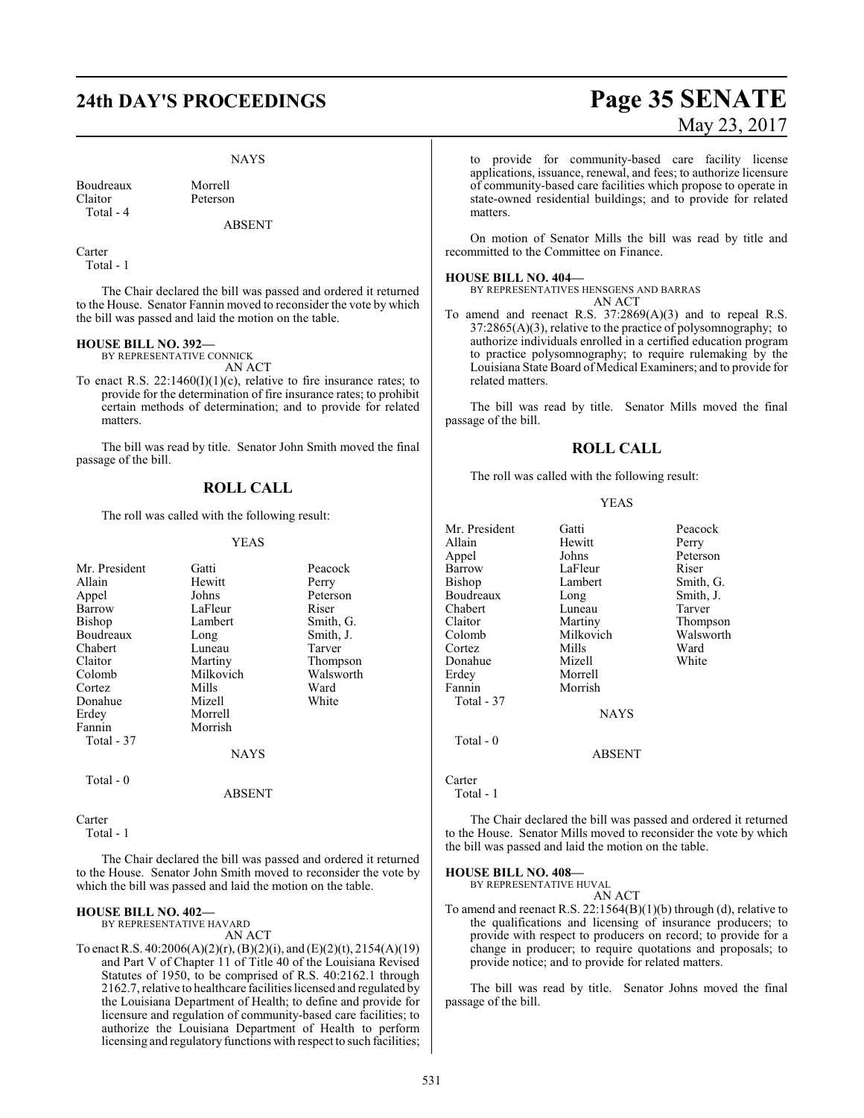# **24th DAY'S PROCEEDINGS Page 35 SENATE**

#### NAYS

Boudreaux Morrell<br>Claitor Peterson Total - 4

Peterson

ABSENT

Carter Total - 1

The Chair declared the bill was passed and ordered it returned to the House. Senator Fannin moved to reconsider the vote by which the bill was passed and laid the motion on the table.

#### **HOUSE BILL NO. 392—**

BY REPRESENTATIVE CONNICK AN ACT

To enact R.S. 22:1460(I)(1)(c), relative to fire insurance rates; to provide for the determination of fire insurance rates; to prohibit certain methods of determination; and to provide for related matters.

The bill was read by title. Senator John Smith moved the final passage of the bill.

## **ROLL CALL**

The roll was called with the following result:

#### YEAS

| Mr. President | Gatti       | Peacock   |
|---------------|-------------|-----------|
| Allain        | Hewitt      | Perry     |
| Appel         | Johns       | Peterson  |
| Barrow        | LaFleur     | Riser     |
| Bishop        | Lambert     | Smith, G. |
| Boudreaux     | Long        | Smith, J. |
| Chabert       | Luneau      | Tarver    |
| Claitor       | Martiny     | Thompson  |
| Colomb        | Milkovich   | Walsworth |
| Cortez        | Mills       | Ward      |
| Donahue       | Mizell      | White     |
| Erdey         | Morrell     |           |
| Fannin        | Morrish     |           |
| Total - 37    |             |           |
|               | <b>NAYS</b> |           |
| Total - 0     |             |           |
|               | ABSENT      |           |

Carter

Total - 1

The Chair declared the bill was passed and ordered it returned to the House. Senator John Smith moved to reconsider the vote by which the bill was passed and laid the motion on the table.

#### **HOUSE BILL NO. 402—**

BY REPRESENTATIVE HAVARD

AN ACT

To enact R.S. 40:2006(A)(2)(r), (B)(2)(i), and (E)(2)(t), 2154(A)(19) and Part V of Chapter 11 of Title 40 of the Louisiana Revised Statutes of 1950, to be comprised of R.S. 40:2162.1 through 2162.7, relative to healthcare facilities licensed and regulated by the Louisiana Department of Health; to define and provide for licensure and regulation of community-based care facilities; to authorize the Louisiana Department of Health to perform licensing and regulatory functions with respect to such facilities;

# May 23, 2017

to provide for community-based care facility license applications, issuance, renewal, and fees; to authorize licensure of community-based care facilities which propose to operate in state-owned residential buildings; and to provide for related matters.

On motion of Senator Mills the bill was read by title and recommitted to the Committee on Finance.

#### **HOUSE BILL NO. 404—**

BY REPRESENTATIVES HENSGENS AND BARRAS AN ACT

To amend and reenact R.S. 37:2869(A)(3) and to repeal R.S. 37:2865(A)(3), relative to the practice of polysomnography; to authorize individuals enrolled in a certified education program to practice polysomnography; to require rulemaking by the Louisiana State Board of Medical Examiners; and to provide for related matters.

The bill was read by title. Senator Mills moved the final passage of the bill.

#### **ROLL CALL**

The roll was called with the following result:

#### YEAS

| Mr. President | Gatti         | Peacock   |
|---------------|---------------|-----------|
| Allain        | Hewitt        | Perry     |
| Appel         | Johns         | Peterson  |
| Barrow        | LaFleur       | Riser     |
| Bishop        | Lambert       | Smith, G. |
| Boudreaux     | Long          | Smith, J. |
| Chabert       | Luneau        | Tarver    |
| Claitor       | Martiny       | Thompson  |
| Colomb        | Milkovich     | Walsworth |
| Cortez        | Mills         | Ward      |
| Donahue       | Mizell        | White     |
| Erdey         | Morrell       |           |
| Fannin        | Morrish       |           |
| Total - 37    |               |           |
|               | <b>NAYS</b>   |           |
| $Total - 0$   |               |           |
|               | <b>ABSENT</b> |           |
| Carter        |               |           |

Total - 1

The Chair declared the bill was passed and ordered it returned to the House. Senator Mills moved to reconsider the vote by which the bill was passed and laid the motion on the table.

#### **HOUSE BILL NO. 408—**

BY REPRESENTATIVE HUVAL AN ACT

To amend and reenact R.S. 22:1564(B)(1)(b) through (d), relative to the qualifications and licensing of insurance producers; to provide with respect to producers on record; to provide for a change in producer; to require quotations and proposals; to provide notice; and to provide for related matters.

The bill was read by title. Senator Johns moved the final passage of the bill.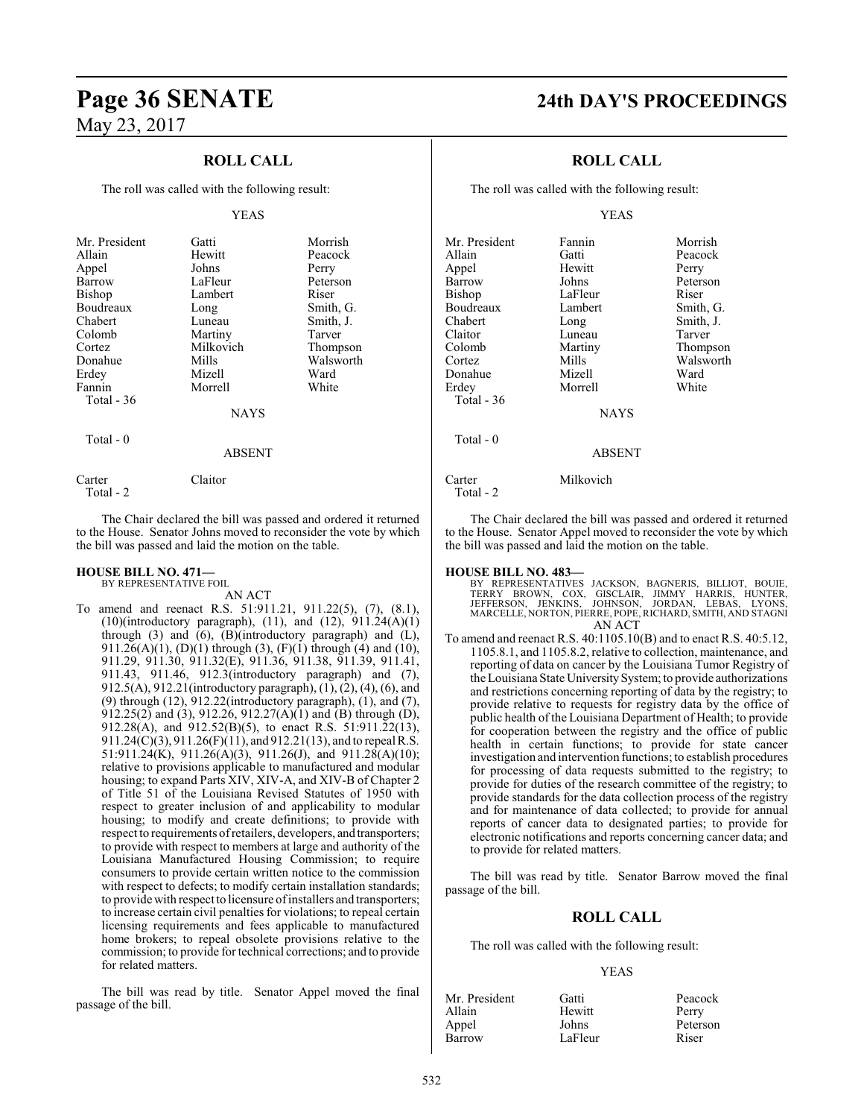## **ROLL CALL**

The roll was called with the following result:

#### YEAS

| Mr. President | Gatti       | Morrish   |
|---------------|-------------|-----------|
| Allain        | Hewitt      | Peacock   |
|               | Johns       |           |
| Appel         |             | Perry     |
| Barrow        | LaFleur     | Peterson  |
| Bishop        | Lambert     | Riser     |
| Boudreaux     | Long        | Smith, G. |
| Chabert       | Luneau      | Smith, J. |
| Colomb        | Martiny     | Tarver    |
| Cortez        | Milkovich   | Thompson  |
| Donahue       | Mills       | Walsworth |
| Erdey         | Mizell      | Ward      |
| Fannin        | Morrell     | White     |
| Total - 36    |             |           |
|               | <b>NAYS</b> |           |
| Total $-0$    |             |           |
|               | ABSENT      |           |

Carter Claitor Total - 2

The Chair declared the bill was passed and ordered it returned to the House. Senator Johns moved to reconsider the vote by which the bill was passed and laid the motion on the table.

#### **HOUSE BILL NO. 471—**

BY REPRESENTATIVE FOIL

AN ACT To amend and reenact R.S. 51:911.21, 911.22(5), (7), (8.1), (10)(introductory paragraph), (11), and (12), 911.24(A)(1) through (3) and (6), (B)(introductory paragraph) and (L), 911.26(A)(1), (D)(1) through (3), (F)(1) through (4) and (10), 911.29, 911.30, 911.32(E), 911.36, 911.38, 911.39, 911.41, 911.43, 911.46, 912.3(introductory paragraph) and (7), 912.5(A), 912.21(introductory paragraph), (1), (2), (4), (6), and (9) through (12), 912.22(introductory paragraph), (1), and (7), 912.25(2) and (3), 912.26, 912.27(A)(1) and (B) through (D), 912.28(A), and 912.52(B)(5), to enact R.S. 51:911.22(13), 911.24(C)(3), 911.26(F)(11), and 912.21(13), and to repeal R.S. 51:911.24(K), 911.26(A)(3), 911.26(J), and 911.28(A)(10); relative to provisions applicable to manufactured and modular housing; to expand Parts XIV, XIV-A, and XIV-B of Chapter 2 of Title 51 of the Louisiana Revised Statutes of 1950 with respect to greater inclusion of and applicability to modular housing; to modify and create definitions; to provide with respect to requirements ofretailers, developers, and transporters; to provide with respect to members at large and authority of the Louisiana Manufactured Housing Commission; to require consumers to provide certain written notice to the commission with respect to defects; to modify certain installation standards; to provide with respect to licensure ofinstallers and transporters; to increase certain civil penalties for violations; to repeal certain licensing requirements and fees applicable to manufactured home brokers; to repeal obsolete provisions relative to the commission; to provide for technical corrections; and to provide for related matters.

The bill was read by title. Senator Appel moved the final passage of the bill.

# **Page 36 SENATE 24th DAY'S PROCEEDINGS**

## **ROLL CALL**

The roll was called with the following result:

#### YEAS

| Mr. President       | Fannin        | Morrish   |
|---------------------|---------------|-----------|
| Allain              | Gatti         | Peacock   |
| Appel               | Hewitt        | Perry     |
| Barrow              | Johns         | Peterson  |
| <b>Bishop</b>       | LaFleur       | Riser     |
| Boudreaux           | Lambert       | Smith, G. |
| Chabert             | Long          | Smith, J. |
| Claitor             | Luneau        | Tarver    |
| Colomb              | Martiny       | Thompson  |
| Cortez              | Mills         | Walsworth |
| Donahue             | Mizell        | Ward      |
| Erdey               | Morrell       | White     |
| Total - 36          |               |           |
|                     | <b>NAYS</b>   |           |
| $Total - 0$         |               |           |
|                     | <b>ABSENT</b> |           |
| Carter<br>Total - 2 | Milkovich     |           |

The Chair declared the bill was passed and ordered it returned to the House. Senator Appel moved to reconsider the vote by which the bill was passed and laid the motion on the table.

#### **HOUSE BILL NO. 483—**

BY REPRESENTATIVES JACKSON, BAGNERIS, BILLIOT, BOUIE, TERRY BROWN, COX, GISCLAIR, JIMMY HARRIS, HUNTER, JEFFERSON, JENKINS, JOHNSON, JORDAN, LEBAS, LYONS, MARCELLE, NORTON, PIERRE, POPE, RICHARD, SMITH, AND STAGNI AN ACT

To amend and reenact R.S. 40:1105.10(B) and to enact R.S. 40:5.12, 1105.8.1, and 1105.8.2, relative to collection, maintenance, and reporting of data on cancer by the Louisiana Tumor Registry of the Louisiana State University System; to provide authorizations and restrictions concerning reporting of data by the registry; to provide relative to requests for registry data by the office of public health of the Louisiana Department of Health; to provide for cooperation between the registry and the office of public health in certain functions; to provide for state cancer investigation and intervention functions; to establish procedures for processing of data requests submitted to the registry; to provide for duties of the research committee of the registry; to provide standards for the data collection process of the registry and for maintenance of data collected; to provide for annual reports of cancer data to designated parties; to provide for electronic notifications and reports concerning cancer data; and to provide for related matters.

The bill was read by title. Senator Barrow moved the final passage of the bill.

#### **ROLL CALL**

The roll was called with the following result:

#### YEAS

| Mr. President | Gatti   | Peacock  |
|---------------|---------|----------|
| Allain        | Hewitt  | Perry    |
| Appel         | Johns   | Peterson |
| Barrow        | LaFleur | Riser    |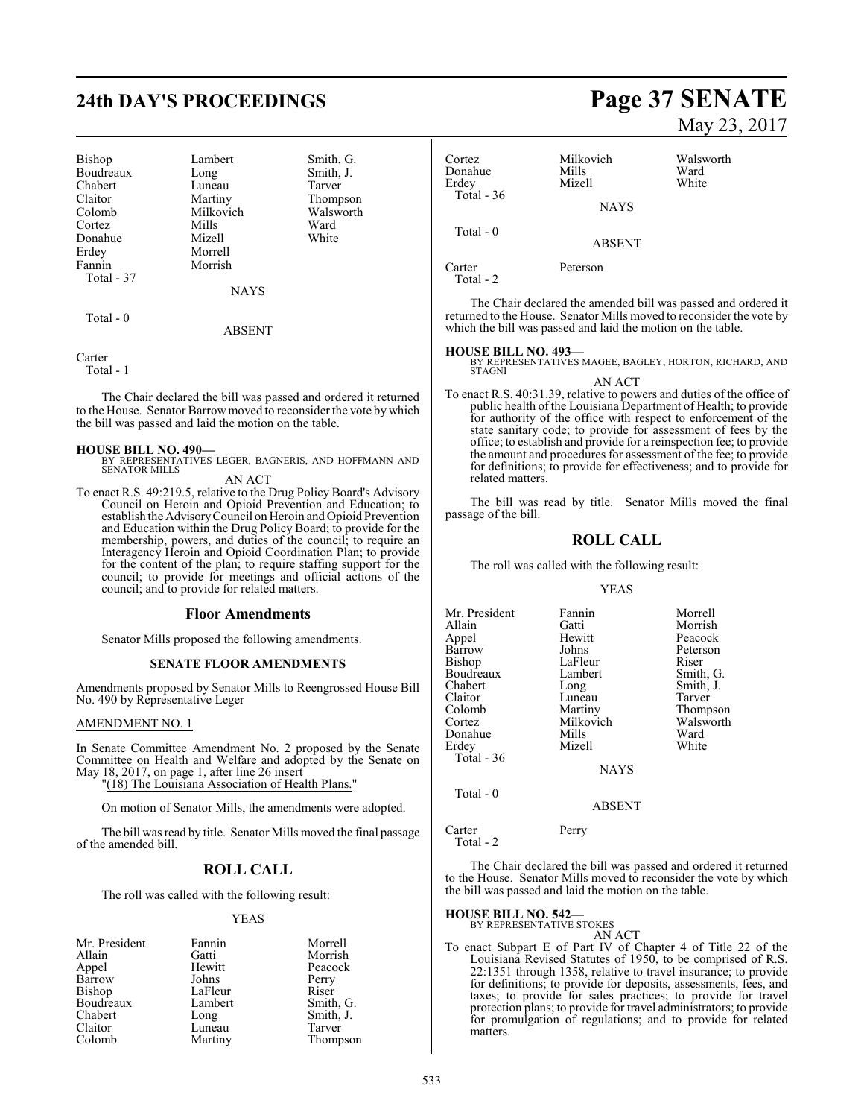# **24th DAY'S PROCEEDINGS Page 37 SENATE**

| Bishop     | Lambert     | Smith, G. |
|------------|-------------|-----------|
| Boudreaux  | Long        | Smith, J. |
| Chabert    | Luneau      | Tarver    |
| Claitor    | Martiny     | Thompson  |
| Colomb     | Milkovich   | Walsworth |
| Cortez     | Mills       | Ward      |
| Donahue    | Mizell      | White     |
| Erdey      | Morrell     |           |
| Fannin     | Morrish     |           |
| Total - 37 |             |           |
|            | <b>NAYS</b> |           |
| Total $-0$ |             |           |
|            | ABSENT      |           |

Carter

Total - 1

The Chair declared the bill was passed and ordered it returned to the House. Senator Barrowmoved to reconsider the vote by which the bill was passed and laid the motion on the table.

#### **HOUSE BILL NO. 490—**

BY REPRESENTATIVES LEGER, BAGNERIS, AND HOFFMANN AND SENATOR MILLS

AN ACT

To enact R.S. 49:219.5, relative to the Drug Policy Board's Advisory Council on Heroin and Opioid Prevention and Education; to establish the AdvisoryCouncil on Heroin and Opioid Prevention and Education within the Drug Policy Board; to provide for the membership, powers, and duties of the council; to require an Interagency Heroin and Opioid Coordination Plan; to provide for the content of the plan; to require staffing support for the council; to provide for meetings and official actions of the council; and to provide for related matters.

#### **Floor Amendments**

Senator Mills proposed the following amendments.

#### **SENATE FLOOR AMENDMENTS**

Amendments proposed by Senator Mills to Reengrossed House Bill No. 490 by Representative Leger

#### AMENDMENT NO. 1

In Senate Committee Amendment No. 2 proposed by the Senate Committee on Health and Welfare and adopted by the Senate on May 18, 2017, on page 1, after line 26 insert

"(18) The Louisiana Association of Health Plans."

On motion of Senator Mills, the amendments were adopted.

The bill was read by title. Senator Mills moved the final passage of the amended bill.

## **ROLL CALL**

The roll was called with the following result:

#### YEAS

| Mr. President | Fannin  | Morrell   |
|---------------|---------|-----------|
| Allain        | Gatti   | Morrish   |
| Appel         | Hewitt  | Peacock   |
| Barrow        | Johns   | Perry     |
| <b>Bishop</b> | LaFleur | Riser     |
| Boudreaux     | Lambert | Smith, G. |
| Chabert       | Long    | Smith, J. |
| Claitor       | Luneau  | Tarver    |
| Colomb        | Martiny | Thompson  |

# May 23, 2017

Cortez Milkovich Walsworth Donahue Mills Ward<br>
Erdev Mizell White **Mizell**  Total - 36 **NAYS**  Total - 0 ABSENT

Carter Peterson Total - 2

The Chair declared the amended bill was passed and ordered it returned to the House. Senator Mills moved to reconsider the vote by which the bill was passed and laid the motion on the table.

#### **HOUSE BILL NO. 493—**

- BY REPRESENTATIVES MAGEE, BAGLEY, HORTON, RICHARD, AND STAGNI
- AN ACT To enact R.S. 40:31.39, relative to powers and duties of the office of public health of the Louisiana Department of Health; to provide for authority of the office with respect to enforcement of the state sanitary code; to provide for assessment of fees by the office; to establish and provide for a reinspection fee; to provide the amount and procedures for assessment of the fee; to provide for definitions; to provide for effectiveness; and to provide for related matters.

The bill was read by title. Senator Mills moved the final passage of the bill.

#### **ROLL CALL**

The roll was called with the following result:

#### YEAS

| Mr. President                      | Fannin      | Morrell   |
|------------------------------------|-------------|-----------|
| Allain                             | Gatti       | Morrish   |
| Appel                              | Hewitt      | Peacock   |
| Barrow                             | Johns       | Peterson  |
| Bishop                             | LaFleur     | Riser     |
| Boudreaux                          | Lambert     | Smith, G. |
| Chabert                            | Long        | Smith, J. |
| Claitor                            | Luneau      | Tarver    |
| Colomb                             | Martiny     | Thompson  |
| Cortez                             | Milkovich   | Walsworth |
| Donahue                            | Mills       | Ward      |
| Erdey                              | Mizell      | White     |
| Total - 36                         |             |           |
|                                    | <b>NAYS</b> |           |
| $\mathbf{m}$ , 1 $\mathbf{\Omega}$ |             |           |

Total - 0

Carter Perry

Total - 2

The Chair declared the bill was passed and ordered it returned to the House. Senator Mills moved to reconsider the vote by which the bill was passed and laid the motion on the table.

ABSENT

## **HOUSE BILL NO. 542—** BY REPRESENTATIVE STOKES

AN ACT To enact Subpart E of Part IV of Chapter 4 of Title 22 of the Louisiana Revised Statutes of 1950, to be comprised of R.S. 22:1351 through 1358, relative to travel insurance; to provide for definitions; to provide for deposits, assessments, fees, and taxes; to provide for sales practices; to provide for travel protection plans; to provide for travel administrators; to provide for promulgation of regulations; and to provide for related matters.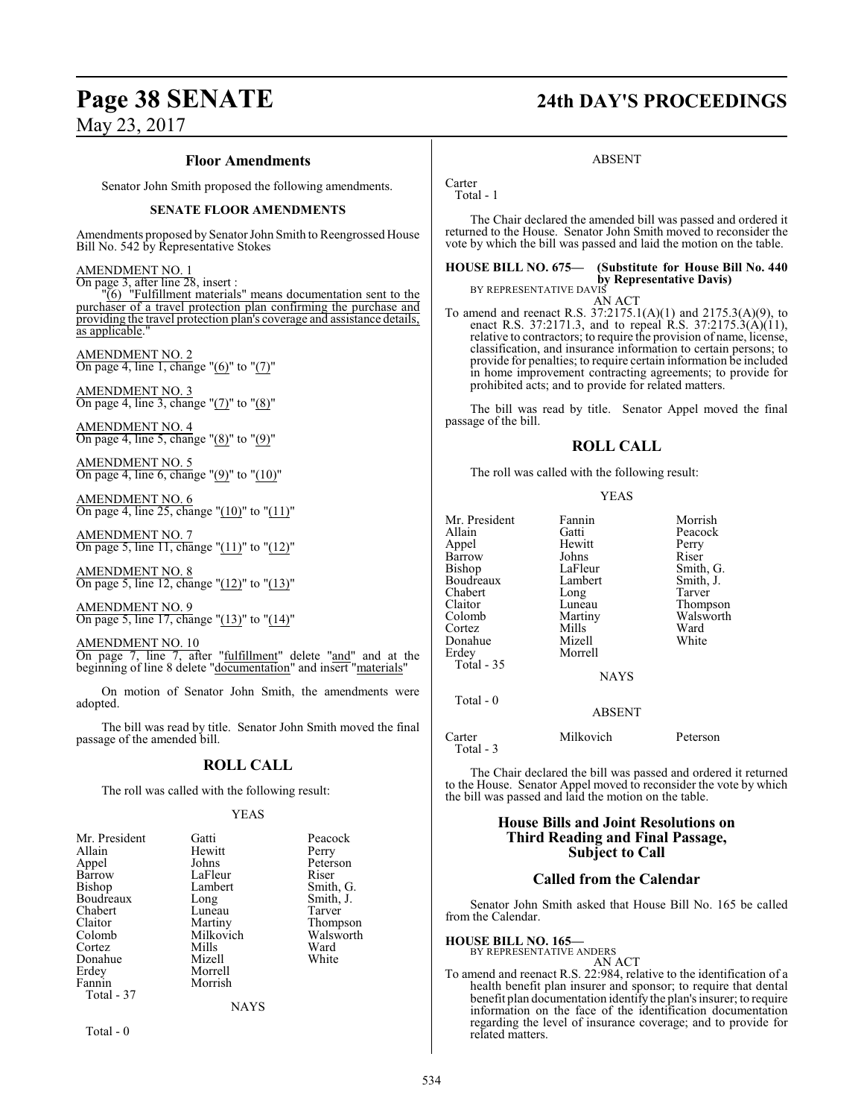#### **Floor Amendments**

Senator John Smith proposed the following amendments.

#### **SENATE FLOOR AMENDMENTS**

Amendments proposed by Senator John Smith to Reengrossed House Bill No. 542 by Representative Stokes

#### AMENDMENT NO. 1

On page 3, after line 28, insert :

"(6) "Fulfillment materials" means documentation sent to the purchaser of a travel protection plan confirming the purchase and providing the travel protection plan's coverage and assistance details, as applicable."

AMENDMENT NO. 2 On page 4, line 1, change "(6)" to "(7)"

AMENDMENT NO. 3 On page 4, line 3, change "(7)" to "(8)"

AMENDMENT NO. 4 On page 4, line 5, change "(8)" to "(9)"

AMENDMENT NO. 5 On page 4, line 6, change " $(9)$ " to " $(10)$ "

AMENDMENT NO. 6 On page 4, line 25, change " $(10)$ " to " $(11)$ "

AMENDMENT NO. 7 On page 5, line 11, change "(11)" to "(12)"

AMENDMENT NO. 8 On page 5, line 12, change "(12)" to "(13)"

AMENDMENT NO. 9 On page 5, line 17, change " $(13)$ " to " $(14)$ "

AMENDMENT NO. 10 On page 7, line 7, after "fulfillment" delete "and" and at the beginning of line 8 delete "documentation" and insert "materials"

On motion of Senator John Smith, the amendments were adopted.

The bill was read by title. Senator John Smith moved the final passage of the amended bill.

#### **ROLL CALL**

The roll was called with the following result:

#### YEAS

| Mr. President | Gatti       | Peacock   |
|---------------|-------------|-----------|
| Allain        | Hewitt      | Perry     |
| Appel         | Johns       | Peterson  |
| Barrow        | LaFleur     | Riser     |
| Bishop        | Lambert     | Smith, G. |
| Boudreaux     | Long        | Smith, J. |
| Chabert       | Luneau      | Tarver    |
| Claitor       | Martiny     | Thompson  |
| Colomb        | Milkovich   | Walsworth |
| Cortez        | Mills       | Ward      |
| Donahue       | Mizell      | White     |
| Erdey         | Morrell     |           |
| Fannin        | Morrish     |           |
| Total - 37    |             |           |
|               | <b>NAYS</b> |           |

Total - 0

# **Page 38 SENATE 24th DAY'S PROCEEDINGS**

#### ABSENT

**Carter** Total - 1

The Chair declared the amended bill was passed and ordered it returned to the House. Senator John Smith moved to reconsider the vote by which the bill was passed and laid the motion on the table.

#### **HOUSE BILL NO. 675— (Substitute for House Bill No. 440 by Representative Davis)** BY REPRESENTATIVE DAVIS

AN ACT

To amend and reenact R.S. 37:2175.1(A)(1) and 2175.3(A)(9), to enact R.S. 37:2171.3, and to repeal R.S. 37:2175.3(A)(11), relative to contractors; to require the provision of name, license, classification, and insurance information to certain persons; to provide for penalties; to require certain information be included in home improvement contracting agreements; to provide for prohibited acts; and to provide for related matters.

The bill was read by title. Senator Appel moved the final passage of the bill.

## **ROLL CALL**

The roll was called with the following result:

#### YEAS

| Mr. President<br>Allain<br>Appel<br>Barrow<br>Bishop<br>Boudreaux<br>Chabert<br>Claitor<br>Colomb<br>Cortez<br>Donahue | Fannin<br>Gatti<br>Hewitt<br>Johns<br>LaFleur<br>Lambert<br>Long<br>Luneau<br>Martiny<br>Mills<br>Mizell | Morrish<br>Peacock<br>Perry<br>Riser<br>Smith, G.<br>Smith, J.<br>Tarver<br>Thompson<br>Walsworth<br>Ward<br>White |
|------------------------------------------------------------------------------------------------------------------------|----------------------------------------------------------------------------------------------------------|--------------------------------------------------------------------------------------------------------------------|
|                                                                                                                        |                                                                                                          |                                                                                                                    |
| Erdey                                                                                                                  | Morrell                                                                                                  |                                                                                                                    |
| Total - 35                                                                                                             | <b>NAYS</b>                                                                                              |                                                                                                                    |
| Total - 0                                                                                                              | ABSENT                                                                                                   |                                                                                                                    |

Carter Milkovich Peterson Total - 3

The Chair declared the bill was passed and ordered it returned to the House. Senator Appel moved to reconsider the vote by which the bill was passed and laid the motion on the table.

#### **House Bills and Joint Resolutions on Third Reading and Final Passage, Subject to Call**

#### **Called from the Calendar**

Senator John Smith asked that House Bill No. 165 be called from the Calendar.

**HOUSE BILL NO. 165—** BY REPRESENTATIVE ANDERS

AN ACT

To amend and reenact R.S. 22:984, relative to the identification of a health benefit plan insurer and sponsor; to require that dental benefit plan documentation identify the plan's insurer; to require information on the face of the identification documentation regarding the level of insurance coverage; and to provide for related matters.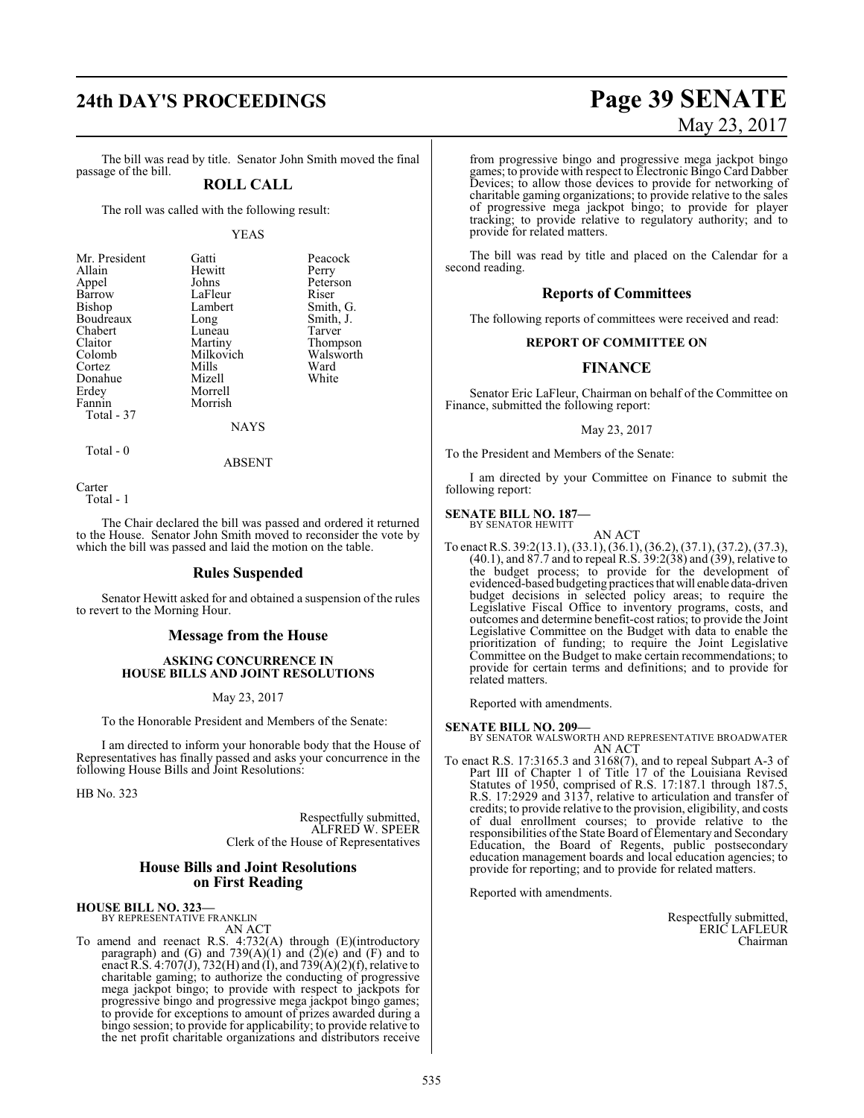# **24th DAY'S PROCEEDINGS Page 39 SENATE** May 23, 2017

The bill was read by title. Senator John Smith moved the final passage of the bill.

### **ROLL CALL**

The roll was called with the following result:

YEAS

| Mr. President | Gatti       | Peacock   |
|---------------|-------------|-----------|
| Allain        | Hewitt      | Perry     |
| Appel         | Johns       | Peterson  |
| Barrow        | LaFleur     | Riser     |
| Bishop        | Lambert     | Smith, G. |
| Boudreaux     | Long        | Smith, J. |
| Chabert       | Luneau      | Tarver    |
| Claitor       | Martiny     | Thompson  |
| Colomb        | Milkovich   | Walsworth |
| Cortez        | Mills       | Ward      |
| Donahue       | Mizell      | White     |
| Erdey         | Morrell     |           |
| Fannin        | Morrish     |           |
| Total - 37    |             |           |
|               | <b>NAYS</b> |           |

Total - 0

ABSENT

Carter Total - 1

The Chair declared the bill was passed and ordered it returned to the House. Senator John Smith moved to reconsider the vote by which the bill was passed and laid the motion on the table.

#### **Rules Suspended**

Senator Hewitt asked for and obtained a suspension of the rules to revert to the Morning Hour.

#### **Message from the House**

#### **ASKING CONCURRENCE IN HOUSE BILLS AND JOINT RESOLUTIONS**

May 23, 2017

To the Honorable President and Members of the Senate:

I am directed to inform your honorable body that the House of Representatives has finally passed and asks your concurrence in the following House Bills and Joint Resolutions:

HB No. 323

Respectfully submitted, ALFRED W. SPEER Clerk of the House of Representatives

#### **House Bills and Joint Resolutions on First Reading**

#### **HOUSE BILL NO. 323—**

BY REPRESENTATIVE FRANKLIN AN ACT

To amend and reenact R.S. 4:732(A) through (E)(introductory paragraph) and (G) and  $739(A)(1)$  and  $(2)(e)$  and  $(F)$  and to enact R.S. 4:707(J), 732(H) and (I), and 739(A)(2)(f), relative to charitable gaming; to authorize the conducting of progressive mega jackpot bingo; to provide with respect to jackpots for progressive bingo and progressive mega jackpot bingo games; to provide for exceptions to amount of prizes awarded during a bingo session; to provide for applicability; to provide relative to the net profit charitable organizations and distributors receive

from progressive bingo and progressive mega jackpot bingo games; to provide with respect to Electronic Bingo Card Dabber Devices; to allow those devices to provide for networking of charitable gaming organizations; to provide relative to the sales of progressive mega jackpot bingo; to provide for player tracking; to provide relative to regulatory authority; and to provide for related matters.

The bill was read by title and placed on the Calendar for a second reading.

#### **Reports of Committees**

The following reports of committees were received and read:

#### **REPORT OF COMMITTEE ON**

## **FINANCE**

Senator Eric LaFleur, Chairman on behalf of the Committee on Finance, submitted the following report:

#### May 23, 2017

To the President and Members of the Senate:

I am directed by your Committee on Finance to submit the following report:

#### **SENATE BILL NO. 187—**

BY SENATOR HEWITT AN ACT

To enact R.S. 39:2(13.1), (33.1), (36.1), (36.2), (37.1), (37.2), (37.3), (40.1), and 87.7 and to repeal R.S. 39:2(38) and (39), relative to the budget process; to provide for the development of evidenced-based budgeting practices thatwill enable data-driven budget decisions in selected policy areas; to require the Legislative Fiscal Office to inventory programs, costs, and outcomes and determine benefit-cost ratios; to provide the Joint Legislative Committee on the Budget with data to enable the prioritization of funding; to require the Joint Legislative Committee on the Budget to make certain recommendations; to provide for certain terms and definitions; and to provide for related matters.

Reported with amendments.

#### **SENATE BILL NO. 209—**

BY SENATOR WALSWORTH AND REPRESENTATIVE BROADWATER AN ACT

To enact R.S. 17:3165.3 and 3168(7), and to repeal Subpart A-3 of Part III of Chapter 1 of Title 17 of the Louisiana Revised Statutes of 1950, comprised of R.S. 17:187.1 through 187.5, R.S. 17:2929 and 3137, relative to articulation and transfer of credits; to provide relative to the provision, eligibility, and costs of dual enrollment courses; to provide relative to the responsibilities ofthe State Board of Elementary and Secondary Education, the Board of Regents, public postsecondary education management boards and local education agencies; to provide for reporting; and to provide for related matters.

Reported with amendments.

Respectfully submitted, ERIC LAFLEUR Chairman